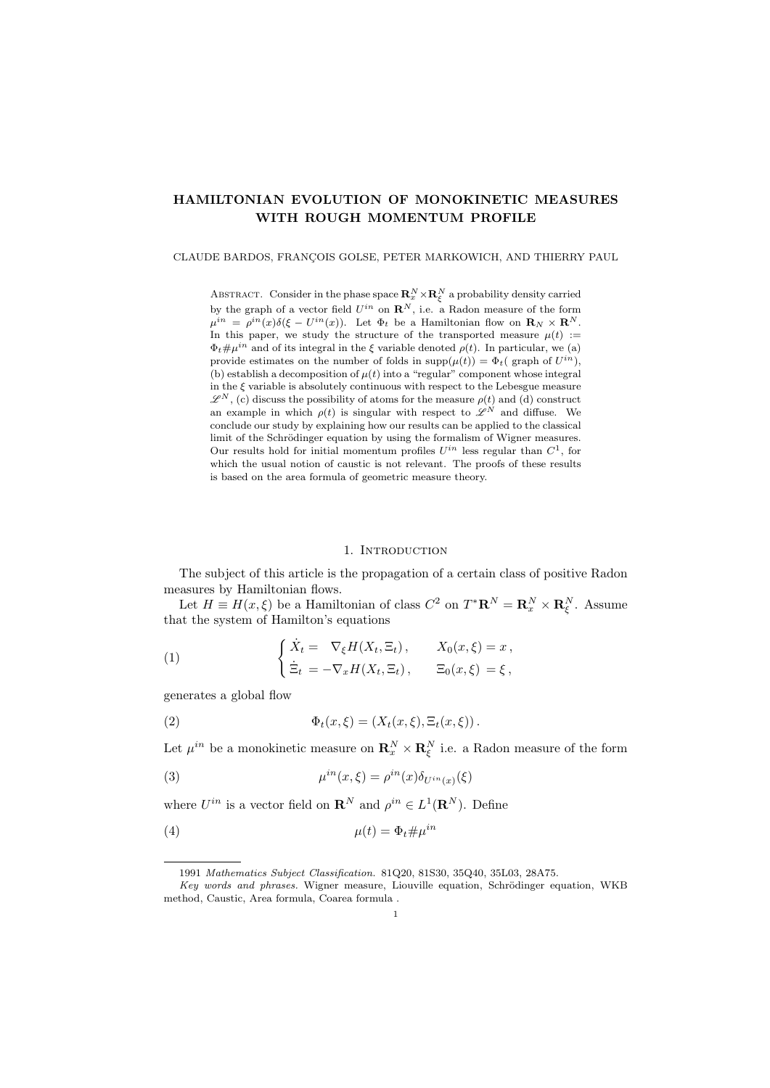# HAMILTONIAN EVOLUTION OF MONOKINETIC MEASURES WITH ROUGH MOMENTUM PROFILE

### CLAUDE BARDOS, FRANÇOIS GOLSE, PETER MARKOWICH, AND THIERRY PAUL

ABSTRACT. Consider in the phase space  $\mathbf{R}_x^N\times\mathbf{R}_{\xi}^N$  a probability density carried by the graph of a vector field  $U^{in}$  on  $\mathbb{R}^N$ , i.e. a Radon measure of the form  $\mu^{in} = \rho^{in}(x)\delta(\xi - U^{in}(x))$ . Let  $\Phi_t$  be a Hamiltonian flow on  $\mathbf{R}_N \times \mathbf{R}^N$ . In this paper, we study the structure of the transported measure  $\mu(t)$  :=  $\Phi_t \# \mu^{in}$  and of its integral in the  $\xi$  variable denoted  $\rho(t)$ . In particular, we (a) provide estimates on the number of folds in  $\text{supp}(\mu(t)) = \Phi_t$  (graph of  $U^{in}$ ), (b) establish a decomposition of  $\mu(t)$  into a "regular" component whose integral in the  $\xi$  variable is absolutely continuous with respect to the Lebesgue measure  $\mathscr{L}^N$ , (c) discuss the possibility of atoms for the measure  $\rho(t)$  and (d) construct an example in which  $\rho(t)$  is singular with respect to  $\mathscr{L}^N$  and diffuse. We conclude our study by explaining how our results can be applied to the classical limit of the Schrödinger equation by using the formalism of Wigner measures. Our results hold for initial momentum profiles *Uin* less regular than *C*1, for which the usual notion of caustic is not relevant. The proofs of these results is based on the area formula of geometric measure theory.

### 1. INTRODUCTION

The subject of this article is the propagation of a certain class of positive Radon measures by Hamiltonian flows.

Let  $H \equiv H(x,\xi)$  be a Hamiltonian of class  $C^2$  on  $T^*{\bf R}^N = {\bf R}^N_x \times {\bf R}^N_\xi$ . Assume that the system of Hamilton's equations

(1) 
$$
\begin{cases} \dot{X}_t = \nabla_{\xi} H(X_t, \Xi_t), & X_0(x, \xi) = x, \\ \dot{\Xi}_t = -\nabla_x H(X_t, \Xi_t), & \Xi_0(x, \xi) = \xi, \end{cases}
$$

generates a global flow

(2) 
$$
\Phi_t(x,\xi) = (X_t(x,\xi), \Xi_t(x,\xi)).
$$

Let  $\mu^{in}$  be a monokinetic measure on  $\mathbf{R}_x^N \times \mathbf{R}_{\xi}^N$  i.e. a Radon measure of the form

(3) 
$$
\mu^{in}(x,\xi) = \rho^{in}(x)\delta_{U^{in}(x)}(\xi)
$$

where  $U^{in}$  is a vector field on  $\mathbf{R}^{N}$  and  $\rho^{in} \in L^{1}(\mathbf{R}^{N})$ . Define

$$
\mu(t) = \Phi_t \# \mu^{in}
$$

<sup>1991</sup> *Mathematics Subject Classification.* 81Q20, 81S30, 35Q40, 35L03, 28A75.

*Key words and phrases.* Wigner measure, Liouville equation, Schrödinger equation, WKB method, Caustic, Area formula, Coarea formula .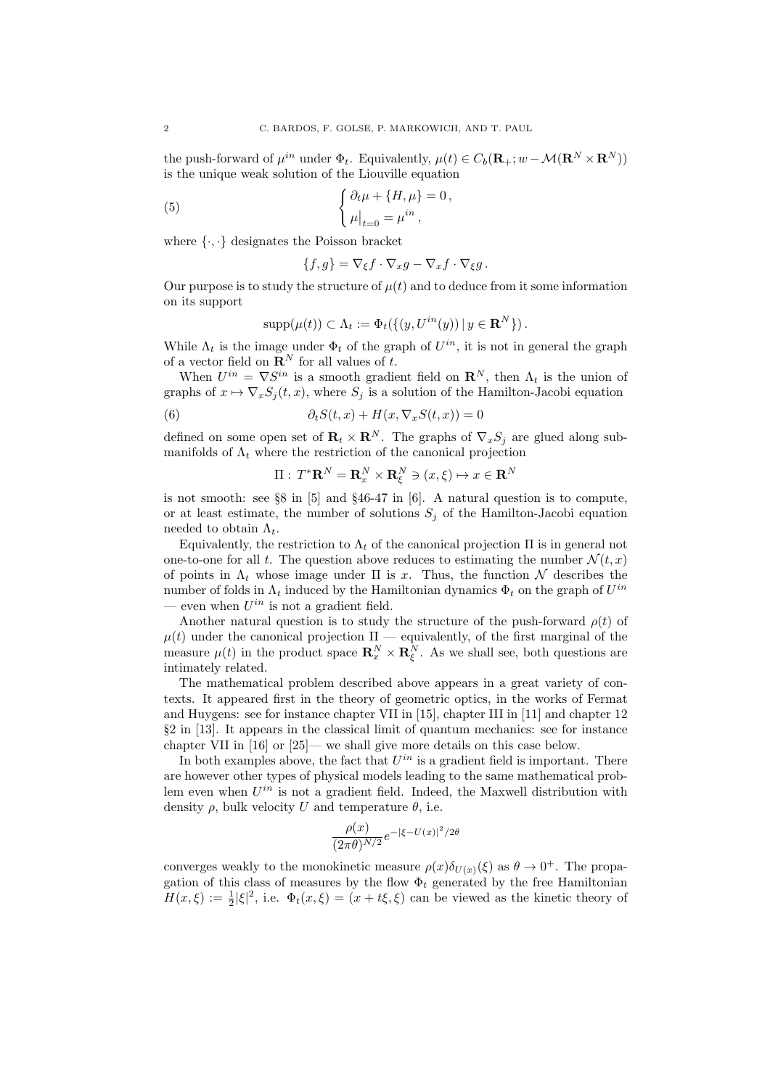the push-forward of  $\mu^{in}$  under  $\Phi_t$ . Equivalently,  $\mu(t) \in C_b(\mathbf{R}_+; w - \mathcal{M}(\mathbf{R}^N \times \mathbf{R}^N))$ is the unique weak solution of the Liouville equation

(5) 
$$
\begin{cases} \partial_t \mu + \{H, \mu\} = 0, \\ \mu|_{t=0} = \mu^{in}, \end{cases}
$$

where *{·, ·}* designates the Poisson bracket

$$
\{f,g\} = \nabla_{\xi} f \cdot \nabla_x g - \nabla_x f \cdot \nabla_{\xi} g.
$$

Our purpose is to study the structure of  $\mu(t)$  and to deduce from it some information on its support

$$
supp(\mu(t)) \subset \Lambda_t := \Phi_t(\{(y, U^{in}(y)) \mid y \in \mathbf{R}^N\}).
$$

While  $\Lambda_t$  is the image under  $\Phi_t$  of the graph of  $U^{in}$ , it is not in general the graph of a vector field on  $\mathbb{R}^N$  for all values of *t*.

When  $U^{in} = \nabla S^{in}$  is a smooth gradient field on  $\mathbb{R}^N$ , then  $\Lambda_t$  is the union of graphs of  $x \mapsto \nabla_x S_i(t, x)$ , where  $S_i$  is a solution of the Hamilton-Jacobi equation

(6) 
$$
\partial_t S(t,x) + H(x, \nabla_x S(t,x)) = 0
$$

defined on some open set of  $\mathbf{R}_t \times \mathbf{R}^N$ . The graphs of  $\nabla_x S_j$  are glued along submanifolds of  $\Lambda_t$  where the restriction of the canonical projection

$$
\Pi: T^* \mathbf{R}^N = \mathbf{R}_x^N \times \mathbf{R}_{\xi}^N \ni (x, \xi) \mapsto x \in \mathbf{R}^N
$$

is not smooth: see §8 in [5] and §46-47 in [6]. A natural question is to compute, or at least estimate, the number of solutions  $S_j$  of the Hamilton-Jacobi equation needed to obtain  $\Lambda_t$ .

Equivalently, the restriction to  $\Lambda_t$  of the canonical projection  $\Pi$  is in general not one-to-one for all t. The question above reduces to estimating the number  $\mathcal{N}(t, x)$ of points in  $\Lambda_t$  whose image under  $\Pi$  is x. Thus, the function  $\mathcal N$  describes the number of folds in  $\Lambda_t$  induced by the Hamiltonian dynamics  $\Phi_t$  on the graph of  $U^{in}$ even when  $U^{in}$  is not a gradient field.

Another natural question is to study the structure of the push-forward  $\rho(t)$  of  $\mu(t)$  under the canonical projection  $\Pi$  — equivalently, of the first marginal of the measure  $\mu(t)$  in the product space  $\mathbb{R}_x^N \times \mathbb{R}_\xi^N$ . As we shall see, both questions are intimately related.

The mathematical problem described above appears in a great variety of contexts. It appeared first in the theory of geometric optics, in the works of Fermat and Huygens: see for instance chapter VII in [15], chapter III in [11] and chapter 12 §2 in [13]. It appears in the classical limit of quantum mechanics: see for instance chapter VII in [16] or [25]— we shall give more details on this case below.

In both examples above, the fact that  $U^{in}$  is a gradient field is important. There are however other types of physical models leading to the same mathematical problem even when *Uin* is not a gradient field. Indeed, the Maxwell distribution with density  $\rho$ , bulk velocity *U* and temperature  $\theta$ , i.e.

$$
\frac{\rho(x)}{(2\pi\theta)^{N/2}}e^{-|\xi - U(x)|^2/2\theta}
$$

converges weakly to the monokinetic measure  $\rho(x)\delta_{U(x)}(\xi)$  as  $\theta \to 0^+$ . The propagation of this class of measures by the flow  $\Phi_t$  generated by the free Hamiltonian  $H(x,\xi) := \frac{1}{2} |\xi|^2$ , i.e.  $\Phi_t(x,\xi) = (x + t\xi,\xi)$  can be viewed as the kinetic theory of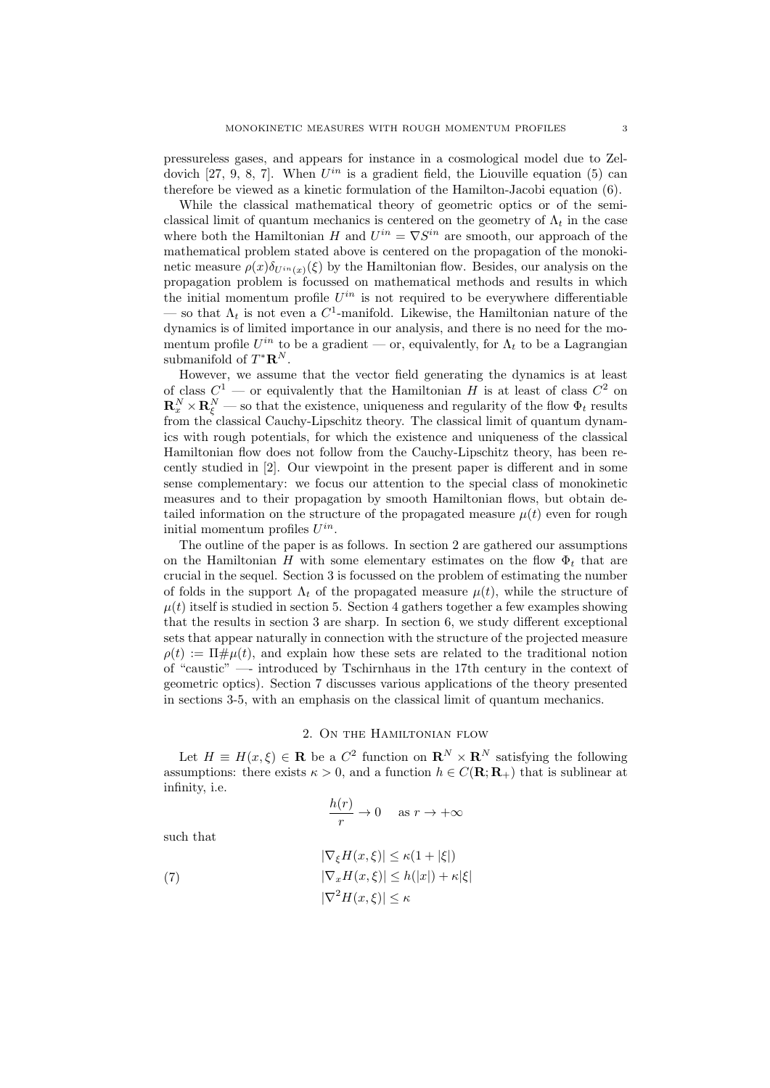pressureless gases, and appears for instance in a cosmological model due to Zeldovich [27, 9, 8, 7]. When *Uin* is a gradient field, the Liouville equation (5) can therefore be viewed as a kinetic formulation of the Hamilton-Jacobi equation (6).

While the classical mathematical theory of geometric optics or of the semiclassical limit of quantum mechanics is centered on the geometry of  $\Lambda_t$  in the case where both the Hamiltonian *H* and  $U^{in} = \nabla S^{in}$  are smooth, our approach of the mathematical problem stated above is centered on the propagation of the monokinetic measure  $\rho(x)\delta_{U^{in}(x)}(\xi)$  by the Hamiltonian flow. Besides, our analysis on the propagation problem is focussed on mathematical methods and results in which the initial momentum profile  $U^{in}$  is not required to be everywhere differentiable — so that  $\Lambda_t$  is not even a  $C^1$ -manifold. Likewise, the Hamiltonian nature of the dynamics is of limited importance in our analysis, and there is no need for the momentum profile  $U^{in}$  to be a gradient — or, equivalently, for  $\Lambda_t$  to be a Lagrangian submanifold of  $T^*{\bf R}^N$ .

However, we assume that the vector field generating the dynamics is at least of class  $C^1$  — or equivalently that the Hamiltonian *H* is at least of class  $C^2$  on  $\mathbf{R}_x^N \times \mathbf{R}_{\xi}^N$  — so that the existence, uniqueness and regularity of the flow  $\Phi_t$  results from the classical Cauchy-Lipschitz theory. The classical limit of quantum dynamics with rough potentials, for which the existence and uniqueness of the classical Hamiltonian flow does not follow from the Cauchy-Lipschitz theory, has been recently studied in [2]. Our viewpoint in the present paper is different and in some sense complementary: we focus our attention to the special class of monokinetic measures and to their propagation by smooth Hamiltonian flows, but obtain detailed information on the structure of the propagated measure  $\mu(t)$  even for rough initial momentum profiles *Uin*.

The outline of the paper is as follows. In section 2 are gathered our assumptions on the Hamiltonian *H* with some elementary estimates on the flow  $\Phi_t$  that are crucial in the sequel. Section 3 is focussed on the problem of estimating the number of folds in the support  $\Lambda_t$  of the propagated measure  $\mu(t)$ , while the structure of  $\mu(t)$  itself is studied in section 5. Section 4 gathers together a few examples showing that the results in section 3 are sharp. In section 6, we study different exceptional sets that appear naturally in connection with the structure of the projected measure  $\rho(t) := \Pi \# \mu(t)$ , and explain how these sets are related to the traditional notion of "caustic" —- introduced by Tschirnhaus in the 17th century in the context of geometric optics). Section 7 discusses various applications of the theory presented in sections 3-5, with an emphasis on the classical limit of quantum mechanics.

## 2. On the Hamiltonian flow

Let  $H \equiv H(x,\xi) \in \mathbf{R}$  be a  $C^2$  function on  $\mathbf{R}^N \times \mathbf{R}^N$  satisfying the following assumptions: there exists  $\kappa > 0$ , and a function  $h \in C(\mathbf{R}; \mathbf{R}_{+})$  that is sublinear at infinity, i.e.

$$
\frac{h(r)}{r} \to 0 \quad \text{as } r \to +\infty
$$

such that

(7) 
$$
|\nabla_{\xi}H(x,\xi)| \leq \kappa(1+|\xi|)
$$

$$
|\nabla_{x}H(x,\xi)| \leq h(|x|) + \kappa|\xi|
$$

$$
|\nabla^{2}H(x,\xi)| \leq \kappa
$$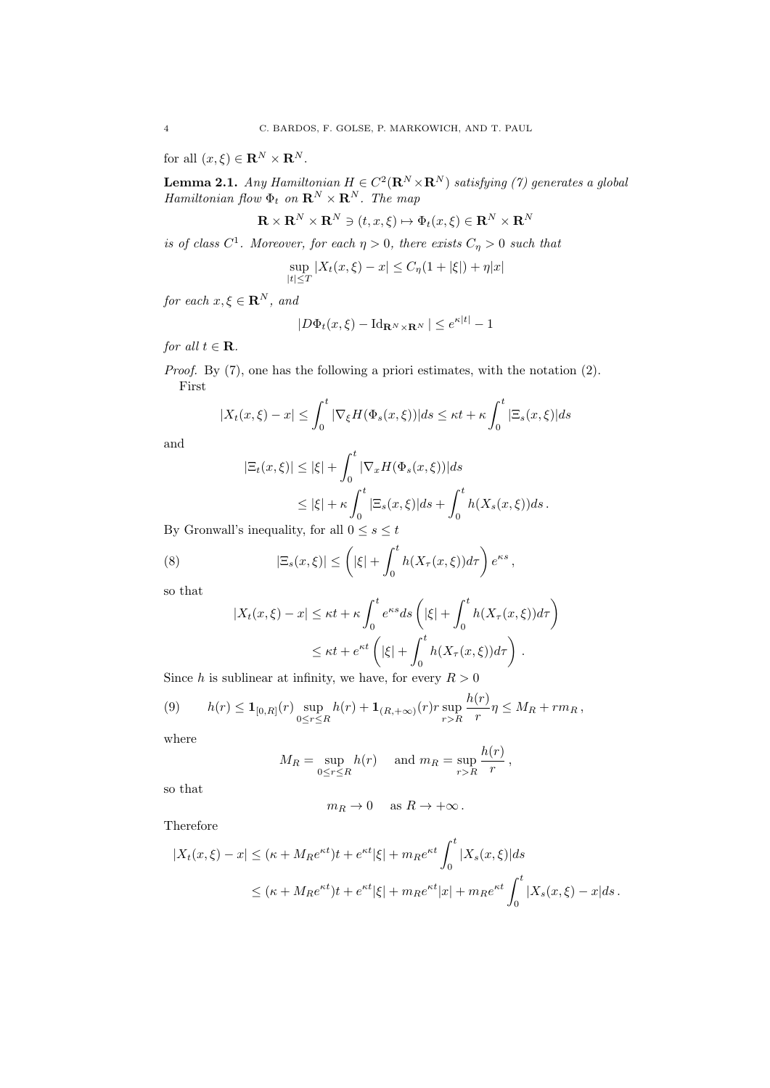for all  $(x, \xi) \in \mathbf{R}^N \times \mathbf{R}^N$ .

**Lemma 2.1.** *Any Hamiltonian*  $H \in C^2(\mathbf{R}^N \times \mathbf{R}^N)$  *satisfying (7) generates a global Hamiltonian flow*  $\Phi_t$  *on*  $\mathbb{R}^N \times \mathbb{R}^N$ *. The map* 

$$
\mathbf{R} \times \mathbf{R}^N \times \mathbf{R}^N \ni (t, x, \xi) \mapsto \Phi_t(x, \xi) \in \mathbf{R}^N \times \mathbf{R}^N
$$

*is of class*  $C^1$ *. Moreover, for each*  $\eta > 0$ *, there exists*  $C_{\eta} > 0$  *such that* 

$$
\sup_{|t| \le T} |X_t(x,\xi) - x| \le C_\eta (1 + |\xi|) + \eta |x|
$$

*for each*  $x, \xi \in \mathbf{R}^N$ *, and* 

$$
|D\Phi_t(x,\xi) - \mathrm{Id}_{\mathbf{R}^N \times \mathbf{R}^N} | \leq e^{\kappa|t|} - 1
$$

*for all*  $t \in \mathbf{R}$ *.* 

*Proof.* By (7), one has the following a priori estimates, with the notation (2). First

$$
|X_t(x,\xi) - x| \le \int_0^t |\nabla_{\xi} H(\Phi_s(x,\xi))| ds \le \kappa t + \kappa \int_0^t |\Xi_s(x,\xi)| ds
$$

and

$$
|\Xi_t(x,\xi)| \le |\xi| + \int_0^t |\nabla_x H(\Phi_s(x,\xi))| ds
$$
  
\n
$$
\le |\xi| + \kappa \int_0^t |\Xi_s(x,\xi)| ds + \int_0^t h(X_s(x,\xi)) ds.
$$
  
\n
$$
\therefore \text{inequality for all } 0 \le s \le t.
$$

By Gronwall's inequality, for all  $0 \leq s \leq t$ 

(8) 
$$
|\Xi_s(x,\xi)| \leq \left(|\xi| + \int_0^t h(X_\tau(x,\xi))d\tau\right)e^{\kappa s},
$$

so that

$$
|X_t(x,\xi) - x| \le \kappa t + \kappa \int_0^t e^{\kappa s} ds \left( |\xi| + \int_0^t h(X_\tau(x,\xi)) d\tau \right)
$$
  

$$
\le \kappa t + e^{\kappa t} \left( |\xi| + \int_0^t h(X_\tau(x,\xi)) d\tau \right).
$$

Since *h* is sublinear at infinity, we have, for every  $R > 0$ 

(9) 
$$
h(r) \leq \mathbf{1}_{[0,R]}(r) \sup_{0 \leq r \leq R} h(r) + \mathbf{1}_{(R,+\infty)}(r) r \sup_{r > R} \frac{h(r)}{r} \eta \leq M_R + r m_R,
$$

where

$$
M_R = \sup_{0 \le r \le R} h(r) \quad \text{ and } m_R = \sup_{r > R} \frac{h(r)}{r},
$$

*h*(*r*)

so that

$$
m_R \to 0
$$
 as  $R \to +\infty$ .

Therefore

$$
|X_t(x,\xi) - x| \le (\kappa + M_R e^{\kappa t})t + e^{\kappa t} |\xi| + m_R e^{\kappa t} \int_0^t |X_s(x,\xi)| ds
$$
  

$$
\le (\kappa + M_R e^{\kappa t})t + e^{\kappa t} |\xi| + m_R e^{\kappa t} |x| + m_R e^{\kappa t} \int_0^t |X_s(x,\xi) - x| ds.
$$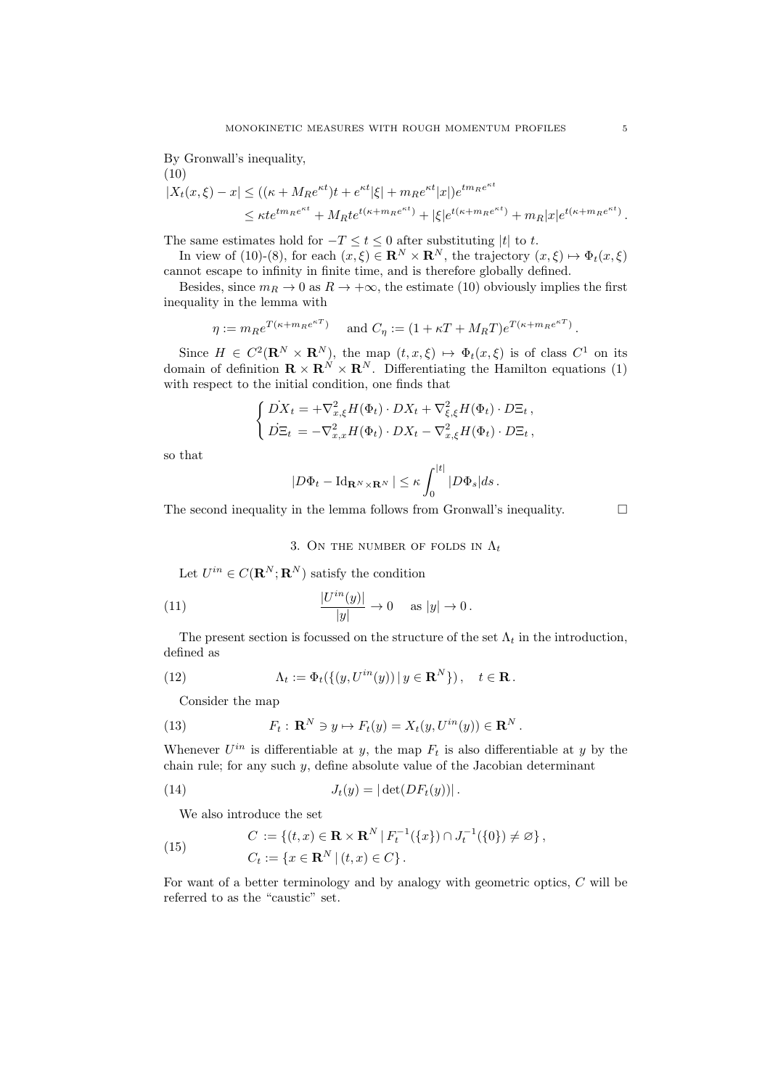By Gronwall's inequality,

(10)  
\n
$$
|X_t(x,\xi) - x| \le ((\kappa + M_R e^{\kappa t})t + e^{\kappa t}|\xi| + m_R e^{\kappa t} |x|)e^{tm_R e^{\kappa t}} \n\le \kappa t e^{tm_R e^{\kappa t}} + M_R t e^{t(\kappa + m_R e^{\kappa t})} + |\xi|e^{t(\kappa + m_R e^{\kappa t})} + m_R |x|e^{t(\kappa + m_R e^{\kappa t})}.
$$

The same estimates hold for  $-T \le t \le 0$  after substituting  $|t|$  to *t*.

In view of (10)-(8), for each  $(x,\xi) \in \mathbb{R}^N \times \mathbb{R}^N$ , the trajectory  $(x,\xi) \mapsto \Phi_t(x,\xi)$ cannot escape to infinity in finite time, and is therefore globally defined.

Besides, since  $m_R \to 0$  as  $R \to +\infty$ , the estimate (10) obviously implies the first inequality in the lemma with

$$
\eta := m_R e^{T(\kappa + m_R e^{\kappa T})}
$$
 and  $C_\eta := (1 + \kappa T + M_R T) e^{T(\kappa + m_R e^{\kappa T})}$ .

Since  $H \in C^2(\mathbf{R}^N \times \mathbf{R}^N)$ , the map  $(t, x, \xi) \mapsto \Phi_t(x, \xi)$  is of class  $C^1$  on its domain of definition  $\mathbf{R} \times \mathbf{R}^{N} \times \mathbf{R}^{N}$ . Differentiating the Hamilton equations (1) with respect to the initial condition, one finds that

$$
\begin{cases}\n\dot{D}X_t = +\nabla_{x,\xi}^2 H(\Phi_t) \cdot DX_t + \nabla_{\xi,\xi}^2 H(\Phi_t) \cdot DE_t, \\
\dot{D}\Xi_t = -\nabla_{x,x}^2 H(\Phi_t) \cdot DX_t - \nabla_{x,\xi}^2 H(\Phi_t) \cdot DE_t,\n\end{cases}
$$

so that

$$
|D\Phi_t - \mathrm{Id}_{\mathbf{R}^N \times \mathbf{R}^N}| \leq \kappa \int_0^{|t|} |D\Phi_s| ds.
$$

The second inequality in the lemma follows from Gronwall's inequality.  $\Box$ 

## 3. On the number of folds in  $\Lambda_t$

Let  $U^{in} \in C(\mathbf{R}^N; \mathbf{R}^N)$  satisfy the condition

(11) 
$$
\frac{|U^{in}(y)|}{|y|} \to 0 \quad \text{as } |y| \to 0.
$$

The present section is focussed on the structure of the set  $\Lambda_t$  in the introduction, defined as

(12) 
$$
\Lambda_t := \Phi_t(\{(y, U^{in}(y)) \mid y \in \mathbf{R}^N\}), \quad t \in \mathbf{R}.
$$

Consider the map

(13) 
$$
F_t: \mathbf{R}^N \ni y \mapsto F_t(y) = X_t(y, U^{in}(y)) \in \mathbf{R}^N.
$$

Whenever  $U^{in}$  is differentiable at *y*, the map  $F_t$  is also differentiable at *y* by the chain rule; for any such *y*, define absolute value of the Jacobian determinant

(14) 
$$
J_t(y) = |\det(DF_t(y))|.
$$

We also introduce the set

(15) 
$$
C := \{ (t, x) \in \mathbf{R} \times \mathbf{R}^N \mid F_t^{-1}(\{x\}) \cap J_t^{-1}(\{0\}) \neq \varnothing \},
$$

$$
C_t := \{ x \in \mathbf{R}^N \mid (t, x) \in C \}.
$$

For want of a better terminology and by analogy with geometric optics, *C* will be referred to as the "caustic" set.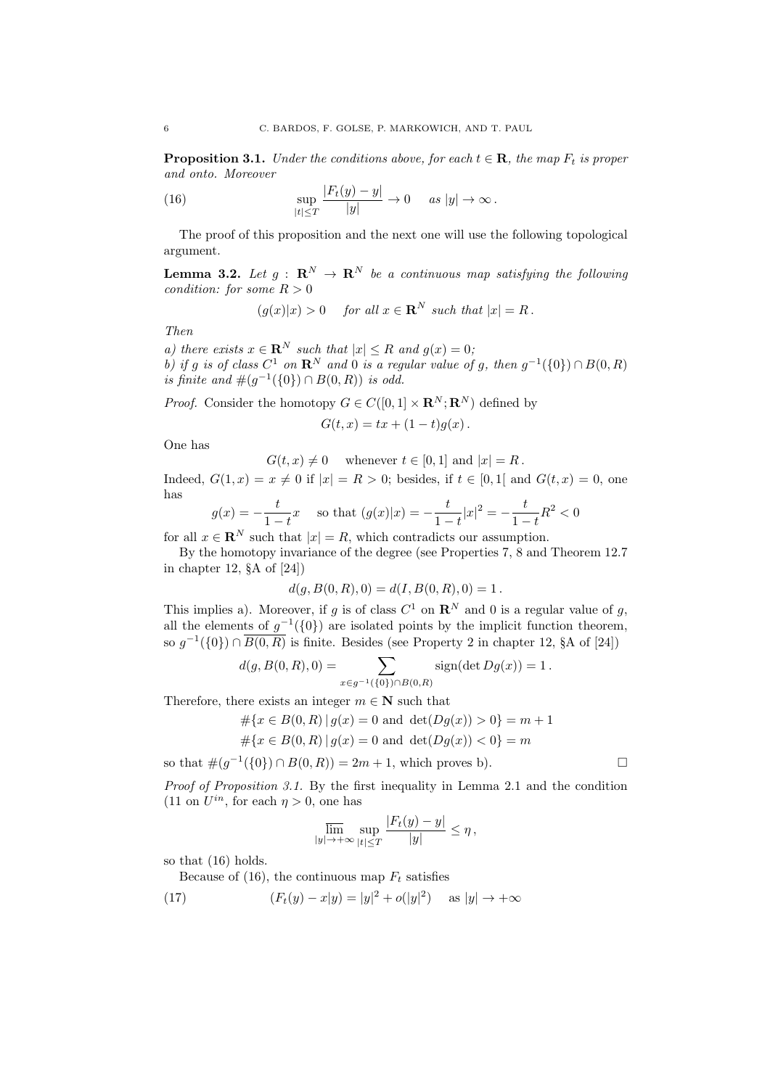**Proposition 3.1.** *Under the conditions above, for each*  $t \in \mathbf{R}$ *, the map*  $F_t$  *is proper and onto. Moreover*

(16) 
$$
\sup_{|t| \leq T} \frac{|F_t(y) - y|}{|y|} \to 0 \quad \text{as } |y| \to \infty.
$$

The proof of this proposition and the next one will use the following topological argument.

**Lemma 3.2.** Let  $g : \mathbb{R}^N \to \mathbb{R}^N$  be a continuous map satisfying the following *condition: for some*  $R > 0$ 

 $(q(x)|x) > 0$  *for all*  $x \in \mathbb{R}^N$  *such that*  $|x| = R$ .

*Then*

*a)* there exists  $x \in \mathbb{R}^N$  such that  $|x| \leq R$  and  $g(x) = 0$ ; *b)* if *g* is of class  $C^1$  on  $\mathbb{R}^N$  and 0 is a regular value of *g*, then  $g^{-1}(\{0\}) \cap B(0, R)$ *is finite and*  $\#(g^{-1}(\{0\}) \cap B(0,R))$  *is odd.* 

*Proof.* Consider the homotopy  $G \in C([0,1] \times \mathbb{R}^N; \mathbb{R}^N)$  defined by

$$
G(t,x)=tx+(1-t)g(x)\,.
$$

One has

 $G(t, x) \neq 0$  whenever  $t \in [0, 1]$  and  $|x| = R$ .

Indeed,  $G(1, x) = x \neq 0$  if  $|x| = R > 0$ ; besides, if  $t \in [0, 1]$  and  $G(t, x) = 0$ , one has

$$
g(x) = -\frac{t}{1-t}x \quad \text{so that } (g(x)|x) = -\frac{t}{1-t}|x|^2 = -\frac{t}{1-t}R^2 < 0
$$

for all  $x \in \mathbb{R}^N$  such that  $|x| = R$ , which contradicts our assumption.

By the homotopy invariance of the degree (see Properties 7, 8 and Theorem 12.7 in chapter 12, §A of [24])

$$
d(g, B(0, R), 0) = d(I, B(0, R), 0) = 1.
$$

This implies a). Moreover, if *g* is of class  $C^1$  on  $\mathbb{R}^N$  and 0 is a regular value of *g*, all the elements of  $g^{-1}(\{0\})$  are isolated points by the implicit function theorem, so  $g^{-1}(\{0\}) \cap \overline{B(0,R)}$  is finite. Besides (see Property 2 in chapter 12, §A of [24])

$$
d(g, B(0, R), 0) = \sum_{x \in g^{-1}(\{0\}) \cap B(0, R)} sign(\det Dg(x)) = 1.
$$

Therefore, there exists an integer  $m \in \mathbb{N}$  such that

$$
\#\{x\in B(0,R)\,|\,g(x)=0\text{ and }\det(Dg(x))>0\}=m+1
$$

$$
#{x \in B(0, R) | g(x) = 0 \text{ and } det(Dg(x)) < 0} = m
$$

so that  $\#(q^{-1}(\{0\}) \cap B(0,R)) = 2m + 1$ , which proves b).

*Proof of Proposition 3.1.* By the first inequality in Lemma 2.1 and the condition  $(11 \text{ on } U^{in})$ , for each  $n > 0$ , one has

$$
\overline{\lim}_{|y|\to+\infty}\sup_{|t|\leq T}\frac{|F_t(y)-y|}{|y|}\leq\eta\,,
$$

so that (16) holds.

Because of (16), the continuous map  $F_t$  satisfies

(17) 
$$
(F_t(y) - x|y) = |y|^2 + o(|y|^2) \text{ as } |y| \to +\infty
$$

$$
\exists
$$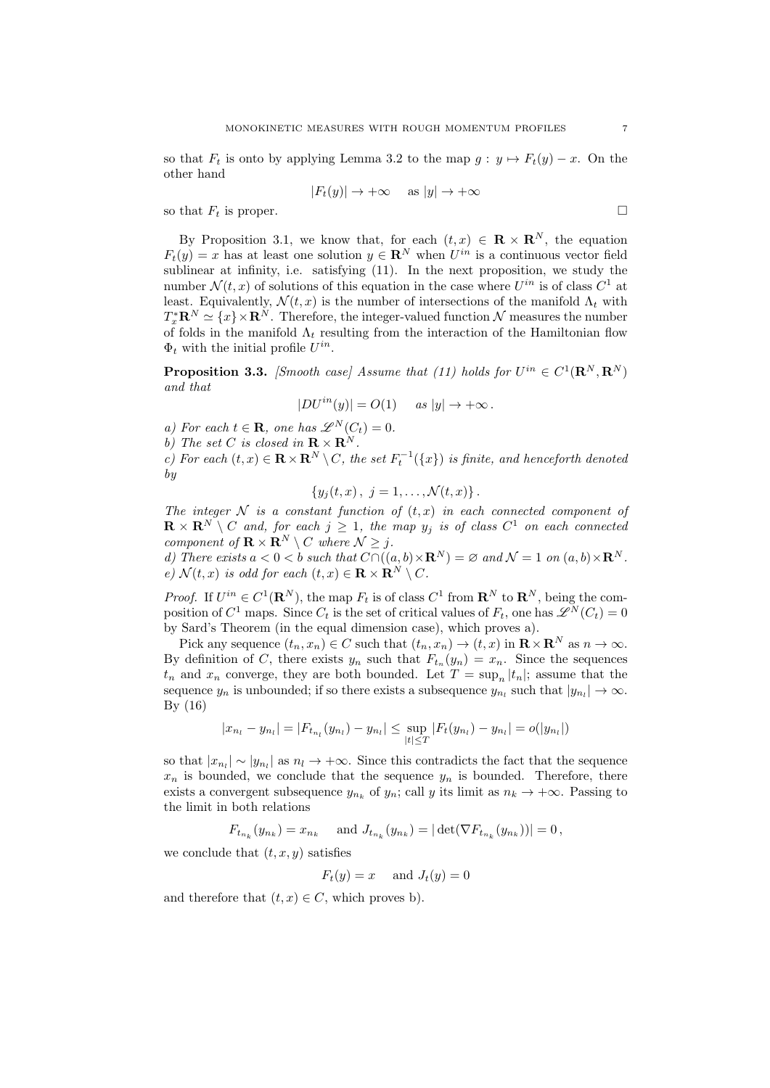so that  $F_t$  is onto by applying Lemma 3.2 to the map  $g: y \mapsto F_t(y) - x$ . On the other hand

$$
|F_t(y)| \to +\infty \quad \text{as } |y| \to +\infty
$$

so that  $F_t$  is proper.

By Proposition 3.1, we know that, for each  $(t, x) \in \mathbb{R} \times \mathbb{R}^{N}$ , the equation  $F_t(y) = x$  has at least one solution  $y \in \mathbb{R}^N$  when  $U^{in}$  is a continuous vector field sublinear at infinity, i.e. satisfying (11). In the next proposition, we study the number  $\mathcal{N}(t, x)$  of solutions of this equation in the case where  $U^{in}$  is of class  $C^1$  at least. Equivalently,  $\mathcal{N}(t, x)$  is the number of intersections of the manifold  $\Lambda_t$  with  $T_x^* \mathbf{R}^N \simeq \{x\} \times \mathbf{R}^N$ . Therefore, the integer-valued function  $\mathcal N$  measures the number of folds in the manifold  $\Lambda_t$  resulting from the interaction of the Hamiltonian flow  $\Phi_t$  with the initial profile  $U^{in}$ .

**Proposition 3.3.** *[Smooth case] Assume that (11) holds for*  $U^{in} \in C^1(\mathbb{R}^N, \mathbb{R}^N)$ *and that*

$$
|DU^{in}(y)| = O(1) \quad \text{as } |y| \to +\infty \, .
$$

*a)* For each  $t \in \mathbf{R}$ , one has  $\mathscr{L}^N(C_t)=0$ .

*b*) The set *C* is closed in  $\mathbf{R} \times \mathbf{R}^N$ 

*c)* For each  $(t, x) \in \mathbf{R} \times \mathbf{R}^N \setminus C$ , the set  $F_t^{-1}(\lbrace x \rbrace)$  is finite, and henceforth denoted *by*

$$
\{y_j(t,x),\ j=1,\ldots,\mathcal{N}(t,x)\}\,.
$$

*The integer*  $N$  *is a constant function of*  $(t, x)$  *in each connected component of*  $\mathbf{R} \times \mathbf{R}^N \setminus C$  and, for each  $j \geq 1$ , the map  $y_j$  is of class  $C^1$  on each connected *component of*  $\mathbf{R} \times \mathbf{R}^N \setminus C$  *where*  $\mathcal{N} \geq j$ *.* 

*d)* There exists  $a < 0 < b$  such that  $C \cap ((a, b) \times \mathbb{R}^N) = \emptyset$  and  $\mathcal{N} = 1$  on  $(a, b) \times \mathbb{R}^N$ .  $e)$   $\mathcal{N}(t, x)$  *is odd for each*  $(t, x) \in \mathbf{R} \times \mathbf{R}^N \setminus C$ .

*Proof.* If  $U^{in} \in C^1(\mathbf{R}^N)$ , the map  $F_t$  is of class  $C^1$  from  $\mathbf{R}^N$  to  $\mathbf{R}^N$ , being the composition of  $C^1$  maps. Since  $C_t$  is the set of critical values of  $F_t$ , one has  $\mathscr{L}^N(C_t)=0$ by Sard's Theorem (in the equal dimension case), which proves a).

Pick any sequence  $(t_n, x_n) \in C$  such that  $(t_n, x_n) \to (t, x)$  in  $\mathbb{R} \times \mathbb{R}^N$  as  $n \to \infty$ . By definition of *C*, there exists  $y_n$  such that  $F_{t_n}(y_n) = x_n$ . Since the sequences  $t_n$  and  $x_n$  converge, they are both bounded. Let  $T = \sup_n |t_n|$ ; assume that the sequence  $y_n$  is unbounded; if so there exists a subsequence  $y_{n_l}$  such that  $|y_{n_l}| \to \infty$ . By (16)

$$
|x_{n_l} - y_{n_l}| = |F_{t_{n_l}}(y_{n_l}) - y_{n_l}| \le \sup_{|t| \le T} |F_t(y_{n_l}) - y_{n_l}| = o(|y_{n_l}|)
$$

so that  $|x_{n}|\sim |y_{n}|$  as  $n_l\to+\infty$ . Since this contradicts the fact that the sequence  $x_n$  is bounded, we conclude that the sequence  $y_n$  is bounded. Therefore, there exists a convergent subsequence  $y_n$  of  $y_n$ ; call y its limit as  $n_k \to +\infty$ . Passing to the limit in both relations

 $F_{t_{n_k}}(y_{n_k}) = x_{n_k}$  and  $J_{t_{n_k}}(y_{n_k}) = |\det(\nabla F_{t_{n_k}}(y_{n_k}))| = 0,$ 

we conclude that  $(t, x, y)$  satisfies

 $F_t(y) = x$  and  $J_t(y) = 0$ 

and therefore that  $(t, x) \in C$ , which proves b).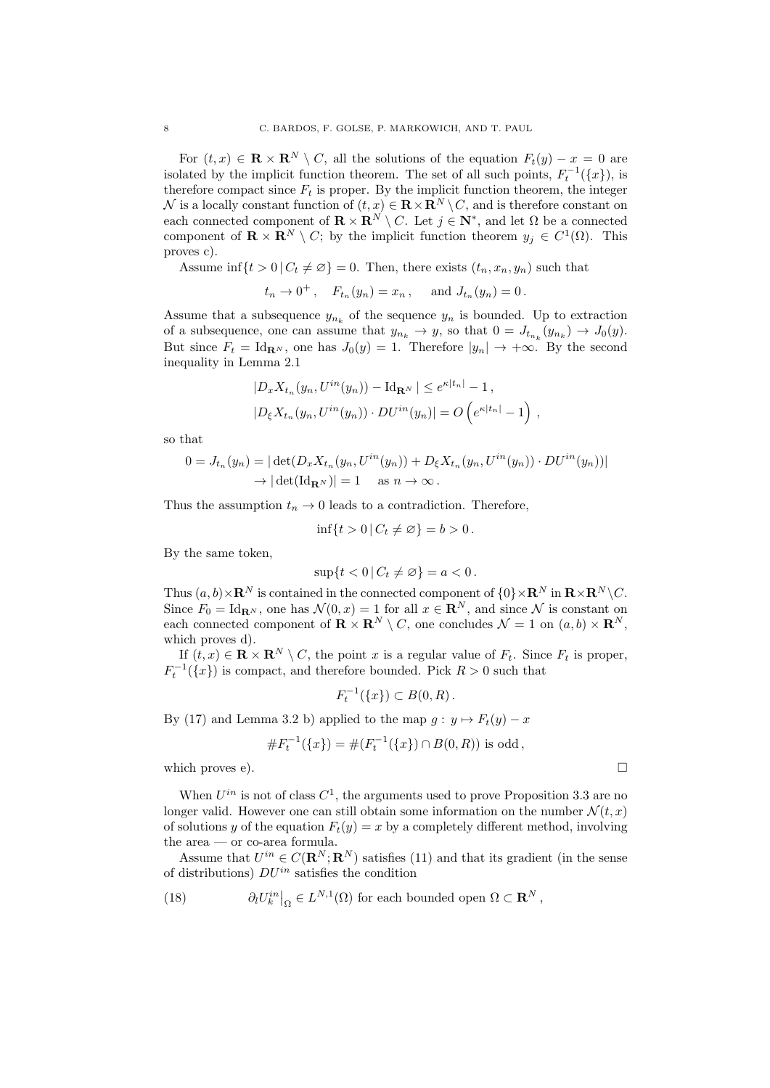For  $(t, x) \in \mathbf{R} \times \mathbf{R}^N \setminus C$ , all the solutions of the equation  $F_t(y) - x = 0$  are isolated by the implicit function theorem. The set of all such points,  $F_t^{-1}(\{x\})$ , is therefore compact since  $F_t$  is proper. By the implicit function theorem, the integer  $\mathcal N$  is a locally constant function of  $(t, x) \in \mathbf R \times \mathbf R^N \setminus C$ , and is therefore constant on each connected component of  $\mathbf{R} \times \mathbf{R}^{N} \setminus C$ . Let  $j \in \mathbf{N}^*$ , and let  $\Omega$  be a connected component of  $\mathbf{R} \times \mathbf{R}^N \setminus C$ ; by the implicit function theorem  $y_j \in C^1(\Omega)$ . This proves c).

Assume inf $\{t > 0 \mid C_t \neq \emptyset\} = 0$ . Then, there exists  $(t_n, x_n, y_n)$  such that

$$
t_n \to 0^+
$$
,  $F_{t_n}(y_n) = x_n$ , and  $J_{t_n}(y_n) = 0$ .

Assume that a subsequence  $y_{n_k}$  of the sequence  $y_n$  is bounded. Up to extraction of a subsequence, one can assume that  $y_{n_k} \to y$ , so that  $0 = J_{t_{n_k}}(y_{n_k}) \to J_0(y)$ . But since  $F_t = \text{Id}_{\mathbf{R}^N}$ , one has  $J_0(y) = 1$ . Therefore  $|y_n| \to +\infty$ . By the second inequality in Lemma 2.1

$$
|D_x X_{t_n}(y_n, U^{in}(y_n)) - \mathrm{Id}_{\mathbf{R}^N}| \le e^{\kappa |t_n|} - 1,
$$
  

$$
|D_{\xi} X_{t_n}(y_n, U^{in}(y_n)) \cdot DU^{in}(y_n)| = O\left(e^{\kappa |t_n|} - 1\right),
$$

so that

$$
0 = J_{t_n}(y_n) = |\det(D_x X_{t_n}(y_n, U^{in}(y_n)) + D_{\xi} X_{t_n}(y_n, U^{in}(y_n)) \cdot DU^{in}(y_n))|
$$
  
 
$$
\rightarrow |\det(\text{Id}_{\mathbf{R}^N})| = 1 \text{ as } n \rightarrow \infty.
$$

Thus the assumption  $t_n \to 0$  leads to a contradiction. Therefore,

$$
\inf\{t>0\,|\,C_t\neq\varnothing\}=b>0.
$$

By the same token,

$$
\sup\{t<0\,|\,C_t\neq\varnothing\}=a<0.
$$

Thus  $(a, b) \times \mathbf{R}^N$  is contained in the connected component of  $\{0\} \times \mathbf{R}^N$  in  $\mathbf{R} \times \mathbf{R}^N \setminus C$ . Since  $F_0 = \text{Id}_{\mathbf{R}^N}$ , one has  $\mathcal{N}(0, x) = 1$  for all  $x \in \mathbf{R}^N$ , and since  $\mathcal N$  is constant on each connected component of  $\mathbf{R} \times \mathbf{R}^N \setminus C$ , one concludes  $\mathcal{N} = 1$  on  $(a, b) \times \mathbf{R}^N$ , which proves d).

If  $(t, x) \in \mathbf{R} \times \mathbf{R}^N \setminus C$ , the point *x* is a regular value of  $F_t$ . Since  $F_t$  is proper,  $F_t^{-1}(\lbrace x \rbrace)$  is compact, and therefore bounded. Pick  $R > 0$  such that

$$
F_t^{-1}(\lbrace x \rbrace) \subset B(0,R).
$$

By (17) and Lemma 3.2 b) applied to the map  $g: y \mapsto F_t(y) - x$ 

$$
\#F_t^{-1}(\{x\}) = \#(F_t^{-1}(\{x\}) \cap B(0,R)) \text{ is odd},
$$

which proves e).  $\Box$ 

When  $U^{in}$  is not of class  $C^1$ , the arguments used to prove Proposition 3.3 are no longer valid. However one can still obtain some information on the number  $\mathcal{N}(t,x)$ of solutions *y* of the equation  $F_t(y) = x$  by a completely different method, involving the area — or co-area formula.

Assume that  $U^{in} \in C(\mathbf{R}^N;\mathbf{R}^N)$  satisfies (11) and that its gradient (in the sense of distributions) *DUin* satisfies the condition

(18) 
$$
\partial_l U_k^{in} \big|_{\Omega} \in L^{N,1}(\Omega) \text{ for each bounded open } \Omega \subset \mathbf{R}^N,
$$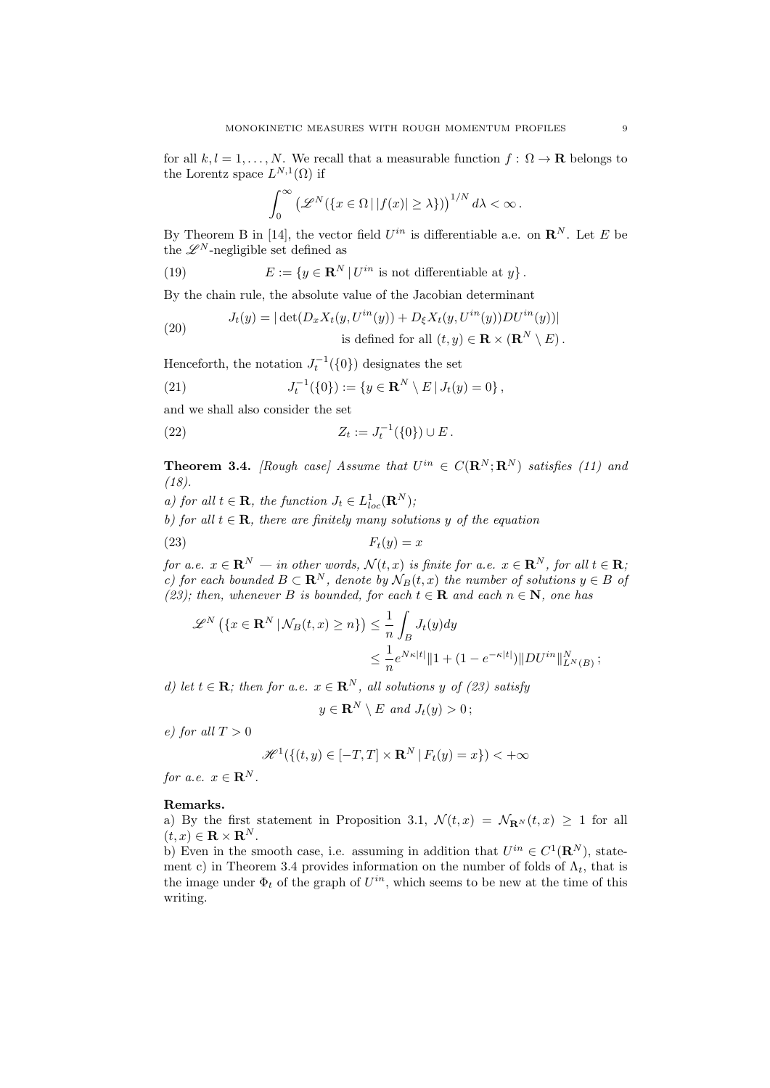for all  $k, l = 1, ..., N$ . We recall that a measurable function  $f : \Omega \to \mathbf{R}$  belongs to the Lorentz space  $L^{N,1}(\Omega)$  if

$$
\int_0^\infty \left(\mathscr{L}^N(\{x \in \Omega \,|\, |f(x)| \geq \lambda\})\right)^{1/N} d\lambda < \infty.
$$

By Theorem B in [14], the vector field  $U^{in}$  is differentiable a.e. on  $\mathbb{R}^{N}$ . Let *E* be the  $\mathscr{L}^N$ -negligible set defined as

(19) 
$$
E := \{ y \in \mathbf{R}^N \, | \, U^{in} \text{ is not differentiable at } y \}.
$$

By the chain rule, the absolute value of the Jacobian determinant

(20) 
$$
J_t(y) = |\det(D_x X_t(y, U^{in}(y)) + D_{\xi} X_t(y, U^{in}(y))DU^{in}(y))|
$$
  
is defined for all  $(t, y) \in \mathbf{R} \times (\mathbf{R}^N \setminus E)$ .

Henceforth, the notation  $J_t^{-1}(\{0\})$  designates the set

(21) 
$$
J_t^{-1}(\{0\}) := \{y \in \mathbf{R}^N \setminus E \,|\, J_t(y) = 0\},
$$

and we shall also consider the set

(22) 
$$
Z_t := J_t^{-1}(\{0\}) \cup E.
$$

**Theorem 3.4.** *[Rough case] Assume that*  $U^{in} \in C(\mathbb{R}^N; \mathbb{R}^N)$  *satisfies (11) and (18).*

*a)* for all  $t \in \mathbf{R}$ , the function  $J_t \in L^1_{loc}(\mathbf{R}^N)$ ;

*b)* for all  $t \in \mathbf{R}$ , there are finitely many solutions y of the equation

$$
F_t(y) = x
$$

*for a.e.*  $x \in \mathbb{R}^N$  *— in other words,*  $\mathcal{N}(t, x)$  *is finite for a.e.*  $x \in \mathbb{R}^N$ *, for all*  $t \in \mathbb{R}$ *; c)* for each bounded  $B \subset \mathbb{R}^N$ , denote by  $\mathcal{N}_B(t, x)$  the number of solutions  $y \in B$  of *(23); then, whenever B is bounded, for each*  $t \in \mathbf{R}$  *and each*  $n \in \mathbf{N}$ *, one has* 

$$
\mathscr{L}^N\left(\left\{x \in \mathbf{R}^N \,|\, \mathcal{N}_B(t,x) \ge n\right\}\right) \le \frac{1}{n} \int_B J_t(y) dy
$$
  

$$
\le \frac{1}{n} e^{N\kappa|t|} \|1 + (1 - e^{-\kappa|t|}) \|DU^{in}\|_{L^N(B)}^N;
$$

*d)* let  $t \in \mathbf{R}$ ; then for a.e.  $x \in \mathbf{R}^N$ , all solutions *y* of (23) satisfy

$$
y \in \mathbf{R}^N \setminus E \text{ and } J_t(y) > 0;
$$

*e) for all T >* 0

$$
\mathcal{H}^1(\{(t,y)\in[-T,T]\times\mathbf{R}^N\,|\,F_t(y)=x\})<+\infty
$$

*for a.e.*  $x \in \mathbf{R}^N$ .

## Remarks.

a) By the first statement in Proposition 3.1,  $\mathcal{N}(t,x) = \mathcal{N}_{\mathbf{R}^N}(t,x) \geq 1$  for all  $(t, x) \in \mathbf{R} \times \mathbf{R}^N$ .

b) Even in the smooth case, i.e. assuming in addition that  $U^{in} \in C^1(\mathbb{R}^N)$ , statement c) in Theorem 3.4 provides information on the number of folds of  $\Lambda_t$ , that is the image under  $\Phi_t$  of the graph of  $U^{in}$ , which seems to be new at the time of this writing.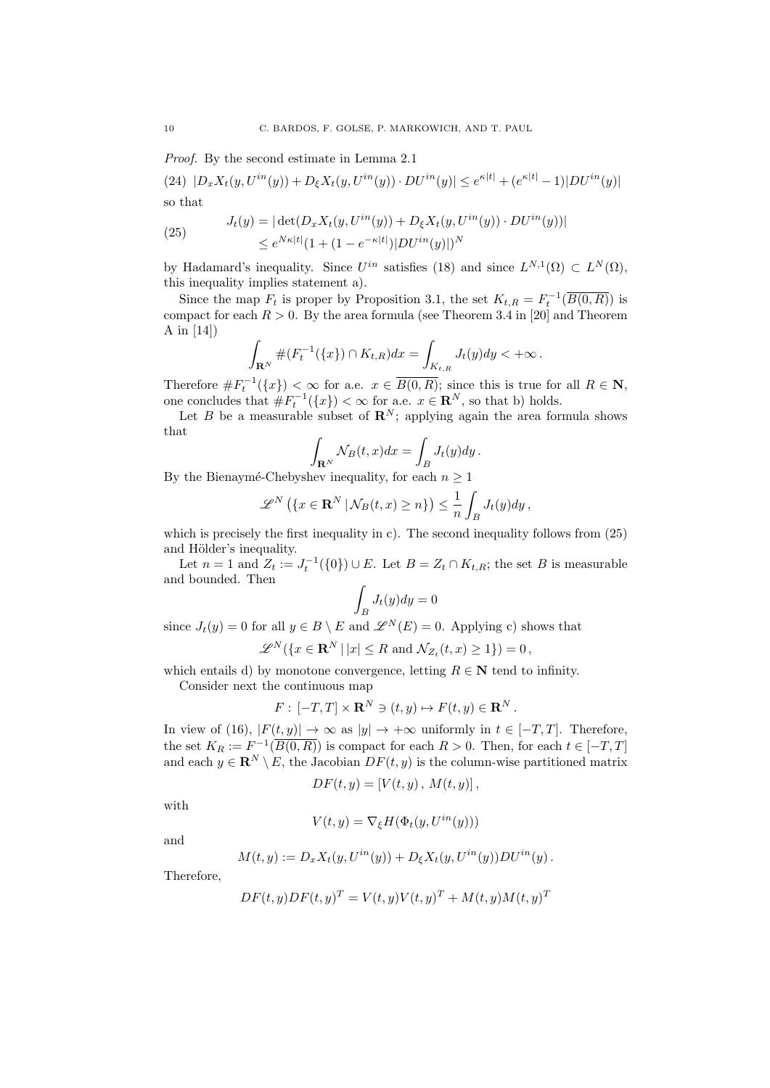*Proof.* By the second estimate in Lemma 2.1

(24)  $|D_x X_t(y, U^{in}(y)) + D_{\xi} X_t(y, U^{in}(y)) \cdot DU^{in}(y)| \le e^{\kappa |t|} + (e^{\kappa |t|} - 1)|DU^{in}(y)|$ so that

(25) 
$$
J_t(y) = |\det(D_x X_t(y, U^{in}(y)) + D_{\xi} X_t(y, U^{in}(y)) \cdot DU^{in}(y))|
$$

$$
\leq e^{N\kappa|t|} (1 + (1 - e^{-\kappa|t|}) |DU^{in}(y)|)^N
$$

by Hadamard's inequality. Since  $U^{in}$  satisfies (18) and since  $L^{N,1}(\Omega) \subset L^N(\Omega)$ . this inequality implies statement a).

Since the map  $F_t$  is proper by Proposition 3.1, the set  $K_{t,R} = F_t^{-1}(\overline{B(0,R)})$  is compact for each  $R > 0$ . By the area formula (see Theorem 3.4 in [20] and Theorem A in [14])

$$
\int_{\mathbf{R}^N} \#(F_t^{-1}(\{x\}) \cap K_{t,R}) dx = \int_{K_{t,R}} J_t(y) dy < +\infty.
$$

Therefore  $\#F_t^{-1}(\lbrace x \rbrace) < \infty$  for a.e.  $x \in B(0,R)$ ; since this is true for all  $R \in \mathbb{N}$ , one concludes that  $#F_t^{-1}(\lbrace x \rbrace) < \infty$  for a.e.  $x \in \mathbf{R}^N$ , so that b) holds.

Let *B* be a measurable subset of  $\mathbb{R}^N$ ; applying again the area formula shows that

$$
\int_{\mathbf{R}^N} \mathcal{N}_B(t,x) dx = \int_B J_t(y) dy.
$$

By the Bienaymé-Chebyshev inequality, for each  $n \geq 1$ 

$$
\mathscr{L}^N\left(\lbrace x \in \mathbf{R}^N \, | \, \mathcal{N}_B(t,x) \geq n \rbrace\right) \leq \frac{1}{n} \int_B J_t(y) dy \,,
$$

which is precisely the first inequality in c). The second inequality follows from (25) and Hölder's inequality.

Let  $n = 1$  and  $Z_t := J_t^{-1}(\{0\}) \cup E$ . Let  $B = Z_t \cap K_{t,R}$ ; the set *B* is measurable and bounded. Then

$$
\int_B J_t(y) dy = 0
$$

since  $J_t(y) = 0$  for all  $y \in B \setminus E$  and  $\mathscr{L}^N(E) = 0$ . Applying c) shows that

$$
\mathscr{L}^N(\lbrace x \in \mathbf{R}^N \, | \, |x| \le R \text{ and } \mathcal{N}_{Z_t}(t,x) \ge 1 \rbrace) = 0,
$$

which entails d) by monotone convergence, letting  $R \in \mathbb{N}$  tend to infinity.

Consider next the continuous map

$$
F: [-T, T] \times \mathbf{R}^N \ni (t, y) \mapsto F(t, y) \in \mathbf{R}^N.
$$

In view of (16),  $|F(t, y)| \to \infty$  as  $|y| \to +\infty$  uniformly in  $t \in [-T, T]$ . Therefore, the set  $K_R := F^{-1}(\overline{B(0,R)})$  is compact for each  $R > 0$ . Then, for each  $t \in [-T,T]$ and each  $y \in \mathbb{R}^N \setminus E$ , the Jacobian  $DF(t, y)$  is the column-wise partitioned matrix

$$
DF(t, y) = [V(t, y), M(t, y)],
$$

with

$$
V(t,y) = \nabla_{\xi} H(\Phi_t(y,U^{in}(y)))
$$

and

$$
M(t, y) := D_x X_t(y, U^{in}(y)) + D_{\xi} X_t(y, U^{in}(y)) D U^{in}(y).
$$

Therefore,

$$
DF(t, y)DF(t, y)T = V(t, y)V(t, y)T + M(t, y)M(t, y)T
$$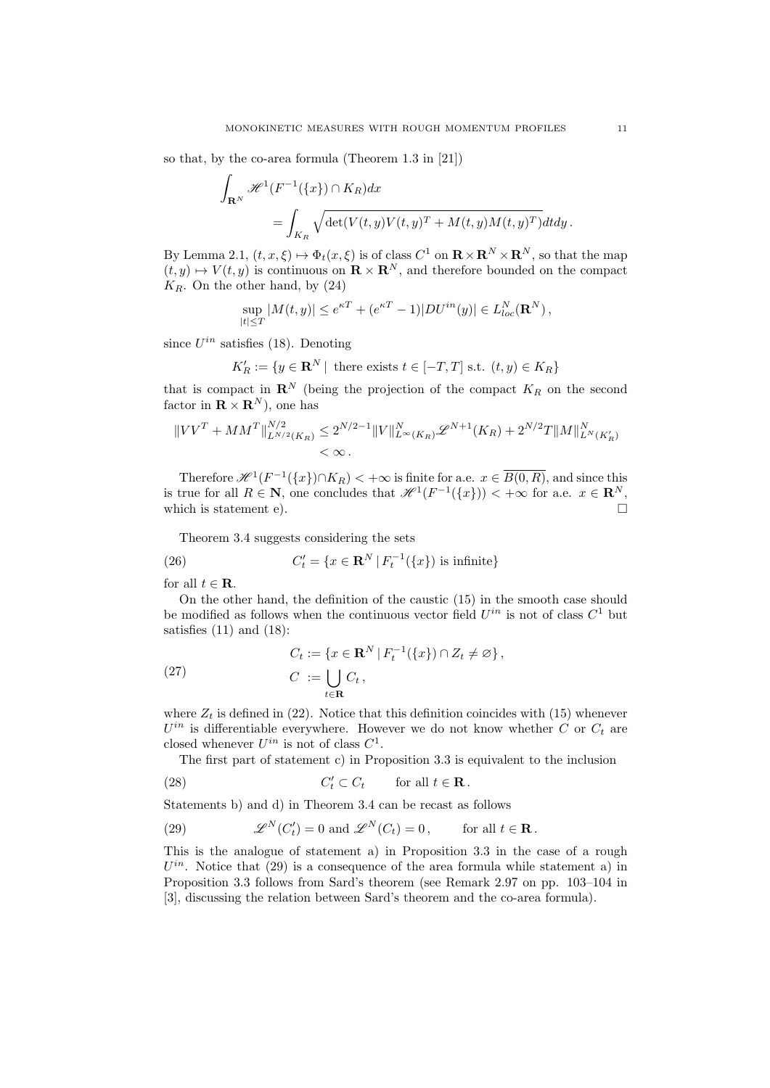so that, by the co-area formula (Theorem 1.3 in [21])

$$
\int_{\mathbf{R}^N} \mathcal{H}^1(F^{-1}(\{x\}) \cap K_R) dx
$$
  
= 
$$
\int_{K_R} \sqrt{\det(V(t, y)V(t, y)^T + M(t, y)M(t, y)^T)} dt dy.
$$

By Lemma 2.1,  $(t, x, \xi) \mapsto \Phi_t(x, \xi)$  is of class  $C^1$  on  $\mathbb{R} \times \mathbb{R}^N \times \mathbb{R}^N$ , so that the map  $(t, y) \mapsto V(t, y)$  is continuous on  $\mathbf{R} \times \mathbf{R}^{N}$ , and therefore bounded on the compact  $K_R$ . On the other hand, by  $(24)$ 

$$
\sup_{|t| \leq T} |M(t, y)| \leq e^{\kappa T} + (e^{\kappa T} - 1)|DU^{in}(y)| \in L_{loc}^N(\mathbf{R}^N),
$$

since *Uin* satisfies (18). Denoting

$$
K'_R := \{ y \in \mathbf{R}^N \mid \text{ there exists } t \in [-T, T] \text{ s.t. } (t, y) \in K_R \}
$$

that is compact in  $\mathbb{R}^N$  (being the projection of the compact  $K_R$  on the second factor in  $\mathbf{R} \times \mathbf{R}^{N}$ , one has

$$
||VV^T + MM^T||_{L^{N/2}(K_R)}^{N/2} \le 2^{N/2-1} ||V||_{L^{\infty}(K_R)}^N \mathcal{L}^{N+1}(K_R) + 2^{N/2} T ||M||_{L^N(K'_R)}^N
$$
  
<  $\infty$ .

Therefore  $\mathscr{H}^1(F^{-1}(\lbrace x \rbrace) \cap K_R) < +\infty$  is finite for a.e.  $x \in \overline{B(0,R)}$ , and since this is true for all  $R \in \mathbb{N}$ , one concludes that  $\mathcal{H}^1(F^{-1}(\lbrace x \rbrace)) < +\infty$  for a.e.  $x \in \mathbb{R}^N$ , which is statement a) which is statement e).

Theorem 3.4 suggests considering the sets

(26) 
$$
C'_{t} = \{x \in \mathbf{R}^{N} | F_{t}^{-1}(\{x\}) \text{ is infinite}\}\
$$

for all  $t \in \mathbf{R}$ .

On the other hand, the definition of the caustic (15) in the smooth case should be modified as follows when the continuous vector field  $U^{in}$  is not of class  $C^1$  but satisfies  $(11)$  and  $(18)$ :

(27) 
$$
C_t := \{x \in \mathbf{R}^N \mid F_t^{-1}(\{x\}) \cap Z_t \neq \varnothing\},
$$

$$
C := \bigcup_{t \in \mathbf{R}} C_t,
$$

where  $Z_t$  is defined in (22). Notice that this definition coincides with (15) whenever  $U^{in}$  is differentiable everywhere. However we do not know whether *C* or  $C_t$  are closed whenever  $U^{in}$  is not of class  $C^1$ .

The first part of statement c) in Proposition 3.3 is equivalent to the inclusion

(28) 
$$
C'_t \subset C_t \quad \text{for all } t \in \mathbf{R}.
$$

Statements b) and d) in Theorem 3.4 can be recast as follows

(29) 
$$
\mathscr{L}^N(C'_t) = 0 \text{ and } \mathscr{L}^N(C_t) = 0, \quad \text{for all } t \in \mathbf{R}.
$$

This is the analogue of statement a) in Proposition 3.3 in the case of a rough  $U^{in}$ . Notice that (29) is a consequence of the area formula while statement a) in Proposition 3.3 follows from Sard's theorem (see Remark 2.97 on pp. 103–104 in [3], discussing the relation between Sard's theorem and the co-area formula).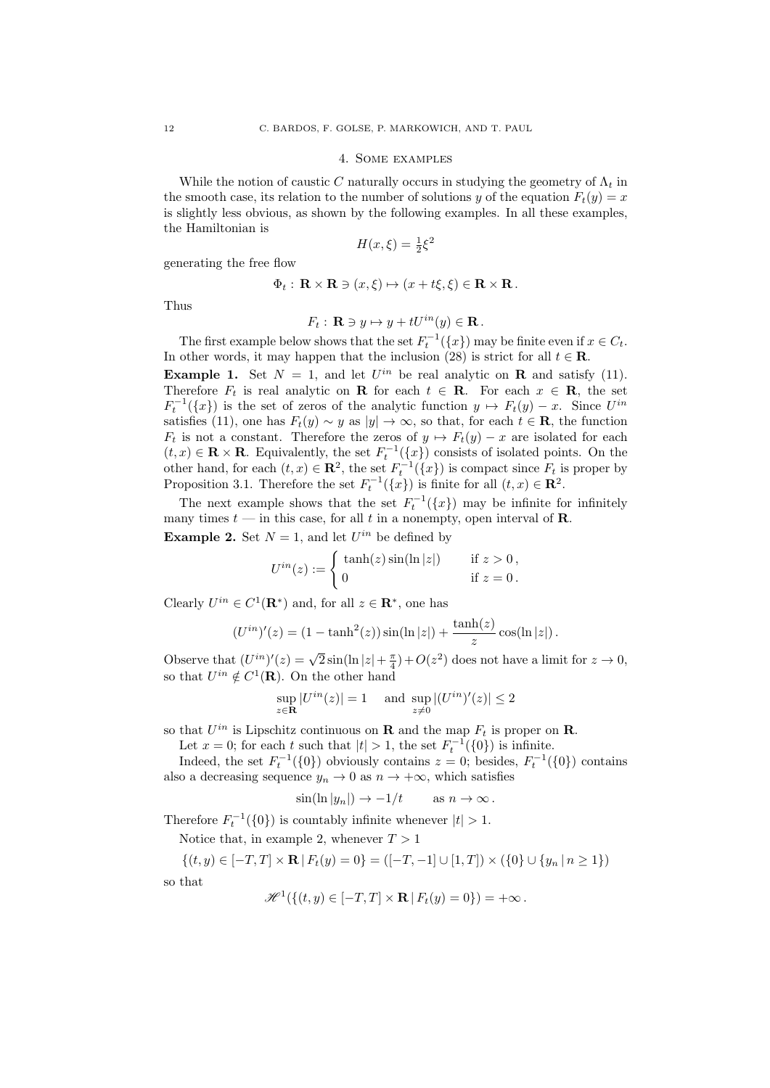#### 4. Some examples

While the notion of caustic C naturally occurs in studying the geometry of  $\Lambda_t$  in the smooth case, its relation to the number of solutions *y* of the equation  $F_t(y) = x$ is slightly less obvious, as shown by the following examples. In all these examples, the Hamiltonian is

$$
H(x,\xi) = \frac{1}{2}\xi^2
$$

generating the free flow

$$
\Phi_t: \mathbf{R} \times \mathbf{R} \ni (x, \xi) \mapsto (x + t\xi, \xi) \in \mathbf{R} \times \mathbf{R}.
$$

Thus

 $\mathbf{s}$ 

$$
F_t: \mathbf{R} \ni y \mapsto y + tU^{in}(y) \in \mathbf{R}.
$$

The first example below shows that the set  $F_t^{-1}(\lbrace x \rbrace)$  may be finite even if  $x \in C_t$ . In other words, it may happen that the inclusion (28) is strict for all  $t \in \mathbb{R}$ .

**Example 1.** Set  $N = 1$ , and let  $U^{in}$  be real analytic on **R** and satisfy (11). Therefore  $F_t$  is real analytic on **R** for each  $t \in \mathbf{R}$ . For each  $x \in \mathbf{R}$ , the set  $F_t^{-1}(\lbrace x \rbrace)$  is the set of zeros of the analytic function  $y \mapsto F_t(y) - x$ . Since  $U^{in}$ satisfies (11), one has  $F_t(y) \sim y$  as  $|y| \to \infty$ , so that, for each  $t \in \mathbf{R}$ , the function  $F_t$  is not a constant. Therefore the zeros of  $y \mapsto F_t(y) - x$  are isolated for each  $(t, x) \in \mathbf{R} \times \mathbf{R}$ . Equivalently, the set  $F_t^{-1}(\lbrace x \rbrace)$  consists of isolated points. On the other hand, for each  $(t, x) \in \mathbb{R}^2$ , the set  $F_t^{-1}(\lbrace x \rbrace)$  is compact since  $F_t$  is proper by Proposition 3.1. Therefore the set  $F_t^{-1}(\{x\})$  is finite for all  $(t, x) \in \mathbb{R}^2$ .

The next example shows that the set  $F_t^{-1}(\lbrace x \rbrace)$  may be infinite for infinitely many times  $t$  — in this case, for all  $t$  in a nonempty, open interval of **R**. **Example 2.** Set  $N = 1$ , and let  $U^{in}$  be defined by

$$
U^{in}(z) := \begin{cases} \tanh(z)\sin(\ln|z|) & \text{if } z > 0, \\ 0 & \text{if } z = 0. \end{cases}
$$

Clearly  $U^{in} \in C^1(\mathbf{R}^*)$  and, for all  $z \in \mathbf{R}^*$ , one has

$$
(U^{in})'(z) = (1 - \tanh^2(z))\sin(\ln|z|) + \frac{\tanh(z)}{z}\cos(\ln|z|).
$$

Observe that  $(U^{in})'(z) = \sqrt{2} \sin(\ln |z| + \frac{\pi}{4}) + O(z^2)$  does not have a limit for  $z \to 0$ , so that  $U^{in} \notin C^1(\mathbf{R})$ . On the other hand

$$
\sup_{z \in \mathbf{R}} |U^{in}(z)| = 1 \quad \text{and } \sup_{z \neq 0} |(U^{in})'(z)| \leq 2
$$

so that  $U^{in}$  is Lipschitz continuous on **R** and the map  $F_t$  is proper on **R**.

Let  $x = 0$ ; for each *t* such that  $|t| > 1$ , the set  $F_t^{-1}(\{0\})$  is infinite.

Indeed, the set  $F_t^{-1}(\{0\})$  obviously contains  $z = 0$ ; besides,  $F_t^{-1}(\{0\})$  contains also a decreasing sequence  $y_n \to 0$  as  $n \to +\infty$ , which satisfies

$$
\sin(\ln|y_n|) \to -1/t \quad \text{as } n \to \infty \, .
$$

Therefore  $F_t^{-1}(\{0\})$  is countably infinite whenever  $|t| > 1$ .

Notice that, in example 2, whenever  $T > 1$ 

$$
\{(t, y) \in [-T, T] \times \mathbf{R} \mid F_t(y) = 0\} = ([-T, -1] \cup [1, T]) \times (\{0\} \cup \{y_n \mid n \ge 1\})
$$
o that

$$
\mathscr{H}^1(\{(t,y)\in[-T,T]\times\mathbf{R}\,|\,F_t(y)=0\})=+\infty\,.
$$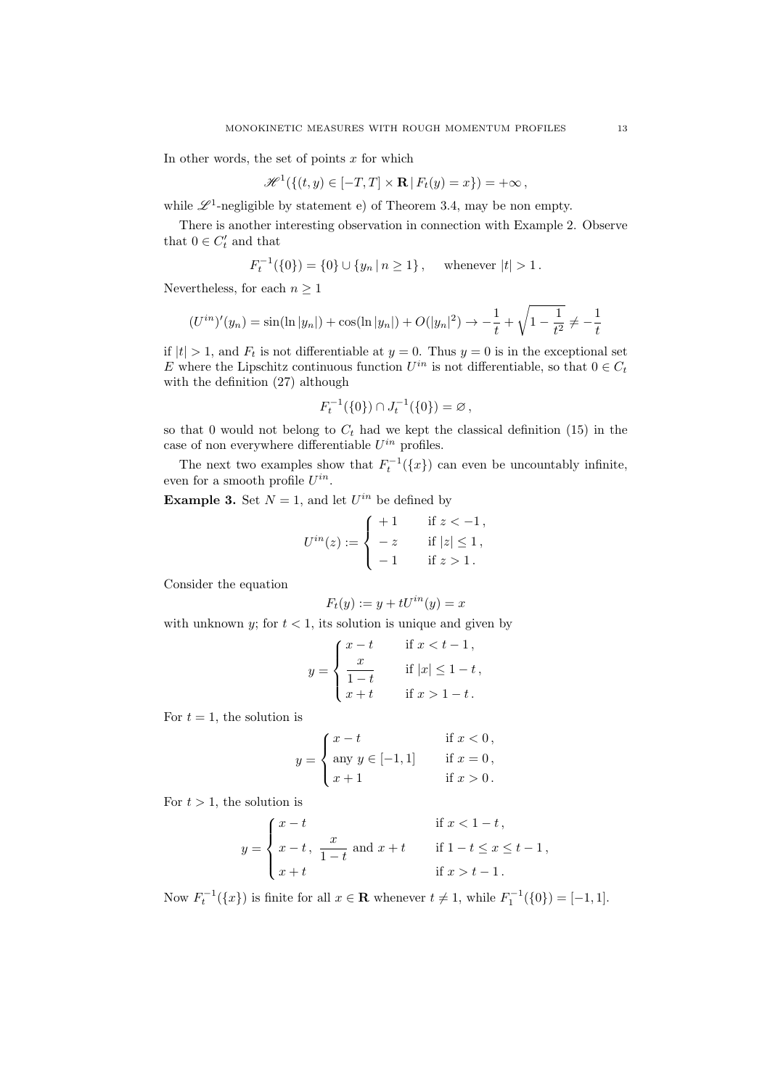In other words, the set of points *x* for which

$$
\mathscr{H}^1(\{(t,y)\in[-T,T]\times\mathbf{R}\,|\,F_t(y)=x\})=+\infty\,,
$$

while  $\mathscr{L}^1$ -negligible by statement e) of Theorem 3.4, may be non empty.

There is another interesting observation in connection with Example 2. Observe that  $0 \in C_t'$  and that

$$
F_t^{-1}(\{0\}) = \{0\} \cup \{y_n \mid n \ge 1\}, \text{ whenever } |t| > 1.
$$

Nevertheless, for each  $n \geq 1$ 

$$
(U^{in})'(y_n) = \sin(\ln|y_n|) + \cos(\ln|y_n|) + O(|y_n|^2) \to -\frac{1}{t} + \sqrt{1 - \frac{1}{t^2}} \neq -\frac{1}{t}
$$

if  $|t| > 1$ , and  $F_t$  is not differentiable at  $y = 0$ . Thus  $y = 0$  is in the exceptional set *E* where the Lipschitz continuous function  $U^{in}$  is not differentiable, so that  $0 \in C_t$ with the definition (27) although

$$
F_t^{-1}(\{0\}) \cap J_t^{-1}(\{0\}) = \varnothing ,
$$

so that 0 would not belong to  $C_t$  had we kept the classical definition (15) in the case of non everywhere differentiable  $U^{in}$  profiles.

The next two examples show that  $F_t^{-1}(\lbrace x \rbrace)$  can even be uncountably infinite, even for a smooth profile *Uin*.

**Example 3.** Set  $N = 1$ , and let  $U^{in}$  be defined by

$$
U^{in}(z) := \begin{cases} +1 & \text{if } z < -1, \\ -z & \text{if } |z| \le 1, \\ -1 & \text{if } z > 1. \end{cases}
$$

Consider the equation

$$
F_t(y) := y + tU^{in}(y) = x
$$

with unknown *y*; for  $t < 1$ , its solution is unique and given by

$$
y = \begin{cases} x - t & \text{if } x < t - 1, \\ \frac{x}{1 - t} & \text{if } |x| \le 1 - t, \\ x + t & \text{if } x > 1 - t. \end{cases}
$$

For  $t=1$ , the solution is

$$
y = \begin{cases} x - t & \text{if } x < 0, \\ \text{any } y \in [-1, 1] & \text{if } x = 0, \\ x + 1 & \text{if } x > 0. \end{cases}
$$

For  $t > 1$ , the solution is

$$
y = \begin{cases} x - t & \text{if } x < 1 - t, \\ x - t, \frac{x}{1 - t} \text{ and } x + t & \text{if } 1 - t \le x \le t - 1, \\ x + t & \text{if } x > t - 1. \end{cases}
$$

Now  $F_t^{-1}(\{x\})$  is finite for all  $x \in \mathbf{R}$  whenever  $t \neq 1$ , while  $F_1^{-1}(\{0\}) = [-1, 1]$ .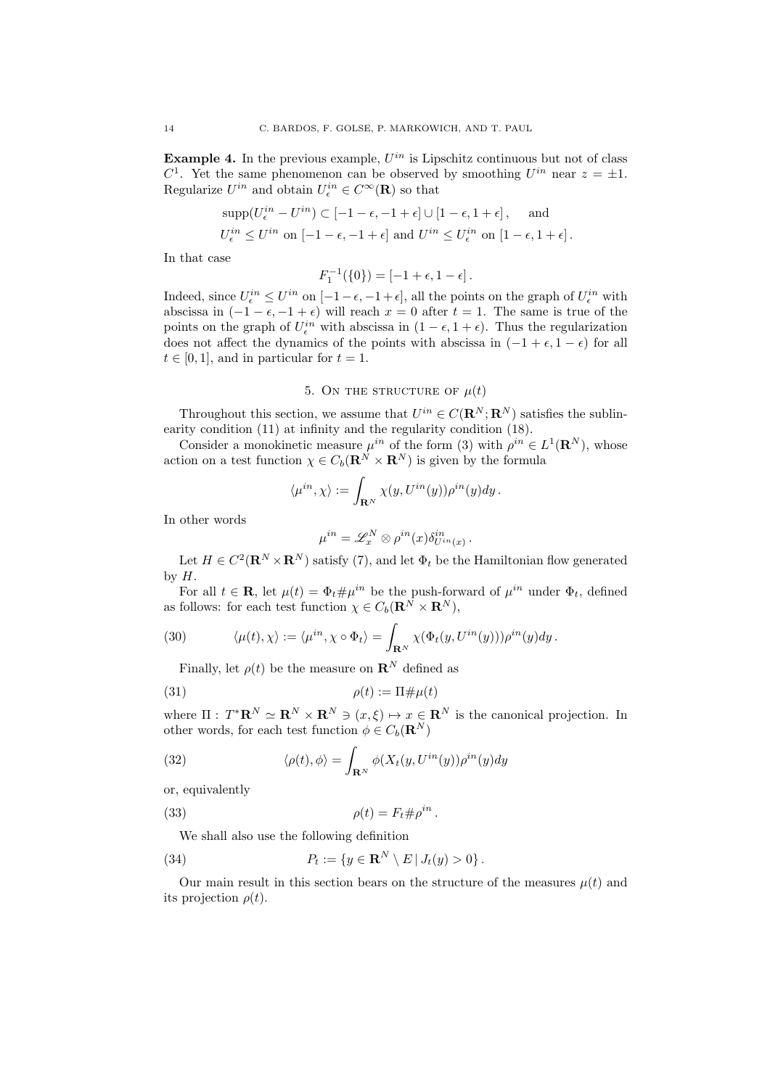**Example 4.** In the previous example,  $U^{in}$  is Lipschitz continuous but not of class *C*<sup>1</sup>. Yet the same phenomenon can be observed by smoothing  $U^{in}$  near  $z = \pm 1$ . Regularize  $U^{in}$  and obtain  $U_{\epsilon}^{in} \in C^{\infty}(\mathbf{R})$  so that

$$
\text{supp}(U_{\epsilon}^{in} - U^{in}) \subset [-1 - \epsilon, -1 + \epsilon] \cup [1 - \epsilon, 1 + \epsilon], \quad \text{and}
$$
  

$$
U_{\epsilon}^{in} \leq U^{in} \text{ on } [-1 - \epsilon, -1 + \epsilon] \text{ and } U^{in} \leq U_{\epsilon}^{in} \text{ on } [1 - \epsilon, 1 + \epsilon].
$$

In that case

$$
F_1^{-1}(\{0\}) = [-1 + \epsilon, 1 - \epsilon].
$$

Indeed, since  $U_{\epsilon}^{in} \leq U^{in}$  on  $[-1-\epsilon, -1+\epsilon]$ , all the points on the graph of  $U_{\epsilon}^{in}$  with abscissa in  $(-1 - \epsilon, -1 + \epsilon)$  will reach  $x = 0$  after  $t = 1$ . The same is true of the points on the graph of  $U_{\epsilon}^{in}$  with abscissa in  $(1 - \epsilon, 1 + \epsilon)$ . Thus the regularization does not affect the dynamics of the points with abscissa in  $(-1 + \epsilon, 1 - \epsilon)$  for all  $t \in [0, 1]$ , and in particular for  $t = 1$ .

## 5. ON THE STRUCTURE OF  $\mu(t)$

Throughout this section, we assume that  $U^{in} \in C(\mathbf{R}^N; \mathbf{R}^N)$  satisfies the sublinearity condition (11) at infinity and the regularity condition (18).

Consider a monokinetic measure  $\mu^{in}$  of the form (3) with  $\rho^{in} \in L^1(\mathbf{R}^N)$ , whose action on a test function  $\chi \in C_b(\mathbf{R}^N \times \mathbf{R}^N)$  is given by the formula

$$
\langle \mu^{in}, \chi \rangle := \int_{\mathbf{R}^N} \chi(y, U^{in}(y)) \rho^{in}(y) dy.
$$

In other words

$$
\mu^{in} = \mathscr{L}^N_x \otimes \rho^{in}(x) \delta_{U^{in}(x)}^{in}.
$$

Let  $H \in C^2(\mathbf{R}^N \times \mathbf{R}^N)$  satisfy (7), and let  $\Phi_t$  be the Hamiltonian flow generated by  $H$ .

For all  $t \in \mathbf{R}$ , let  $\mu(t) = \Phi_t \# \mu^{in}$  be the push-forward of  $\mu^{in}$  under  $\Phi_t$ , defined as follows: for each test function  $\chi \in C_b(\mathbf{R}^N \times \mathbf{R}^N)$ ,

(30) 
$$
\langle \mu(t), \chi \rangle := \langle \mu^{in}, \chi \circ \Phi_t \rangle = \int_{\mathbf{R}^N} \chi(\Phi_t(y, U^{in}(y))) \rho^{in}(y) dy.
$$

Finally, let  $\rho(t)$  be the measure on  $\mathbb{R}^N$  defined as

$$
\rho(t) := \Pi \# \mu(t)
$$

where  $\Pi$ :  $T^* \mathbf{R}^N \simeq \mathbf{R}^N \times \mathbf{R}^N \ni (x, \xi) \mapsto x \in \mathbf{R}^N$  is the canonical projection. In other words, for each test function  $\phi \in C_b(\mathbf{R}^N)$ 

(32) 
$$
\langle \rho(t), \phi \rangle = \int_{\mathbf{R}^N} \phi(X_t(y, U^{in}(y)) \rho^{in}(y) dy
$$

or, equivalently

(33) 
$$
\rho(t) = F_t \# \rho^{in}.
$$

We shall also use the following definition

(34) 
$$
P_t := \{ y \in \mathbf{R}^N \setminus E \, | \, J_t(y) > 0 \}.
$$

Our main result in this section bears on the structure of the measures  $\mu(t)$  and its projection  $\rho(t)$ .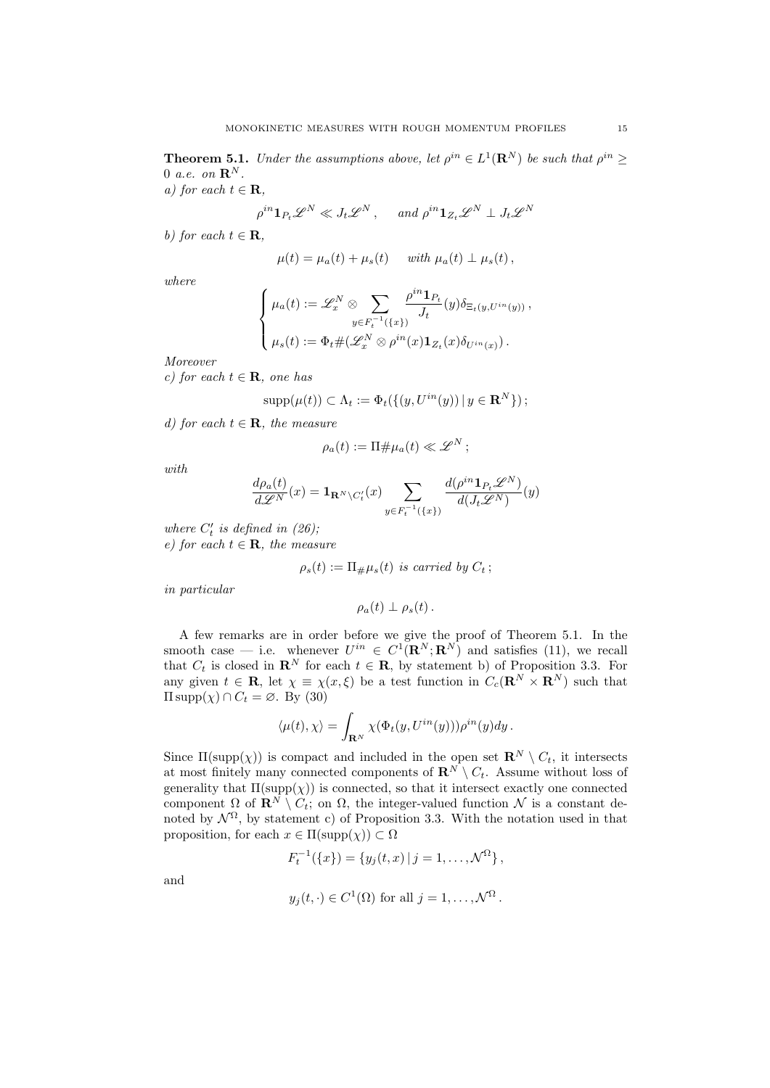**Theorem 5.1.** *Under the assumptions above, let*  $\rho^{in} \in L^1(\mathbb{R}^N)$  *be such that*  $\rho^{in} \geq$ 0 *a.e.* on  $\mathbf{R}^N$ .

*a)* for each  $t \in \mathbf{R}$ ,

$$
\rho^{in} \mathbf{1}_{P_t} \mathscr{L}^N \ll J_t \mathscr{L}^N, \quad \text{and } \rho^{in} \mathbf{1}_{Z_t} \mathscr{L}^N \perp J_t \mathscr{L}^N
$$

*b)* for each  $t \in \mathbf{R}$ .

$$
\mu(t) = \mu_a(t) + \mu_s(t) \quad \text{ with } \mu_a(t) \perp \mu_s(t),
$$

*where*

$$
\begin{cases}\n\mu_a(t) := \mathscr{L}_x^N \otimes \sum_{y \in F_t^{-1}(\{x\})} \frac{\rho^{in} \mathbf{1}_{P_t}}{J_t}(y) \delta_{\Xi_t(y,U^{in}(y))}, \\
\mu_s(t) := \Phi_t \# (\mathscr{L}_x^N \otimes \rho^{in}(x) \mathbf{1}_{Z_t}(x) \delta_{U^{in}(x)})\n\end{cases}
$$

*Moreover*

*c)* for each  $t \in \mathbf{R}$ , one has

$$
supp(\mu(t)) \subset \Lambda_t := \Phi_t(\{(y, U^{in}(y)) \mid y \in \mathbf{R}^N\});
$$

*d)* for each  $t \in \mathbf{R}$ , the measure

$$
\rho_a(t) := \Pi \# \mu_a(t) \ll \mathscr{L}^N \, ;
$$

*with*

$$
\frac{d\rho_a(t)}{d\mathscr{L}^N}(x) = \mathbf{1}_{\mathbf{R}^N \setminus C_t'}(x) \sum_{y \in F_t^{-1}(\{x\})} \frac{d(\rho^{in} \mathbf{1}_{P_t} \mathscr{L}^N)}{d(J_t \mathscr{L}^N)}(y)
$$

*where*  $C_t'$  *is defined in (26)*;  $e)$  for each  $t \in \mathbf{R}$ *, the measure* 

$$
\rho_s(t) := \Pi_{\#}\mu_s(t) \text{ is carried by } C_t \, ;
$$

*in particular*

$$
\rho_a(t)\perp\rho_s(t).
$$

A few remarks are in order before we give the proof of Theorem 5.1. In the smooth case — i.e. whenever  $U^{in} \in C^1(\mathbf{R}^N;\mathbf{R}^N)$  and satisfies (11), we recall that  $C_t$  is closed in  $\mathbf{R}^N$  for each  $t \in \mathbf{R}$ , by statement b) of Proposition 3.3. For any given  $t \in \mathbf{R}$ , let  $\chi = \chi(x, \xi)$  be a test function in  $C_c(\mathbf{R}^N \times \mathbf{R}^N)$  such that  $\Pi \text{supp}(\chi) \cap C_t = \emptyset$ . By (30)

$$
\langle \mu(t), \chi \rangle = \int_{\mathbf{R}^N} \chi(\Phi_t(y, U^{in}(y))) \rho^{in}(y) dy.
$$

Since  $\Pi(\text{supp}(\chi))$  is compact and included in the open set  $\mathbb{R}^N \setminus C_t$ , it intersects at most finitely many connected components of  $\mathbf{R}^N \setminus C_t$ . Assume without loss of generality that  $\Pi(\text{supp}(\chi))$  is connected, so that it intersect exactly one connected component  $\Omega$  of  $\mathbf{R}^N \setminus C_t$ ; on  $\Omega$ , the integer-valued function  $\mathcal N$  is a constant denoted by  $\mathcal{N}^{\Omega}$ , by statement c) of Proposition 3.3. With the notation used in that proposition, for each  $x \in \Pi(\text{supp}(\chi)) \subset \Omega$ 

$$
F_t^{-1}(\{x\}) = \{y_j(t,x) | j = 1,\ldots,\mathcal{N}^{\Omega}\},\
$$

and

$$
y_j(t, \cdot) \in C^1(\Omega)
$$
 for all  $j = 1, ..., \mathcal{N}^{\Omega}$ .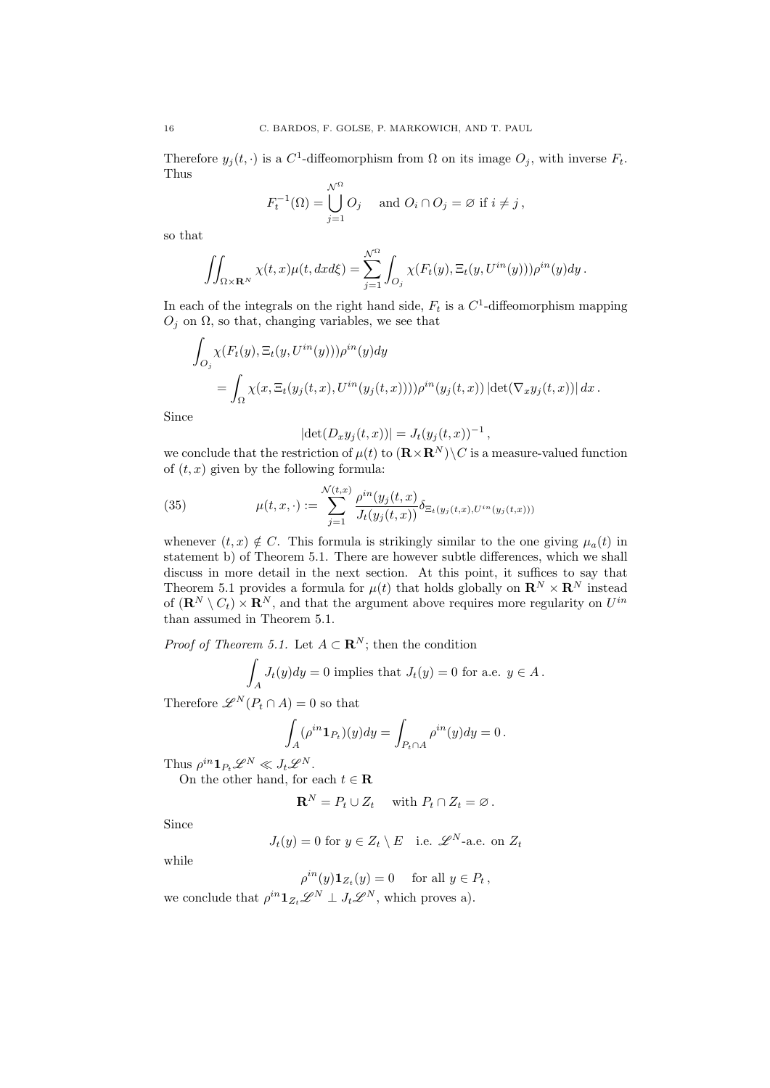Therefore  $y_j(t, \cdot)$  is a  $C^1$ -diffeomorphism from  $\Omega$  on its image  $O_j$ , with inverse  $F_t$ . Thus

$$
F_t^{-1}(\Omega) = \bigcup_{j=1}^{\mathcal{N}^{\Omega}} O_j \quad \text{and } O_i \cap O_j = \varnothing \text{ if } i \neq j,
$$

so that

$$
\iint_{\Omega\times\mathbf{R}^N}\chi(t,x)\mu(t,dxd\xi)=\sum_{j=1}^{\mathcal{N}^{\Omega}}\int_{O_j}\chi(F_t(y),\Xi_t(y,U^{in}(y)))\rho^{in}(y)dy.
$$

In each of the integrals on the right hand side,  $F_t$  is a  $C^1$ -diffeomorphism mapping  $O<sub>j</sub>$  on  $\Omega$ , so that, changing variables, we see that

$$
\int_{O_j} \chi(F_t(y), \Xi_t(y, U^{in}(y))) \rho^{in}(y) dy
$$
  
= 
$$
\int_{\Omega} \chi(x, \Xi_t(y_j(t, x), U^{in}(y_j(t, x)))) \rho^{in}(y_j(t, x)) |\det(\nabla_x y_j(t, x))| dx.
$$

Since

$$
|\det(D_x y_j(t, x))| = J_t(y_j(t, x))^{-1},
$$

we conclude that the restriction of  $\mu(t)$  to  $(\mathbf{R} \times \mathbf{R}^N) \setminus C$  is a measure-valued function of  $(t, x)$  given by the following formula:

(35) 
$$
\mu(t, x, \cdot) := \sum_{j=1}^{\mathcal{N}(t, x)} \frac{\rho^{in}(y_j(t, x))}{J_t(y_j(t, x))} \delta_{\Xi_t(y_j(t, x), U^{in}(y_j(t, x)))}
$$

whenever  $(t, x) \notin C$ . This formula is strikingly similar to the one giving  $\mu_a(t)$  in statement b) of Theorem 5.1. There are however subtle differences, which we shall discuss in more detail in the next section. At this point, it suffices to say that Theorem 5.1 provides a formula for  $\mu(t)$  that holds globally on  $\mathbb{R}^N \times \mathbb{R}^N$  instead of  $(\mathbf{R}^N \setminus C_t) \times \mathbf{R}^N$ , and that the argument above requires more regularity on  $U^{in}$ than assumed in Theorem 5.1.

*Proof of Theorem 5.1.* Let  $A \subset \mathbb{R}^N$ ; then the condition

$$
\int_A J_t(y)dy = 0
$$
 implies that  $J_t(y) = 0$  for a.e.  $y \in A$ .

Therefore  $\mathscr{L}^N(P_t \cap A) = 0$  so that

$$
\int_A (\rho^{in} \mathbf{1}_{P_t})(y) dy = \int_{P_t \cap A} \rho^{in}(y) dy = 0.
$$

Thus  $\rho^{in} \mathbf{1}_{P_t} \mathscr{L}^N \ll J_t \mathscr{L}^N$ .

On the other hand, for each  $t \in \mathbf{R}$ 

$$
\mathbf{R}^N = P_t \cup Z_t \quad \text{ with } P_t \cap Z_t = \varnothing \, .
$$

Since

$$
J_t(y) = 0
$$
 for  $y \in Z_t \setminus E$  i.e.  $\mathscr{L}^N$ -a.e. on  $Z_t$ 

while

$$
\rho^{in}(y)\mathbf{1}_{Z_t}(y) = 0 \quad \text{ for all } y \in P_t \,,
$$

we conclude that  $\rho^{in} \mathbf{1}_{Z_t} \mathscr{L}^N \perp J_t \mathscr{L}^N$ , which proves a).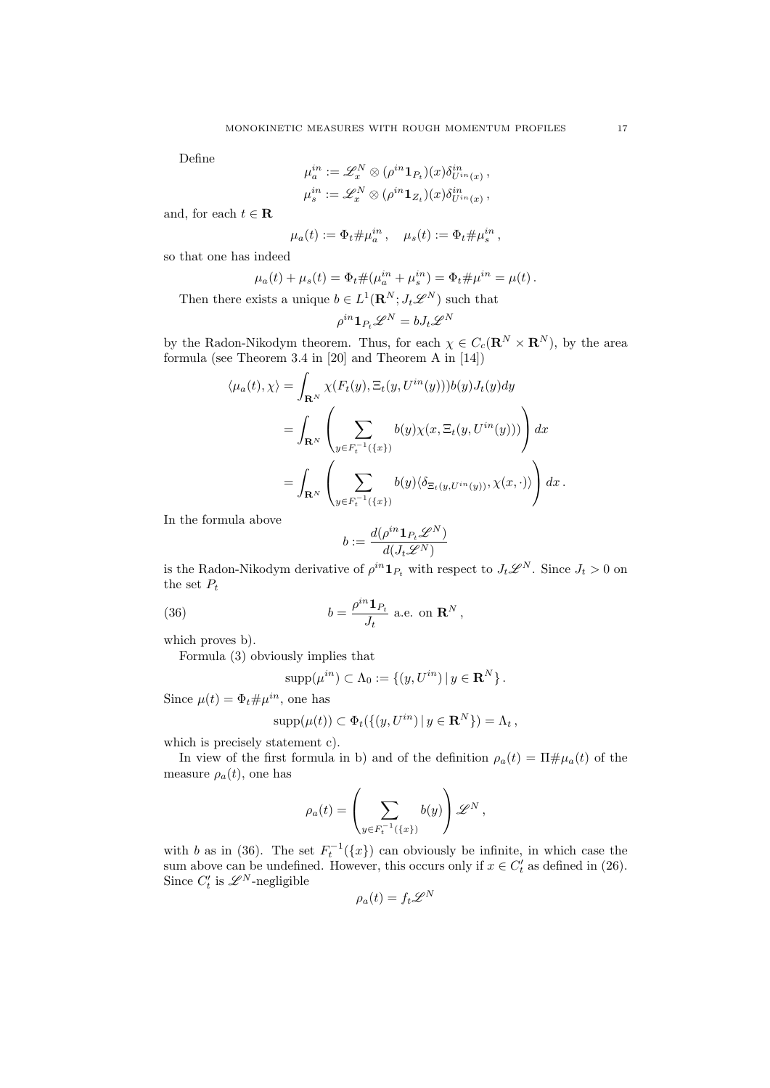Define

$$
\mu_a^{in} := \mathscr{L}_x^N \otimes (\rho^{in} \mathbf{1}_{P_t})(x) \delta_{U^{in}(x)}^{in} ,
$$
  

$$
\mu_s^{in} := \mathscr{L}_x^N \otimes (\rho^{in} \mathbf{1}_{Z_t})(x) \delta_{U^{in}(x)}^{in} ,
$$

and, for each  $t \in \mathbf{R}$ 

$$
\mu_a(t) := \Phi_t \# \mu_a^{in}, \quad \mu_s(t) := \Phi_t \# \mu_s^{in},
$$

so that one has indeed

$$
\mu_a(t) + \mu_s(t) = \Phi_t \# (\mu_a^{in} + \mu_s^{in}) = \Phi_t \# \mu^{in} = \mu(t).
$$

Then there exists a unique  $b \in L^1(\mathbf{R}^N; J_t \mathscr{L}^N)$  such that

*µin*

$$
\rho^{in} \mathbf{1}_{P_t} \mathscr{L}^N = b J_t \mathscr{L}^N
$$

by the Radon-Nikodym theorem. Thus, for each  $\chi \in C_c(\mathbf{R}^N \times \mathbf{R}^N)$ , by the area formula (see Theorem 3.4 in [20] and Theorem A in [14])

$$
\langle \mu_a(t), \chi \rangle = \int_{\mathbf{R}^N} \chi(F_t(y), \Xi_t(y, U^{in}(y))) b(y) J_t(y) dy
$$
  
= 
$$
\int_{\mathbf{R}^N} \left( \sum_{y \in F_t^{-1}(\{x\})} b(y) \chi(x, \Xi_t(y, U^{in}(y))) \right) dx
$$
  
= 
$$
\int_{\mathbf{R}^N} \left( \sum_{y \in F_t^{-1}(\{x\})} b(y) \langle \delta_{\Xi_t(y, U^{in}(y))}, \chi(x, \cdot) \rangle \right) dx.
$$

In the formula above

$$
b:=\frac{d(\rho^{in}\mathbf{1}_{P_t}\mathscr{L}^N)}{d(J_t\mathscr{L}^N)}
$$

is the Radon-Nikodym derivative of  $\rho^{in} \mathbf{1}_{P_t}$  with respect to  $J_t \mathscr{L}^N$ . Since  $J_t > 0$  on the set  $P_t$ 

(36) 
$$
b = \frac{\rho^{in} \mathbf{1}_{P_t}}{J_t} \text{ a.e. on } \mathbf{R}^N,
$$

which proves b).

Formula (3) obviously implies that

$$
supp(\mu^{in}) \subset \Lambda_0 := \{(y, U^{in}) \mid y \in \mathbf{R}^N\}.
$$

Since  $\mu(t) = \Phi_t \# \mu^{in}$ , one has

$$
supp(\mu(t)) \subset \Phi_t(\{(y, U^{in}) \mid y \in \mathbf{R}^N\}) = \Lambda_t,
$$

which is precisely statement c).

In view of the first formula in b) and of the definition  $\rho_a(t) = \Pi \# \mu_a(t)$  of the measure  $\rho_a(t)$ , one has

$$
\rho_a(t) = \left(\sum_{y \in F_t^{-1}(\{x\})} b(y)\right) \mathscr{L}^N,
$$

with *b* as in (36). The set  $F_t^{-1}(\lbrace x \rbrace)$  can obviously be infinite, in which case the sum above can be undefined. However, this occurs only if  $x \in C_t^{\prime}$  as defined in (26). Since  $C_t'$  is  $\mathscr{L}^N$ -negligible

$$
\rho_a(t) = f_t \mathscr{L}^N
$$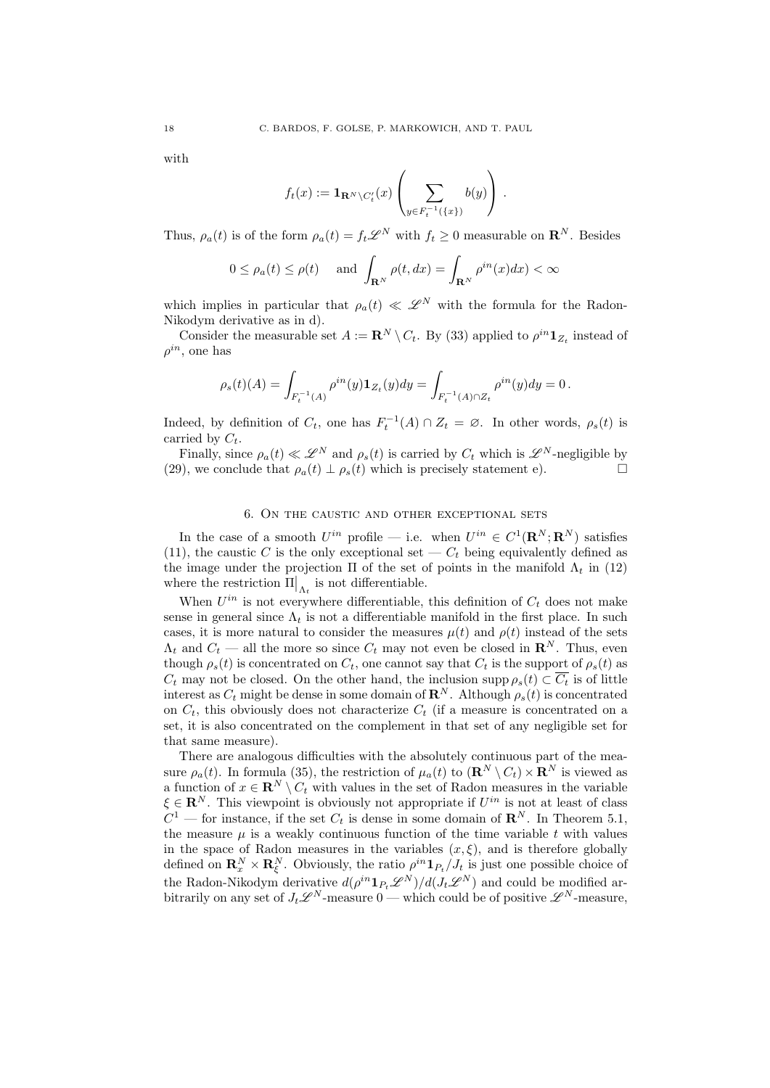with

$$
f_t(x) := \mathbf{1}_{\mathbf{R}^N \backslash C'_t}(x) \left( \sum_{y \in F_t^{-1}(\{x\})} b(y) \right).
$$

Thus,  $\rho_a(t)$  is of the form  $\rho_a(t) = f_t \mathscr{L}^N$  with  $f_t > 0$  measurable on  $\mathbb{R}^N$ . Besides

$$
0 \le \rho_a(t) \le \rho(t)
$$
 and  $\int_{\mathbf{R}^N} \rho(t, dx) = \int_{\mathbf{R}^N} \rho^{in}(x) dx < \infty$ 

which implies in particular that  $\rho_a(t) \ll \mathscr{L}^N$  with the formula for the Radon-Nikodym derivative as in d).

Consider the measurable set  $A := \mathbb{R}^N \setminus C_t$ . By (33) applied to  $\rho^{in} \mathbf{1}_{Z_t}$  instead of  $\rho^{in}$ , one has

$$
\rho_s(t)(A)=\int_{F_t^{-1}(A)}\rho^{in}(y)\mathbf{1}_{Z_t}(y)dy=\int_{F_t^{-1}(A)\cap Z_t}\rho^{in}(y)dy=0\,.
$$

Indeed, by definition of  $C_t$ , one has  $F_t^{-1}(A) \cap Z_t = \emptyset$ . In other words,  $\rho_s(t)$  is carried by  $C_t$ .

Finally, since  $\rho_a(t) \ll \mathscr{L}^N$  and  $\rho_s(t)$  is carried by  $C_t$  which is  $\mathscr{L}^N$ -negligible by (a) we conclude that  $\rho_a(t) + \rho_a(t)$  which is precisely statement  $\rho_a$ (29), we conclude that  $\rho_a(t) \perp \rho_s(t)$  which is precisely statement e).

## 6. On the caustic and other exceptional sets

In the case of a smooth  $U^{in}$  profile — i.e. when  $U^{in} \in C^1(\mathbf{R}^N; \mathbf{R}^N)$  satisfies (11), the caustic *C* is the only exceptional set  $-C_t$  being equivalently defined as the image under the projection  $\Pi$  of the set of points in the manifold  $\Lambda_t$  in (12) where the restriction  $\Pi|_{\Lambda_t}$  is not differentiable.

When  $U^{in}$  is not everywhere differentiable, this definition of  $C_t$  does not make sense in general since  $\Lambda_t$  is not a differentiable manifold in the first place. In such cases, it is more natural to consider the measures  $\mu(t)$  and  $\rho(t)$  instead of the sets  $\Lambda_t$  and  $C_t$  — all the more so since  $C_t$  may not even be closed in  $\mathbb{R}^N$ . Thus, even though  $\rho_s(t)$  is concentrated on  $C_t$ , one cannot say that  $C_t$  is the support of  $\rho_s(t)$  as  $C_t$  may not be closed. On the other hand, the inclusion supp  $\rho_s(t) \subset \overline{C_t}$  is of little interest as  $C_t$  might be dense in some domain of  $\mathbb{R}^N$ . Although  $\rho_s(t)$  is concentrated on  $C_t$ , this obviously does not characterize  $C_t$  (if a measure is concentrated on a set, it is also concentrated on the complement in that set of any negligible set for that same measure).

There are analogous difficulties with the absolutely continuous part of the measure  $\rho_a(t)$ . In formula (35), the restriction of  $\mu_a(t)$  to  $(\mathbf{R}^N \setminus C_t) \times \mathbf{R}^N$  is viewed as a function of  $x \in \mathbb{R}^N \setminus C_t$  with values in the set of Radon measures in the variable  $\xi \in \mathbf{R}^N$ . This viewpoint is obviously not appropriate if  $U^{in}$  is not at least of class  $C^1$  — for instance, if the set  $C_t$  is dense in some domain of  $\mathbb{R}^N$ . In Theorem 5.1, the measure  $\mu$  is a weakly continuous function of the time variable  $t$  with values in the space of Radon measures in the variables  $(x, \xi)$ , and is therefore globally defined on  $\mathbf{R}_x^N \times \mathbf{R}_{\xi}^N$ . Obviously, the ratio  $\rho^{in} \mathbf{1}_{P_t}/J_t$  is just one possible choice of the Radon-Nikodym derivative  $d(\rho^{in} \mathbf{1}_{P_t} \mathscr{L}^N)/d(J_t \mathscr{L}^N)$  and could be modified arbitrarily on any set of  $J_t \mathscr{L}^N$ -measure  $0$  — which could be of positive  $\mathscr{L}^N$ -measure,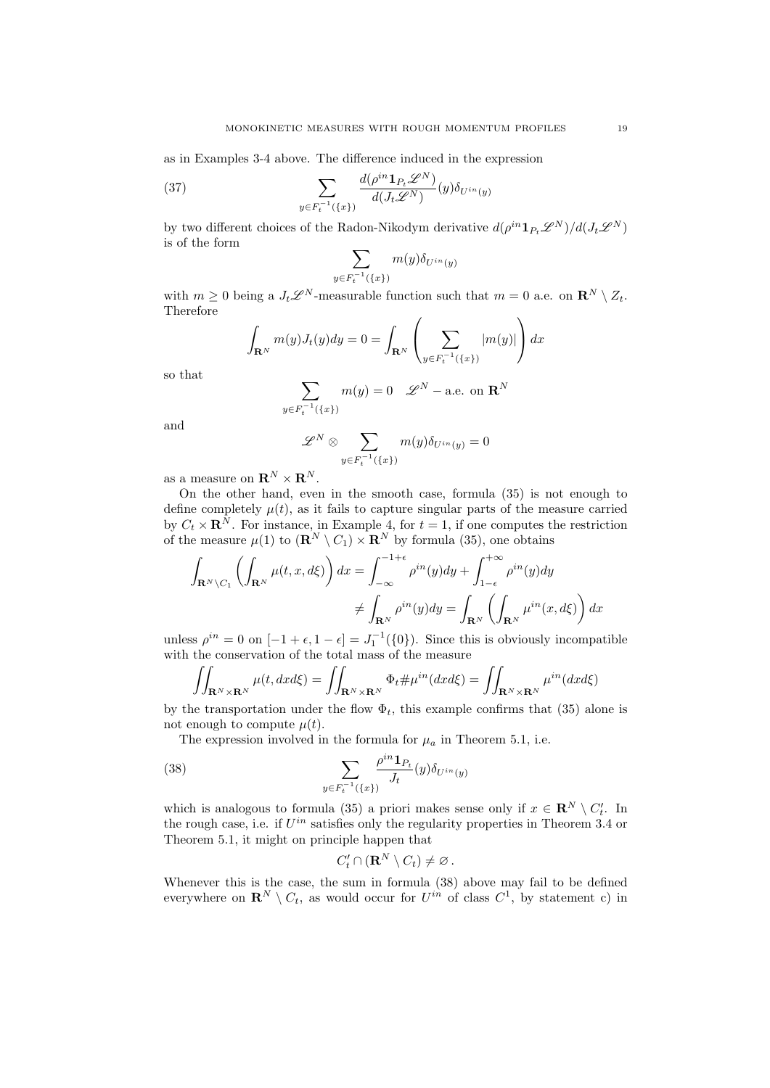as in Examples 3-4 above. The difference induced in the expression

(37) 
$$
\sum_{y \in F_t^{-1}(\{x\})} \frac{d(\rho^{in} \mathbf{1}_{P_t} \mathscr{L}^N)}{d(J_t \mathscr{L}^N)}(y) \delta_{U^{in}(y)}
$$

by two different choices of the Radon-Nikodym derivative  $d(\rho^{in} \mathbf{1}_{P_t} \mathscr{L}^N)/d(J_t \mathscr{L}^N)$ is of the form

$$
\sum_{y \in F_t^{-1}(\{x\})} m(y) \delta_{U^{in}(y)}
$$

with  $m \geq 0$  being a  $J_t \mathscr{L}^N$ -measurable function such that  $m = 0$  a.e. on  $\mathbb{R}^N \setminus Z_t$ . Therefore

$$
\int_{\mathbf{R}^N} m(y) J_t(y) dy = 0 = \int_{\mathbf{R}^N} \left( \sum_{y \in F_t^{-1}(\{x\})} |m(y)| \right) dx
$$

so that

$$
\sum_{F_t^{-1}(\{x\})} m(y) = 0 \quad \mathscr{L}^N - \text{a.e. on } \mathbf{R}^N
$$

and

$$
\mathscr{L}^N\otimes \sum_{y\in F_t^{-1}(\{x\})}m(y)\delta_{U^{in}(y)}=0
$$

as a measure on  $\mathbf{R}^N \times \mathbf{R}^N$ .

*y*<sup>€</sup>

On the other hand, even in the smooth case, formula (35) is not enough to define completely  $\mu(t)$ , as it fails to capture singular parts of the measure carried by  $C_t \times \mathbf{R}^N$ . For instance, in Example 4, for  $t = 1$ , if one computes the restriction of the measure  $\mu(1)$  to  $(\mathbf{R}^N \setminus C_1) \times \mathbf{R}^N$  by formula (35), one obtains

$$
\int_{\mathbf{R}^N \setminus C_1} \left( \int_{\mathbf{R}^N} \mu(t, x, d\xi) \right) dx = \int_{-\infty}^{-1+\epsilon} \rho^{in}(y) dy + \int_{1-\epsilon}^{+\infty} \rho^{in}(y) dy
$$

$$
\neq \int_{\mathbf{R}^N} \rho^{in}(y) dy = \int_{\mathbf{R}^N} \left( \int_{\mathbf{R}^N} \mu^{in}(x, d\xi) \right) dx
$$

unless  $\rho^{in} = 0$  on  $[-1 + \epsilon, 1 - \epsilon] = J_1^{-1}(\{0\})$ . Since this is obviously incompatible with the conservation of the total mass of the measure

$$
\iint_{\mathbf{R}^N \times \mathbf{R}^N} \mu(t, dx d\xi) = \iint_{\mathbf{R}^N \times \mathbf{R}^N} \Phi_t \# \mu^{in}(dx d\xi) = \iint_{\mathbf{R}^N \times \mathbf{R}^N} \mu^{in}(dx d\xi)
$$

by the transportation under the flow  $\Phi_t$ , this example confirms that (35) alone is not enough to compute  $\mu(t)$ .

The expression involved in the formula for  $\mu_a$  in Theorem 5.1, i.e.

(38) 
$$
\sum_{y \in F_t^{-1}(\{x\})} \frac{\rho^{in} \mathbf{1}_{P_t}}{J_t}(y) \delta_{U^{in}(y)}
$$

which is analogous to formula (35) a priori makes sense only if  $x \in \mathbb{R}^N \setminus C'_t$ . In the rough case, i.e. if *Uin* satisfies only the regularity properties in Theorem 3.4 or Theorem 5.1, it might on principle happen that

$$
C'_t \cap (\mathbf{R}^N \setminus C_t) \neq \varnothing.
$$

Whenever this is the case, the sum in formula (38) above may fail to be defined everywhere on  $\mathbb{R}^N \setminus C_t$ , as would occur for  $U^{in}$  of class  $C^1$ , by statement c) in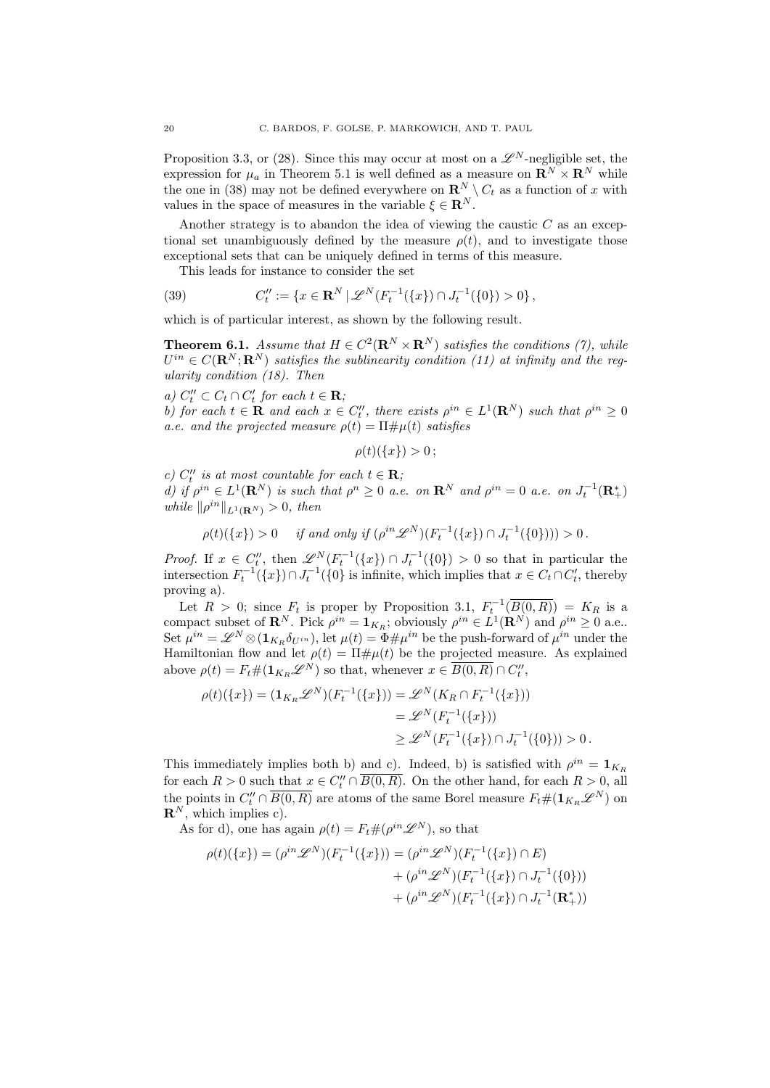Proposition 3.3, or (28). Since this may occur at most on a  $\mathscr{L}^N$ -negligible set, the expression for  $\mu_a$  in Theorem 5.1 is well defined as a measure on  $\mathbb{R}^N \times \mathbb{R}^N$  while the one in (38) may not be defined everywhere on  $\mathbb{R}^N \setminus C_t$  as a function of *x* with values in the space of measures in the variable  $\xi \in \mathbb{R}^N$ .

Another strategy is to abandon the idea of viewing the caustic *C* as an exceptional set unambiguously defined by the measure  $\rho(t)$ , and to investigate those exceptional sets that can be uniquely defined in terms of this measure.

This leads for instance to consider the set

(39) 
$$
C''_t := \{x \in \mathbf{R}^N \mid \mathscr{L}^N(F_t^{-1}(\{x\}) \cap J_t^{-1}(\{0\}) > 0\},\
$$

which is of particular interest, as shown by the following result.

**Theorem 6.1.** *Assume that*  $H \in C^2(\mathbb{R}^N \times \mathbb{R}^N)$  *satisfies the conditions (7), while*  $U^{in} \in C(\mathbf{R}^{N}; \mathbf{R}^{N})$  *satisfies the sublinearity condition (11) at infinity and the regularity condition (18). Then*

 $\mathbf{a}) \ C''_t \subset C_t \cap C'_t \ \text{for each } t \in \mathbf{R};$ 

*b)* for each  $t \in \mathbf{R}$  and each  $x \in C_t^{\prime\prime}$ , there exists  $\rho^{in} \in L^1(\mathbf{R}^N)$  such that  $\rho^{in} \geq 0$ *a.e.* and the projected measure  $\rho(t) = \Pi \# \mu(t)$  satisfies

$$
\rho(t)(\{x\})>0\,;
$$

 $c)$   $C_t''$  *is at most countable for each*  $t \in \mathbf{R}$ *; d)* if  $\rho^{in} \in L^1(\mathbf{R}^N)$  is such that  $\rho^n \geq 0$  a.e. on  $\mathbf{R}^N$  and  $\rho^{in} = 0$  a.e. on  $J_t^{-1}(\mathbf{R}^*_+)$ *while*  $\|\rho^{in}\|_{L^1(\mathbf{R}^N)} > 0$ *, then* 

$$
\rho(t)(\{x\}) > 0 \quad \text{ if and only if } (\rho^{in} \mathscr{L}^N)(F_t^{-1}(\{x\}) \cap J_t^{-1}(\{0\}))) > 0\,.
$$

*Proof.* If  $x \in C_t''$ , then  $\mathscr{L}^N(F_t^{-1}(\{x\}) \cap J_t^{-1}(\{0\}) > 0$  so that in particular the intersection  $F_t^{-1}(\lbrace x \rbrace) \cap J_t^{-1}(\lbrace 0 \rbrace)$  is infinite, which implies that  $x \in C_t \cap C_t'$ , thereby proving a).

Let  $R > 0$ ; since  $F_t$  is proper by Proposition 3.1,  $F_t^{-1}(\overline{B(0,R)}) = K_R$  is a compact subset of  $\mathbb{R}^N$ . Pick  $\rho^{in} = \mathbf{1}_{K_R}$ ; obviously  $\rho^{in} \in L^1(\mathbb{R}^N)$  and  $\rho^{in} \geq 0$  a.e.. Set  $\mu^{in} = \mathscr{L}^N \otimes (\mathbf{1}_{K_R} \delta_{U^{in}})$ , let  $\mu(t) = \Phi \# \mu^{in}$  be the push-forward of  $\mu^{in}$  under the Hamiltonian flow and let  $\rho(t) = \Pi \# \mu(t)$  be the projected measure. As explained above  $\rho(t) = F_t \#(\mathbf{1}_{K_R} \mathscr{L}^N)$  so that, whenever  $x \in \overline{B(0,R)} \cap C_t''$ ,

$$
\rho(t)(\{x\}) = (\mathbf{1}_{K_R} \mathscr{L}^N)(F_t^{-1}(\{x\})) = \mathscr{L}^N(K_R \cap F_t^{-1}(\{x\}))
$$
  

$$
= \mathscr{L}^N(F_t^{-1}(\{x\}))
$$
  

$$
\geq \mathscr{L}^N(F_t^{-1}(\{x\}) \cap J_t^{-1}(\{0\})) > 0.
$$

This immediately implies both b) and c). Indeed, b) is satisfied with  $\rho^{in} = \mathbf{1}_{K_R}$ for each  $R > 0$  such that  $x \in C_t'' \cap B(0, R)$ . On the other hand, for each  $R > 0$ , all the points in  $C_t'' \cap \overline{B(0,R)}$  are atoms of the same Borel measure  $F_t \#(1_{K_R} \mathscr{L}^N)$  on  $\mathbf{R}^N$ , which implies c).

As for d), one has again  $\rho(t) = F_t \#(\rho^{in} \mathscr{L}^N)$ , so that

$$
\rho(t)(\{x\}) = (\rho^{in} \mathscr{L}^N)(F_t^{-1}(\{x\})) = (\rho^{in} \mathscr{L}^N)(F_t^{-1}(\{x\}) \cap E)
$$
  
+ 
$$
(\rho^{in} \mathscr{L}^N)(F_t^{-1}(\{x\}) \cap J_t^{-1}(\{0\}))
$$
  
+ 
$$
(\rho^{in} \mathscr{L}^N)(F_t^{-1}(\{x\}) \cap J_t^{-1}(\mathbf{R}_+^*))
$$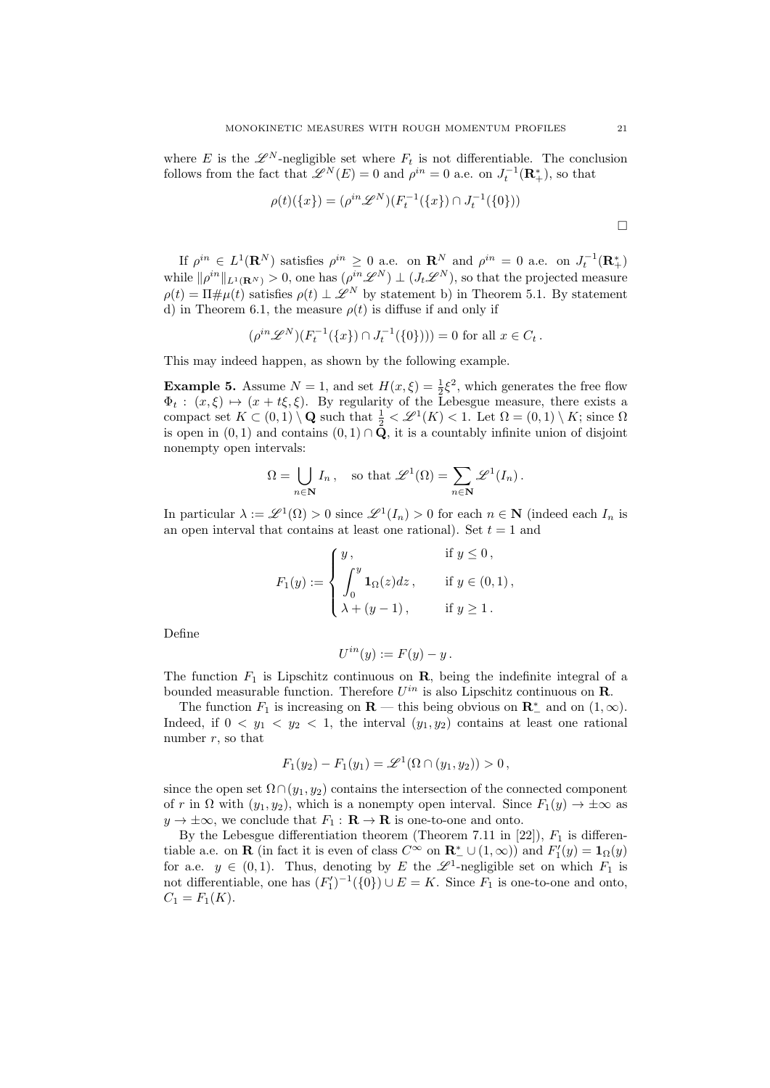where *E* is the  $\mathscr{L}^N$ -negligible set where  $F_t$  is not differentiable. The conclusion follows from the fact that  $\mathscr{L}^N(E) = 0$  and  $\rho^{in} = 0$  a.e. on  $J_t^{-1}(\mathbf{R}_+^*)$ , so that

$$
\rho(t)(\{x\}) = (\rho^{in} \mathscr{L}^N)(F_t^{-1}(\{x\}) \cap J_t^{-1}(\{0\}))
$$

If  $\rho^{in} \in L^1(\mathbf{R}^N)$  satisfies  $\rho^{in} \geq 0$  a.e. on  $\mathbf{R}^N$  and  $\rho^{in} = 0$  a.e. on  $J_t^{-1}(\mathbf{R}^*_+)$ while  $\|\rho^{in}\|_{L^1(\mathbf{R}^N)} > 0$ , one has  $(\rho^{in}\mathscr{L}^N) \perp (J_t\mathscr{L}^N)$ , so that the projected measure  $\rho(t) = \Pi \# \mu(t)$  satisfies  $\rho(t) \perp \mathscr{L}^N$  by statement b) in Theorem 5.1. By statement d) in Theorem 6.1, the measure  $\rho(t)$  is diffuse if and only if

$$
(\rho^{in} \mathscr{L}^N)(F_t^{-1}(\{x\}) \cap J_t^{-1}(\{0\})) = 0 \text{ for all } x \in C_t.
$$

This may indeed happen, as shown by the following example.

**Example 5.** Assume  $N = 1$ , and set  $H(x, \xi) = \frac{1}{2}\xi^2$ , which generates the free flow  $\Phi_t: (x, \xi) \mapsto (x + t\xi, \xi)$ . By regularity of the Lebesgue measure, there exists a compact set  $K \subset (0,1) \setminus \mathbf{Q}$  such that  $\frac{1}{2} < \mathcal{L}^1(K) < 1$ . Let  $\Omega = (0,1) \setminus K$ ; since  $\Omega$ is open in  $(0,1)$  and contains  $(0,1) \cap \bar{Q}$ , it is a countably infinite union of disjoint nonempty open intervals:

$$
\Omega = \bigcup_{n \in \mathbf{N}} I_n, \quad \text{so that } \mathscr{L}^1(\Omega) = \sum_{n \in \mathbf{N}} \mathscr{L}^1(I_n).
$$

In particular  $\lambda := \mathcal{L}^1(\Omega) > 0$  since  $\mathcal{L}^1(I_n) > 0$  for each  $n \in \mathbb{N}$  (indeed each  $I_n$  is an open interval that contains at least one rational). Set  $t = 1$  and

$$
F_1(y) := \begin{cases} y, & \text{if } y \le 0, \\ \int_0^y \mathbf{1}_{\Omega}(z) dz, & \text{if } y \in (0,1), \\ \lambda + (y-1), & \text{if } y \ge 1. \end{cases}
$$

Define

$$
U^{in}(y) := F(y) - y.
$$

The function  $F_1$  is Lipschitz continuous on  $\mathbf{R}$ , being the indefinite integral of a bounded measurable function. Therefore  $U^{in}$  is also Lipschitz continuous on **R**.

The function  $F_1$  is increasing on  $\mathbf{R}$  — this being obvious on  $\mathbf{R}^*$  and on  $(1,\infty)$ . Indeed, if  $0 < y_1 < y_2 < 1$ , the interval  $(y_1, y_2)$  contains at least one rational number *r*, so that

$$
F_1(y_2) - F_1(y_1) = \mathscr{L}^1(\Omega \cap (y_1, y_2)) > 0,
$$

since the open set  $\Omega \cap (y_1, y_2)$  contains the intersection of the connected component of *r* in  $\Omega$  with  $(y_1, y_2)$ , which is a nonempty open interval. Since  $F_1(y) \to \pm \infty$  as  $y \to \pm \infty$ , we conclude that  $F_1 : \mathbf{R} \to \mathbf{R}$  is one-to-one and onto.

By the Lebesgue differentiation theorem (Theorem 7.11 in  $[22]$ ),  $F_1$  is differentiable a.e. on **R** (in fact it is even of class  $C^{\infty}$  on  $\mathbb{R}^*$   $\cup$  (1,  $\infty$ )) and  $F'_1(y) = 1_{\Omega}(y)$ for a.e.  $y \in (0,1)$ . Thus, denoting by *E* the  $\mathscr{L}^1$ -negligible set on which  $F_1$  is not differentiable, one has  $(F'_1)^{-1}(\{0\}) \cup E = K$ . Since  $F_1$  is one-to-one and onto,  $C_1 = F_1(K)$ .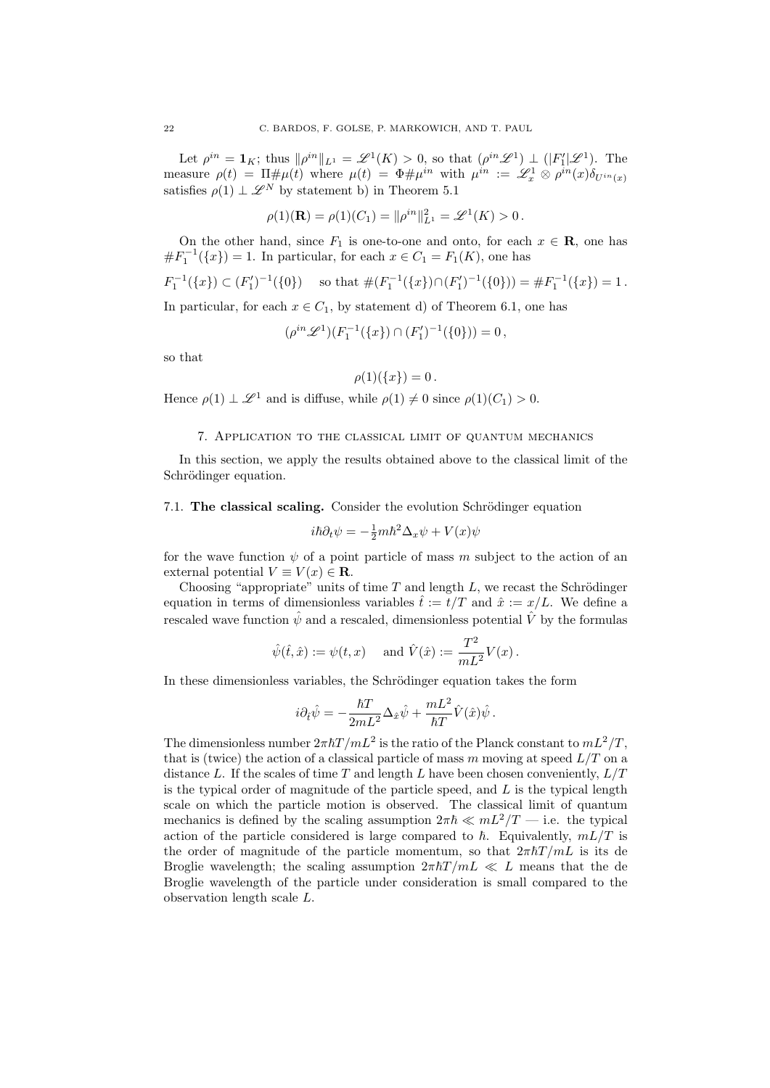Let  $\rho^{in} = \mathbf{1}_K$ ; thus  $\|\rho^{in}\|_{L^1} = \mathscr{L}^1(K) > 0$ , so that  $(\rho^{in}\mathscr{L}^1) \perp (|F_1'|\mathscr{L}^1)$ . The measure  $\rho(t) = \Pi \# \mu(t)$  where  $\mu(t) = \Phi \# \mu^{in}$  with  $\mu^{in} := \mathscr{L}_x^1 \otimes \rho^{in}(x) \delta_{U^{in}(x)}$ satisfies  $\rho(1) \perp \mathscr{L}^N$  by statement b) in Theorem 5.1

$$
\rho(1)(\mathbf{R}) = \rho(1)(C_1) = ||\rho^{in}||_{L^1}^2 = \mathcal{L}^1(K) > 0.
$$

On the other hand, since  $F_1$  is one-to-one and onto, for each  $x \in \mathbf{R}$ , one has  $#F_1^{-1}({x}) = 1.$  In particular, for each  $x \in C_1 = F_1(K)$ , one has

$$
F_1^{-1}(\{x\}) \subset (F_1')^{-1}(\{0\}) \text{ so that } \#(F_1^{-1}(\{x\}) \cap (F_1')^{-1}(\{0\})) = \#F_1^{-1}(\{x\}) = 1.
$$

In particular, for each  $x \in C_1$ , by statement d) of Theorem 6.1, one has

$$
(\rho^{in}\mathscr{L}^1)(F_1^{-1}(\lbrace x\rbrace)\cap (F_1')^{-1}(\lbrace 0\rbrace))=0\,,
$$

so that

$$
\rho(1)(\{x\})=0.
$$

Hence  $\rho(1) \perp \mathscr{L}^1$  and is diffuse, while  $\rho(1) \neq 0$  since  $\rho(1)(C_1) > 0$ .

## 7. Application to the classical limit of quantum mechanics

In this section, we apply the results obtained above to the classical limit of the Schrödinger equation.

7.1. The classical scaling. Consider the evolution Schrödinger equation

$$
i\hbar \partial_t \psi = -\frac{1}{2}m\hbar^2 \Delta_x \psi + V(x)\psi
$$

for the wave function  $\psi$  of a point particle of mass m subject to the action of an external potential  $V \equiv V(x) \in \mathbf{R}$ .

Choosing "appropriate" units of time  $T$  and length  $L$ , we recast the Schrödinger equation in terms of dimensionless variables  $\hat{t} := t/T$  and  $\hat{x} := x/L$ . We define a rescaled wave function  $\hat{\psi}$  and a rescaled, dimensionless potential  $\hat{V}$  by the formulas

$$
\hat{\psi}(\hat{t}, \hat{x}) := \psi(t, x) \text{ and } \hat{V}(\hat{x}) := \frac{T^2}{mL^2} V(x).
$$

In these dimensionless variables, the Schrödinger equation takes the form

$$
i\partial_{\hat{t}}\hat{\psi} = -\frac{\hbar T}{2mL^2}\Delta_{\hat{x}}\hat{\psi} + \frac{mL^2}{\hbar T}\hat{V}(\hat{x})\hat{\psi}.
$$

The dimensionless number  $2\pi\hbar T/mL^2$  is the ratio of the Planck constant to  $mL^2/T$ . that is (twice) the action of a classical particle of mass *m* moving at speed *L/T* on a distance *L*. If the scales of time *T* and length *L* have been chosen conveniently, *L/T* is the typical order of magnitude of the particle speed, and *L* is the typical length scale on which the particle motion is observed. The classical limit of quantum mechanics is defined by the scaling assumption  $2\pi\hbar \ll mL^2/T$  — i.e. the typical action of the particle considered is large compared to  $\hbar$ . Equivalently,  $mL/T$  is the order of magnitude of the particle momentum, so that  $2\pi\hbar T/mL$  is its de Broglie wavelength; the scaling assumption  $2\pi\hbar T/mL \ll L$  means that the de Broglie wavelength of the particle under consideration is small compared to the observation length scale *L*.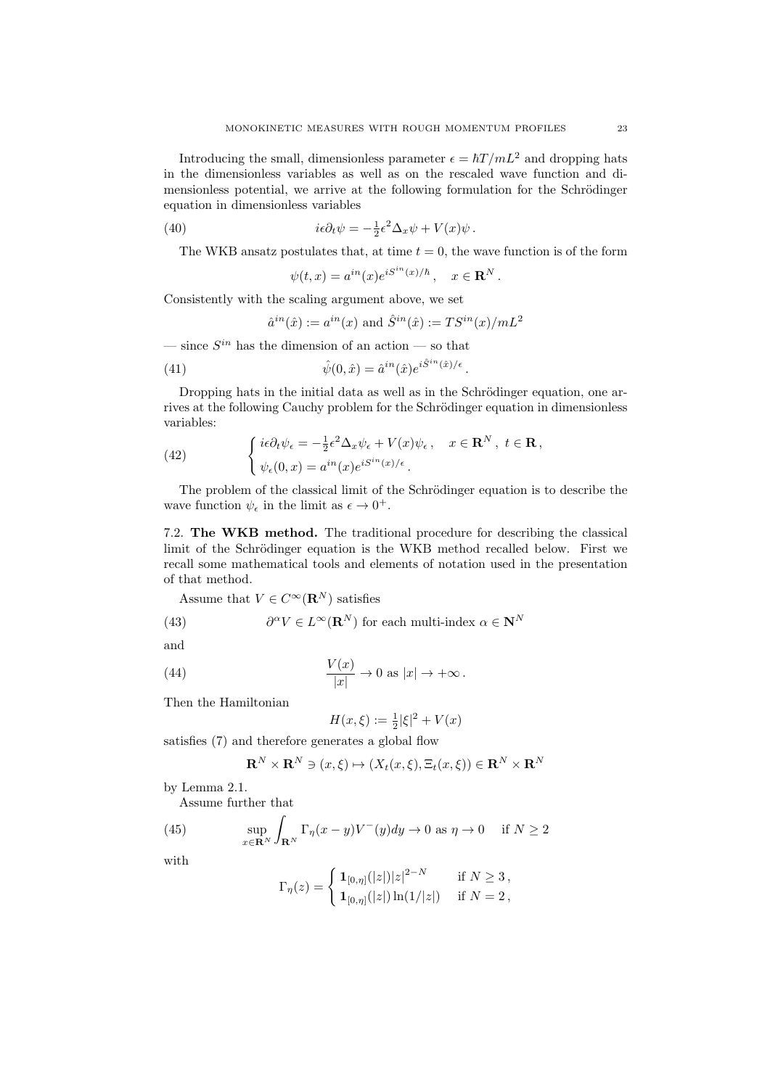Introducing the small, dimensionless parameter  $\epsilon = \hbar T /mL^2$  and dropping hats in the dimensionless variables as well as on the rescaled wave function and dimensionless potential, we arrive at the following formulation for the Schrödinger equation in dimensionless variables

(40) 
$$
i\epsilon \partial_t \psi = -\frac{1}{2} \epsilon^2 \Delta_x \psi + V(x) \psi.
$$

The WKB ansatz postulates that, at time  $t = 0$ , the wave function is of the form

$$
\psi(t,x) = a^{in}(x)e^{iS^{in}(x)/\hbar}, \quad x \in \mathbf{R}^N.
$$

Consistently with the scaling argument above, we set

$$
\hat{a}^{in}(\hat{x}) := a^{in}(x)
$$
 and 
$$
\hat{S}^{in}(\hat{x}) := TS^{in}(x)/mL^2
$$

— since  $S^{in}$  has the dimension of an action — so that

(41) 
$$
\hat{\psi}(0,\hat{x}) = \hat{a}^{in}(\hat{x})e^{i\hat{S}^{in}(\hat{x})/\epsilon}.
$$

Dropping hats in the initial data as well as in the Schrödinger equation, one arrives at the following Cauchy problem for the Schrödinger equation in dimensionless variables:

(42) 
$$
\begin{cases} i\epsilon \partial_t \psi_{\epsilon} = -\frac{1}{2} \epsilon^2 \Delta_x \psi_{\epsilon} + V(x) \psi_{\epsilon} , & x \in \mathbf{R}^N, \ t \in \mathbf{R} ,\\ \psi_{\epsilon}(0, x) = a^{in}(x) e^{i S^{in}(x)/\epsilon} . \end{cases}
$$

The problem of the classical limit of the Schrödinger equation is to describe the wave function  $\psi_{\epsilon}$  in the limit as  $\epsilon \to 0^+$ .

7.2. The WKB method. The traditional procedure for describing the classical limit of the Schrödinger equation is the WKB method recalled below. First we recall some mathematical tools and elements of notation used in the presentation of that method.

Assume that  $V \in C^{\infty}(\mathbf{R}^N)$  satisfies

(43) 
$$
\partial^{\alpha} V \in L^{\infty}(\mathbf{R}^{N}) \text{ for each multi-index } \alpha \in \mathbf{N}^{N}
$$

and

(44) 
$$
\frac{V(x)}{|x|} \to 0 \text{ as } |x| \to +\infty.
$$

Then the Hamiltonian

$$
H(x,\xi) := \frac{1}{2}|\xi|^2 + V(x)
$$

satisfies (7) and therefore generates a global flow

$$
\mathbf{R}^N \times \mathbf{R}^N \ni (x,\xi) \mapsto (X_t(x,\xi), \Xi_t(x,\xi)) \in \mathbf{R}^N \times \mathbf{R}^N
$$

by Lemma 2.1.

Assume further that

(45) 
$$
\sup_{x \in \mathbf{R}^N} \int_{\mathbf{R}^N} \Gamma_{\eta}(x - y) V^-(y) dy \to 0 \text{ as } \eta \to 0 \quad \text{if } N \ge 2
$$

with

$$
\Gamma_{\eta}(z) = \begin{cases} \, \mathbf{1}_{[0,\eta]}(|z|)|z|^{2-N} & \text{if } N \geq 3 \, , \\ \, \mathbf{1}_{[0,\eta]}(|z|) \ln(1/|z|) & \text{if } N = 2 \, , \end{cases}
$$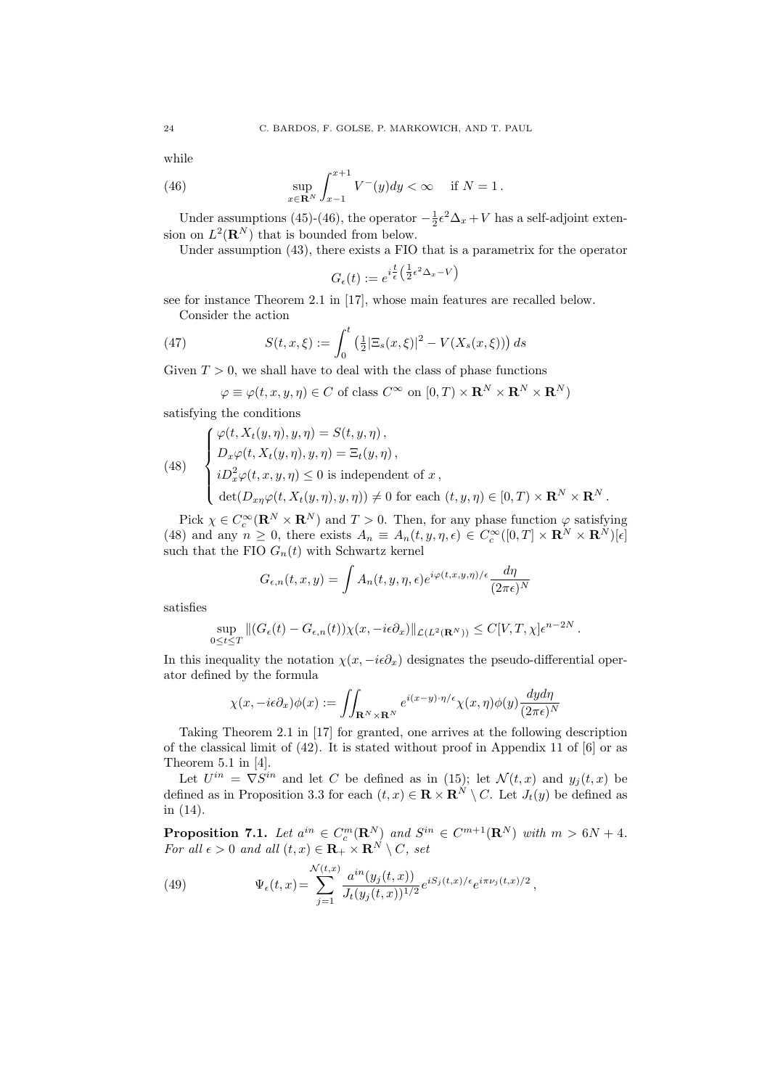while

(46) 
$$
\sup_{x \in \mathbf{R}^N} \int_{x-1}^{x+1} V^{-}(y) dy < \infty \quad \text{if } N = 1.
$$

Under assumptions (45)-(46), the operator  $-\frac{1}{2}\epsilon^2\Delta_x + V$  has a self-adjoint extension on  $L^2(\mathbf{R}^N)$  that is bounded from below.

Under assumption (43), there exists a FIO that is a parametrix for the operator

$$
G_{\epsilon}(t) := e^{i\frac{t}{\epsilon} \left(\frac{1}{2}\epsilon^2 \Delta_x - V\right)}
$$

see for instance Theorem 2.1 in [17], whose main features are recalled below. Consider the action

(47) 
$$
S(t, x, \xi) := \int_0^t \left( \frac{1}{2} |\Xi_s(x, \xi)|^2 - V(X_s(x, \xi)) \right) ds
$$

Given  $T > 0$ , we shall have to deal with the class of phase functions

$$
\varphi \equiv \varphi(t, x, y, \eta) \in C
$$
 of class  $C^{\infty}$  on  $[0, T) \times \mathbf{R}^{N} \times \mathbf{R}^{N} \times \mathbf{R}^{N}$ 

satisfying the conditions

(48) 
$$
\begin{cases} \varphi(t, X_t(y, \eta), y, \eta) = S(t, y, \eta), \\ D_x \varphi(t, X_t(y, \eta), y, \eta) = \Xi_t(y, \eta), \\ i D_x^2 \varphi(t, x, y, \eta) \leq 0 \text{ is independent of } x, \\ \det(D_{xy} \varphi(t, X_t(y, \eta), y, \eta)) \neq 0 \text{ for each } (t, y, \eta) \in [0, T) \times \mathbb{R}^N \times \mathbb{R}^N. \end{cases}
$$

Pick  $\chi \in C_c^{\infty}(\mathbf{R}^N \times \mathbf{R}^N)$  and  $T > 0$ . Then, for any phase function  $\varphi$  satisfying (48) and any  $n \geq 0$ , there exists  $A_n \equiv A_n(t, y, \eta, \epsilon) \in C_c^{\infty}([0, T] \times \mathbb{R}^N \times \mathbb{R}^N)[\epsilon]$ such that the FIO  $G_n(t)$  with Schwartz kernel

$$
G_{\epsilon,n}(t,x,y) = \int A_n(t,y,\eta,\epsilon) e^{i\varphi(t,x,y,\eta)/\epsilon} \frac{d\eta}{(2\pi\epsilon)^N}
$$

satisfies

$$
\sup_{0\leq t\leq T} \|(G_{\epsilon}(t)-G_{\epsilon,n}(t))\chi(x,-i\epsilon\partial_x)\|_{\mathcal{L}(L^2(\mathbf{R}^N))}\leq C[V,T,\chi]\epsilon^{n-2N}.
$$

In this inequality the notation  $\chi(x, -i\epsilon\partial_x)$  designates the pseudo-differential operator defined by the formula

$$
\chi(x, -i\epsilon \partial_x)\phi(x) := \iint_{\mathbf{R}^N \times \mathbf{R}^N} e^{i(x-y)\cdot \eta/\epsilon} \chi(x, \eta)\phi(y) \frac{dyd\eta}{(2\pi\epsilon)^N}
$$

Taking Theorem 2.1 in [17] for granted, one arrives at the following description of the classical limit of  $(42)$ . It is stated without proof in Appendix 11 of [6] or as Theorem 5.1 in [4].

Let  $U^{in} = \nabla S^{in}$  and let *C* be defined as in (15); let  $\mathcal{N}(t,x)$  and  $y_j(t,x)$  be defined as in Proposition 3.3 for each  $(t, x) \in \mathbf{R} \times \mathbf{R}^N \setminus C$ . Let  $J_t(y)$  be defined as in (14).

Proposition 7.1. Let  $a^{in} \in C_c^m(\mathbf{R}^N)$  and  $S^{in} \in C^{m+1}(\mathbf{R}^N)$  with  $m > 6N + 4$ . *For all*  $\epsilon > 0$  *and all*  $(t, x) \in \mathbf{R}_+ \times \mathbf{R}^N \setminus C$ , set

(49) 
$$
\Psi_{\epsilon}(t,x) = \sum_{j=1}^{\mathcal{N}(t,x)} \frac{a^{in}(y_j(t,x))}{J_t(y_j(t,x))^{1/2}} e^{iS_j(t,x)/\epsilon} e^{i\pi \nu_j(t,x)/2},
$$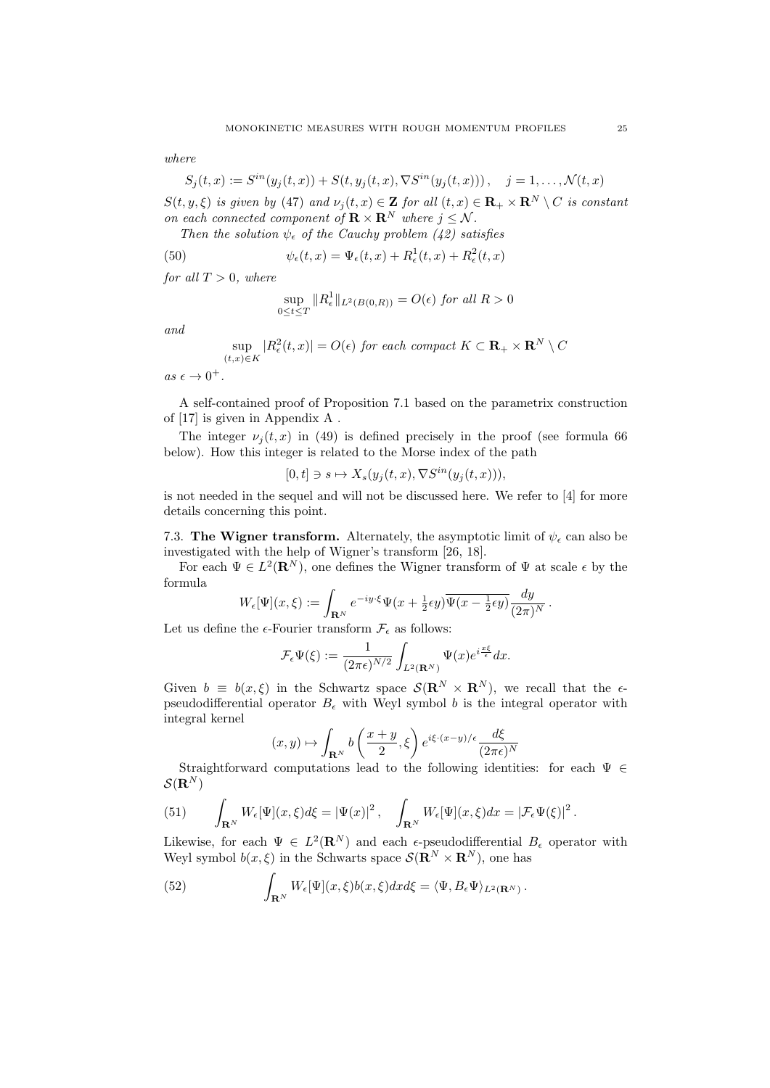*where*

$$
S_j(t, x) := S^{in}(y_j(t, x)) + S(t, y_j(t, x), \nabla S^{in}(y_j(t, x))), \quad j = 1, ..., \mathcal{N}(t, x)
$$

 $S(t, y, \xi)$  *is given by* (47) *and*  $\nu_i(t, x) \in \mathbf{Z}$  *for all*  $(t, x) \in \mathbf{R}_+ \times \mathbf{R}^N \setminus C$  *is constant on each connected component of*  $\mathbf{R} \times \mathbf{R}^N$  *where*  $j \leq N$ *.* 

*Then the solution*  $\psi_{\epsilon}$  *of the Cauchy problem (42) satisfies* 

(50) 
$$
\psi_{\epsilon}(t,x) = \Psi_{\epsilon}(t,x) + R_{\epsilon}^{1}(t,x) + R_{\epsilon}^{2}(t,x)
$$

*for all*  $T > 0$ *, where* 

$$
\sup_{0 \le t \le T} ||R_{\epsilon}^{1}||_{L^{2}(B(0,R))} = O(\epsilon) \text{ for all } R > 0
$$

*and*

$$
\sup_{(t,x)\in K} |R_{\epsilon}^2(t,x)| = O(\epsilon) \text{ for each compact } K \subset \mathbf{R}_+ \times \mathbf{R}^N \setminus C
$$

 $as\ \epsilon\to 0^+.$ 

A self-contained proof of Proposition 7.1 based on the parametrix construction of [17] is given in Appendix A .

The integer  $\nu_i(t, x)$  in (49) is defined precisely in the proof (see formula 66 below). How this integer is related to the Morse index of the path

$$
[0,t] \ni s \mapsto X_s(y_j(t,x), \nabla S^{in}(y_j(t,x))),
$$

is not needed in the sequel and will not be discussed here. We refer to [4] for more details concerning this point.

7.3. The Wigner transform. Alternately, the asymptotic limit of  $\psi_{\epsilon}$  can also be investigated with the help of Wigner's transform [26, 18].

For each  $\Psi \in L^2(\mathbf{R}^N)$ , one defines the Wigner transform of  $\Psi$  at scale  $\epsilon$  by the formula

$$
W_{\epsilon}[\Psi](x,\xi):=\int_{{\bf R}^N}e^{-iy\cdot\xi}\Psi(x+\tfrac{1}{2}\epsilon y)\overline{\Psi(x-\tfrac{1}{2}\epsilon y)}\frac{dy}{(2\pi)^N}\,.
$$

Let us define the  $\epsilon$ -Fourier transform  $\mathcal{F}_{\epsilon}$  as follows:

$$
\mathcal{F}_{\epsilon}\Psi(\xi) := \frac{1}{(2\pi\epsilon)^{N/2}} \int_{L^2(\mathbf{R}^N)} \Psi(x) e^{i\frac{x\xi}{\epsilon}} dx.
$$

Given  $b \equiv b(x,\xi)$  in the Schwartz space  $\mathcal{S}(\mathbf{R}^N \times \mathbf{R}^N)$ , we recall that the  $\epsilon$ pseudodifferential operator  $B_{\epsilon}$  with Weyl symbol *b* is the integral operator with integral kernel

$$
(x,y)\mapsto \int_{{\bf R}^N} b\left(\frac{x+y}{2},\xi\right) e^{i\xi\cdot (x-y)/\epsilon} \frac{d\xi}{(2\pi\epsilon)^N}
$$

Straightforward computations lead to the following identities: for each  $\Psi \in$  $\mathcal{S}(\mathbf{R}^N)$ 

(51) 
$$
\int_{\mathbf{R}^N} W_{\epsilon}[\Psi](x,\xi) d\xi = |\Psi(x)|^2, \quad \int_{\mathbf{R}^N} W_{\epsilon}[\Psi](x,\xi) dx = |\mathcal{F}_{\epsilon} \Psi(\xi)|^2.
$$

Likewise, for each  $\Psi \in L^2(\mathbf{R}^N)$  and each  $\epsilon$ -pseudodifferential  $B_{\epsilon}$  operator with Weyl symbol  $b(x,\xi)$  in the Schwarts space  $\mathcal{S}(\mathbf{R}^N \times \mathbf{R}^N)$ , one has

(52) 
$$
\int_{\mathbf{R}^N} W_{\epsilon}[\Psi](x,\xi) b(x,\xi) dx d\xi = \langle \Psi, B_{\epsilon} \Psi \rangle_{L^2(\mathbf{R}^N)}.
$$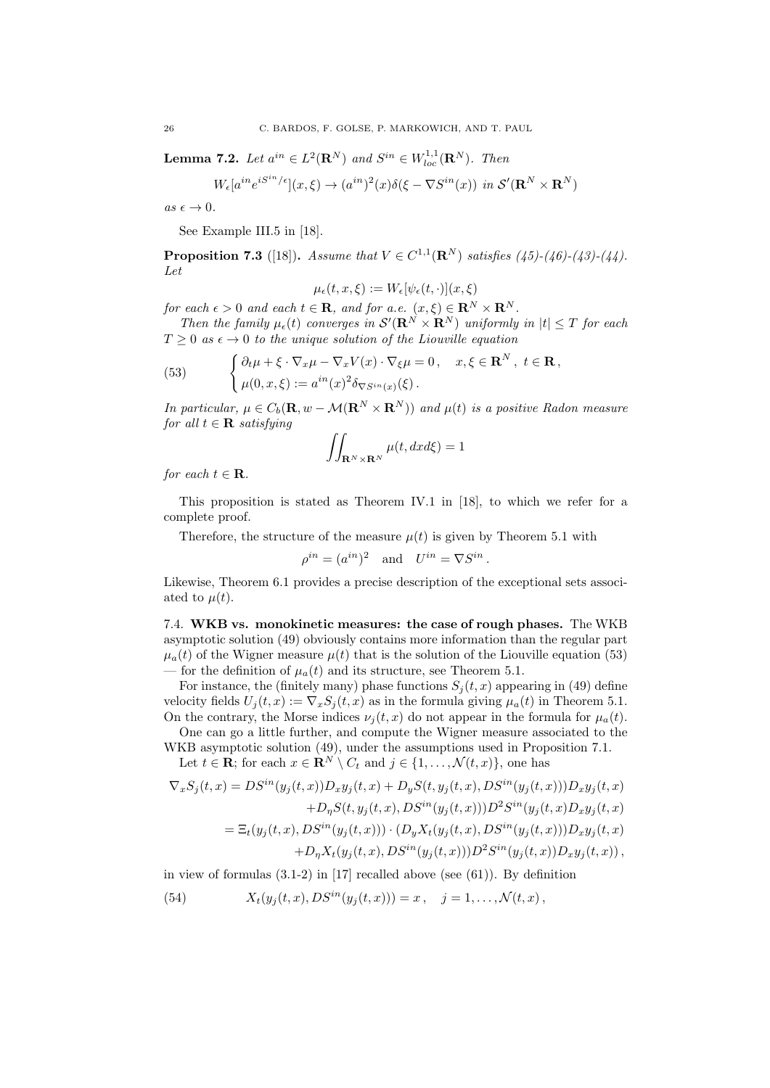**Lemma 7.2.** *Let*  $a^{in} \in L^2(\mathbf{R}^N)$  *and*  $S^{in} \in W_{loc}^{1,1}(\mathbf{R}^N)$ *. Then* 

$$
W_{\epsilon}[a^{in}e^{iS^{in}/\epsilon}](x,\xi) \to (a^{in})^2(x)\delta(\xi - \nabla S^{in}(x)) \text{ in } \mathcal{S}'(\mathbf{R}^N \times \mathbf{R}^N)
$$

 $as \epsilon \to 0$ .

See Example III.5 in [18].

**Proposition 7.3** ([18]). *Assume that*  $V \in C^{1,1}(\mathbb{R}^N)$  *satisfies* (45)-(46)-(43)-(44). *Let*

$$
\mu_{\epsilon}(t,x,\xi) := W_{\epsilon}[\psi_{\epsilon}(t,\cdot)](x,\xi)
$$

*for each*  $\epsilon > 0$  *and each*  $t \in \mathbf{R}$ *, and for a.e.*  $(x, \xi) \in \mathbf{R}^{N} \times \mathbf{R}^{N}$ *.* 

*Then the family*  $\mu_{\epsilon}(t)$  *converges in*  $\mathcal{S}'(\mathbf{R}^N \times \mathbf{R}^N)$  *uniformly in*  $|t| \leq T$  *for each*  $T \geq 0$  *as*  $\epsilon \to 0$  *to the unique solution of the Liouville equation* 

(53) 
$$
\begin{cases} \partial_t \mu + \xi \cdot \nabla_x \mu - \nabla_x V(x) \cdot \nabla_{\xi} \mu = 0, & x, \xi \in \mathbf{R}^N, \ t \in \mathbf{R}, \\ \mu(0, x, \xi) := a^{in}(x)^2 \delta_{\nabla S^{in}(x)}(\xi). \end{cases}
$$

*In particular,*  $\mu \in C_b(\mathbf{R}, w - \mathcal{M}(\mathbf{R}^N \times \mathbf{R}^N))$  and  $\mu(t)$  is a positive Radon measure *for all*  $t \in \mathbf{R}$  *satisfying* 

$$
\iint_{\mathbf{R}^N\times\mathbf{R}^N}\mu(t,dxd\xi)=1
$$

*for each*  $t \in \mathbf{R}$ *.* 

This proposition is stated as Theorem IV.1 in [18], to which we refer for a complete proof.

Therefore, the structure of the measure  $\mu(t)$  is given by Theorem 5.1 with

$$
\rho^{in} = (a^{in})^2 \quad \text{and} \quad U^{in} = \nabla S^{in}.
$$

Likewise, Theorem 6.1 provides a precise description of the exceptional sets associated to  $\mu(t)$ .

7.4. WKB vs. monokinetic measures: the case of rough phases. The WKB asymptotic solution (49) obviously contains more information than the regular part  $\mu_a(t)$  of the Wigner measure  $\mu(t)$  that is the solution of the Liouville equation (53) — for the definition of  $\mu_a(t)$  and its structure, see Theorem 5.1.

For instance, the (finitely many) phase functions  $S_i(t, x)$  appearing in (49) define velocity fields  $U_j(t, x) := \nabla_x S_j(t, x)$  as in the formula giving  $\mu_a(t)$  in Theorem 5.1. On the contrary, the Morse indices  $\nu_i(t, x)$  do not appear in the formula for  $\mu_a(t)$ .

One can go a little further, and compute the Wigner measure associated to the WKB asymptotic solution (49), under the assumptions used in Proposition 7.1.

Let  $t \in \mathbf{R}$ ; for each  $x \in \mathbf{R}^N \setminus C_t$  and  $j \in \{1, ..., \mathcal{N}(t, x)\}$ , one has

$$
\nabla_x S_j(t, x) = DS^{in}(y_j(t, x))D_x y_j(t, x) + D_y S(t, y_j(t, x), DS^{in}(y_j(t, x)))D_x y_j(t, x) \n+ D_\eta S(t, y_j(t, x), DS^{in}(y_j(t, x)))D^2 S^{in}(y_j(t, x)D_x y_j(t, x)) \n= \Xi_t(y_j(t, x), DS^{in}(y_j(t, x))) \cdot (D_y X_t(y_j(t, x), DS^{in}(y_j(t, x)))D_x y_j(t, x) \n+ D_\eta X_t(y_j(t, x), DS^{in}(y_j(t, x)))D^2 S^{in}(y_j(t, x))D_x y_j(t, x)),
$$

in view of formulas (3.1-2) in [17] recalled above (see (61)). By definition

(54) 
$$
X_t(y_j(t,x),DS^{in}(y_j(t,x))) = x, \quad j = 1,\ldots,\mathcal{N}(t,x),
$$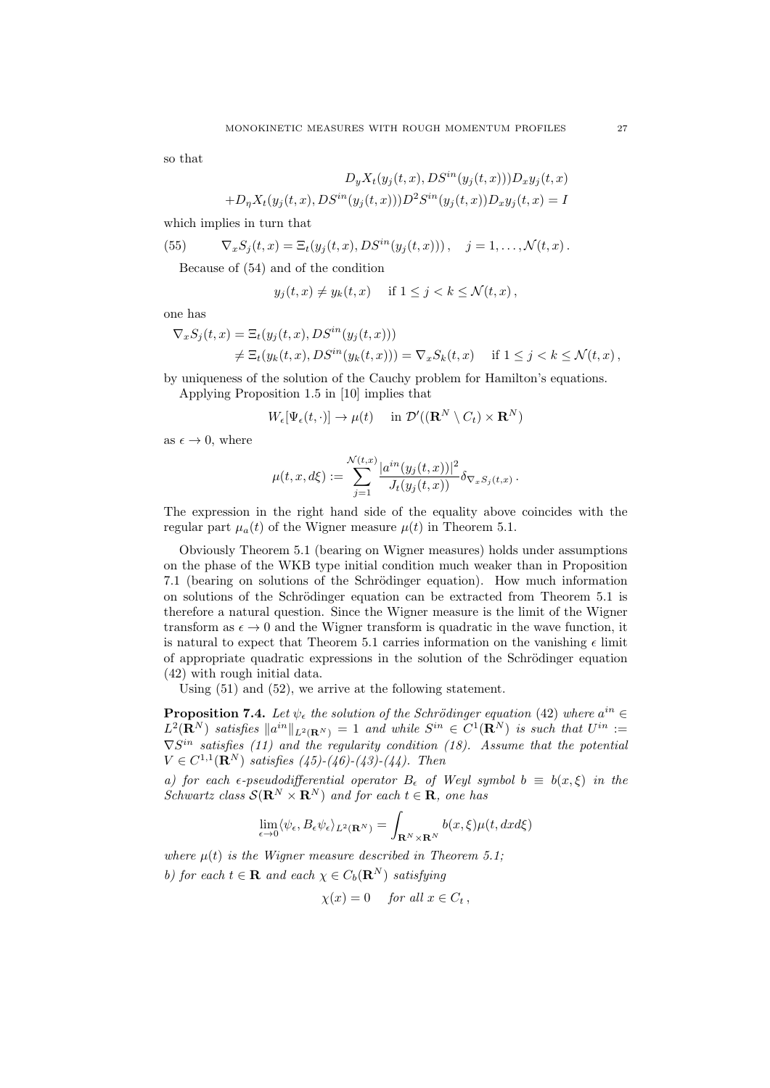so that

$$
D_y X_t(y_j(t, x), DS^{in}(y_j(t, x)))D_x y_j(t, x)
$$

$$
+D_\eta X_t(y_j(t, x), DS^{in}(y_j(t, x)))D^2 S^{in}(y_j(t, x))D_x y_j(t, x) = I
$$

which implies in turn that

(55) 
$$
\nabla_x S_j(t,x) = \Xi_t(y_j(t,x), DS^{in}(y_j(t,x))), \quad j = 1, ..., \mathcal{N}(t,x).
$$

Because of (54) and of the condition

$$
y_j(t, x) \neq y_k(t, x)
$$
 if  $1 \leq j < k \leq \mathcal{N}(t, x)$ ,

one has

$$
\nabla_x S_j(t, x) = \Xi_t(y_j(t, x), DS^{in}(y_j(t, x)))
$$
  

$$
\neq \Xi_t(y_k(t, x), DS^{in}(y_k(t, x))) = \nabla_x S_k(t, x) \quad \text{if } 1 \leq j < k \leq \mathcal{N}(t, x),
$$

by uniqueness of the solution of the Cauchy problem for Hamilton's equations.

Applying Proposition 1.5 in [10] implies that

$$
W_{\epsilon}[\Psi_{\epsilon}(t,\cdot)] \to \mu(t) \quad \text{ in } \mathcal{D}'((\mathbf{R}^N \setminus C_t) \times \mathbf{R}^N)
$$

as  $\epsilon \to 0$ , where

$$
\mu(t, x, d\xi) := \sum_{j=1}^{\mathcal{N}(t, x)} \frac{|a^{in}(y_j(t, x))|^2}{J_t(y_j(t, x))} \delta_{\nabla_x S_j(t, x)}.
$$

The expression in the right hand side of the equality above coincides with the regular part  $\mu_a(t)$  of the Wigner measure  $\mu(t)$  in Theorem 5.1.

Obviously Theorem 5.1 (bearing on Wigner measures) holds under assumptions on the phase of the WKB type initial condition much weaker than in Proposition 7.1 (bearing on solutions of the Schrödinger equation). How much information on solutions of the Schrödinger equation can be extracted from Theorem 5.1 is therefore a natural question. Since the Wigner measure is the limit of the Wigner transform as  $\epsilon \to 0$  and the Wigner transform is quadratic in the wave function, it is natural to expect that Theorem 5.1 carries information on the vanishing  $\epsilon$  limit of appropriate quadratic expressions in the solution of the Schrödinger equation (42) with rough initial data.

Using (51) and (52), we arrive at the following statement.

**Proposition 7.4.** Let  $\psi_{\epsilon}$  the solution of the Schrödinger equation (42) where  $a^{in} \in$  $L^2(\mathbf{R}^N)$  *satisfies*  $\|a^{in}\|_{L^2(\mathbf{R}^N)} = 1$  *and while*  $S^{in} \in C^1(\mathbf{R}^N)$  *is such that*  $U^{in}$  :=  $\nabla S^{in}$  *satisfies* (11) and the regularity condition (18). Assume that the potential  $V \in C^{1,1}(\mathbf{R}^N)$  *satisfies* (45)-(46)-(43)-(44). Then

*a)* for each  $\epsilon$ -pseudodifferential operator  $B_{\epsilon}$  of Weyl symbol  $b \equiv b(x,\xi)$  in the *Schwartz class*  $S(\mathbf{R}^{N} \times \mathbf{R}^{N})$  *and for each*  $t \in \mathbf{R}$ *, one has* 

$$
\lim_{\epsilon \to 0} \langle \psi_{\epsilon}, B_{\epsilon} \psi_{\epsilon} \rangle_{L^{2}(\mathbf{R}^{N})} = \int_{\mathbf{R}^{N} \times \mathbf{R}^{N}} b(x, \xi) \mu(t, dx d\xi)
$$

*where*  $\mu(t)$  *is the Wigner measure described in Theorem 5.1; b)* for each  $t \in \mathbf{R}$  and each  $\chi \in C_b(\mathbf{R}^N)$  satisfying

$$
\chi(x) = 0 \quad \text{ for all } x \in C_t \,,
$$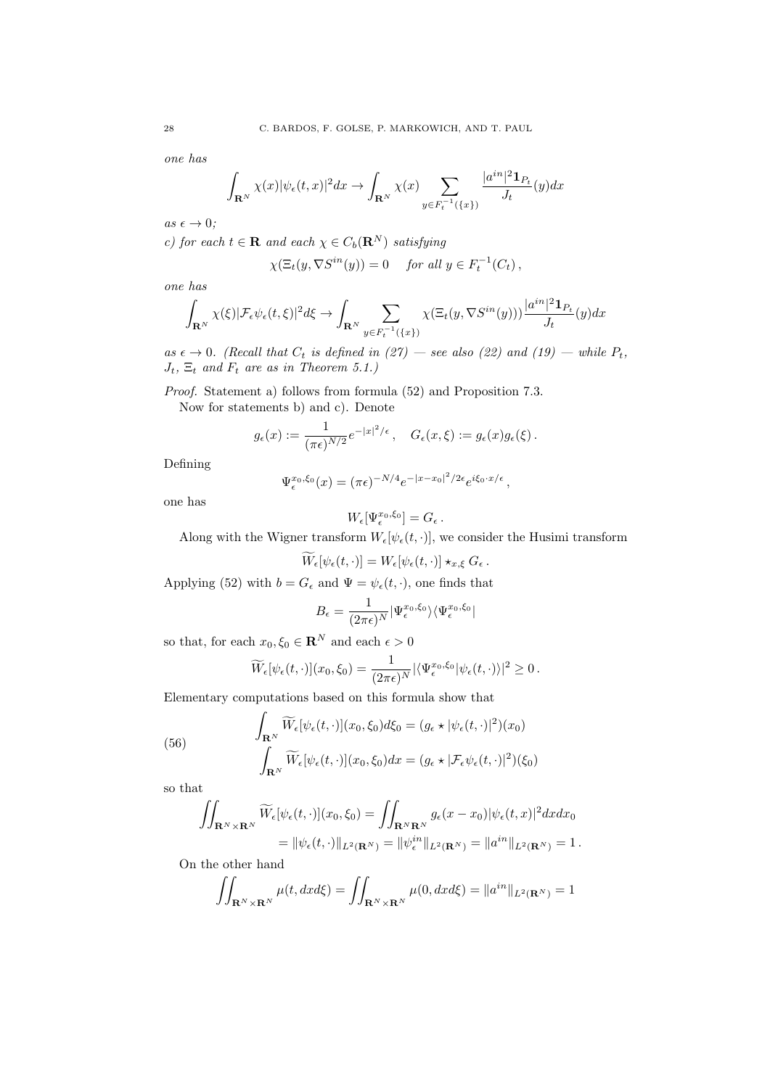*one has*

$$
\int_{\mathbf{R}^N} \chi(x) |\psi_{\epsilon}(t,x)|^2 dx \to \int_{\mathbf{R}^N} \chi(x) \sum_{y \in F_t^{-1}(\{x\})} \frac{|a^{in}|^2 \mathbf{1}_{P_t}}{J_t}(y) dx
$$

 $as \epsilon \rightarrow 0;$ 

*c)* for each  $t \in \mathbf{R}$  and each  $\chi \in C_b(\mathbf{R}^N)$  satisfying

$$
\chi(\Xi_t(y,\nabla S^{in}(y)) = 0 \quad \text{ for all } y \in F_t^{-1}(C_t),
$$

*one has*

$$
\int_{\mathbf{R}^N} \chi(\xi) |\mathcal{F}_{\epsilon}\psi_{\epsilon}(t,\xi)|^2 d\xi \to \int_{\mathbf{R}^N} \sum_{y \in F_t^{-1}(\{x\})} \chi(\Xi_t(y,\nabla S^{in}(y))) \frac{|a^{in}|^2 \mathbf{1}_{P_t}}{J_t}(y) dx
$$

 $as \epsilon \rightarrow 0$ *.* (Recall that  $C_t$  is defined in (27) — see also (22) and (19) — while  $P_t$ ,  $J_t$ ,  $\Xi_t$  *and*  $F_t$  *are as in Theorem 5.1.*)

*Proof.* Statement a) follows from formula (52) and Proposition 7.3.

Now for statements b) and c). Denote

$$
g_{\epsilon}(x) := \frac{1}{(\pi \epsilon)^{N/2}} e^{-|x|^2/\epsilon}, \quad G_{\epsilon}(x,\xi) := g_{\epsilon}(x) g_{\epsilon}(\xi).
$$

Defining

$$
\Psi_{\epsilon}^{x_0,\xi_0}(x) = (\pi \epsilon)^{-N/4} e^{-|x-x_0|^2/2\epsilon} e^{i\xi_0 \cdot x/\epsilon},
$$

one has

$$
W_{\epsilon}[\Psi_{\epsilon}^{x_0,\xi_0}] = G_{\epsilon}.
$$

Along with the Wigner transform  $W_{\epsilon}[\psi_{\epsilon}(t, \cdot)]$ , we consider the Husimi transform

$$
\widetilde{W}_{\epsilon}[\psi_{\epsilon}(t,\cdot)] = W_{\epsilon}[\psi_{\epsilon}(t,\cdot)] \star_{x,\xi} G_{\epsilon}.
$$

Applying (52) with  $b = G_{\epsilon}$  and  $\Psi = \psi_{\epsilon}(t, \cdot)$ , one finds that

$$
B_{\epsilon} = \frac{1}{(2\pi\epsilon)^N} |\Psi_{\epsilon}^{x_0,\xi_0}\rangle\langle \Psi_{\epsilon}^{x_0,\xi_0}|
$$

so that, for each  $x_0, \xi_0 \in \mathbb{R}^N$  and each  $\epsilon > 0$ 

$$
\widetilde{W}_{\epsilon}[\psi_{\epsilon}(t,\cdot)](x_0,\xi_0)=\frac{1}{(2\pi\epsilon)^N}|\langle \Psi_{\epsilon}^{x_0,\xi_0}|\psi_{\epsilon}(t,\cdot)\rangle|^2\geq 0.
$$

Elementary computations based on this formula show that

(56) 
$$
\int_{\mathbf{R}^N} \widetilde{W}_{\epsilon}[\psi_{\epsilon}(t,\cdot)](x_0,\xi_0) d\xi_0 = (g_{\epsilon} \star |\psi_{\epsilon}(t,\cdot)|^2)(x_0) \n\int_{\mathbf{R}^N} \widetilde{W}_{\epsilon}[\psi_{\epsilon}(t,\cdot)](x_0,\xi_0) dx = (g_{\epsilon} \star |\mathcal{F}_{\epsilon}\psi_{\epsilon}(t,\cdot)|^2)(\xi_0)
$$

so that

$$
\iint_{\mathbf{R}^N \times \mathbf{R}^N} \widetilde{W}_{\epsilon}[\psi_{\epsilon}(t,\cdot)](x_0,\xi_0) = \iint_{\mathbf{R}^N \mathbf{R}^N} g_{\epsilon}(x-x_0) |\psi_{\epsilon}(t,x)|^2 dx dx_0
$$
  
= 
$$
\|\psi_{\epsilon}(t,\cdot)\|_{L^2(\mathbf{R}^N)} = \|\psi_{\epsilon}^{in}\|_{L^2(\mathbf{R}^N)} = \|a^{in}\|_{L^2(\mathbf{R}^N)} = 1.
$$

On the other hand

$$
\iint_{\mathbf{R}^N \times \mathbf{R}^N} \mu(t, dx d\xi) = \iint_{\mathbf{R}^N \times \mathbf{R}^N} \mu(0, dx d\xi) = \|a^{in}\|_{L^2(\mathbf{R}^N)} = 1
$$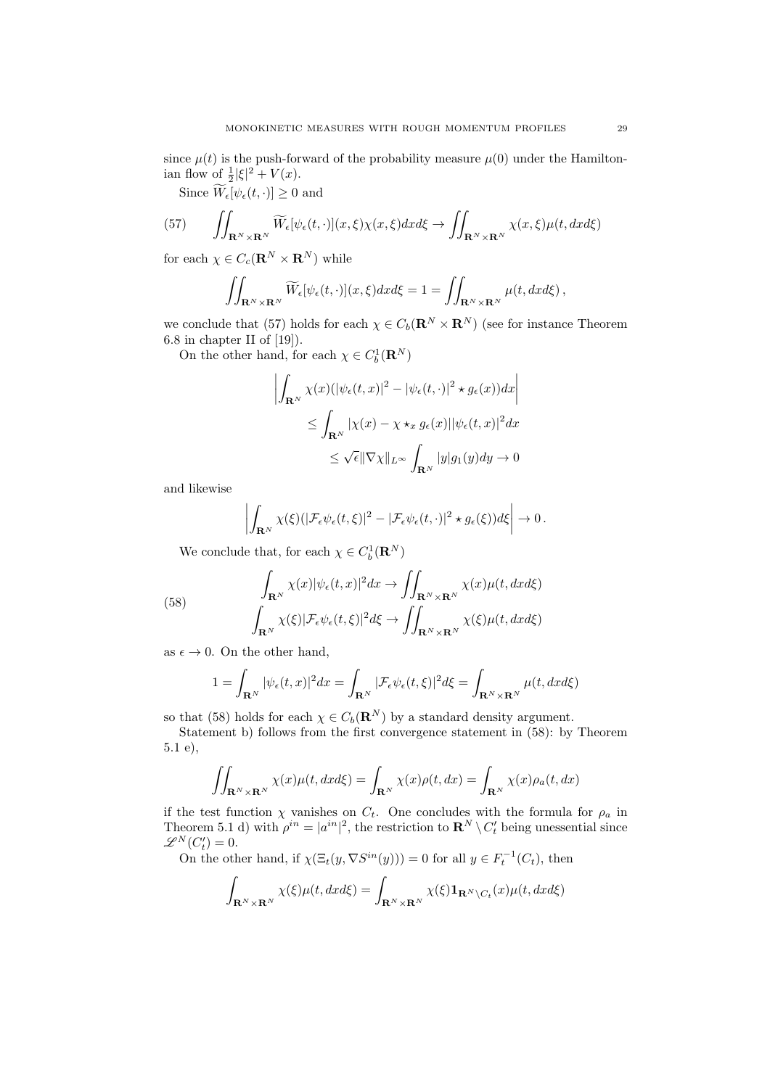since  $\mu(t)$  is the push-forward of the probability measure  $\mu(0)$  under the Hamiltonian flow of  $\frac{1}{2}|\xi|^2 + V(x)$ .

Since  $W_{\epsilon}[\psi_{\epsilon}(t,\cdot)] \geq 0$  and

(57) 
$$
\iint_{\mathbf{R}^N\times\mathbf{R}^N}\widetilde{W}_{\epsilon}[\psi_{\epsilon}(t,\cdot)](x,\xi)\chi(x,\xi)dxd\xi \to \iint_{\mathbf{R}^N\times\mathbf{R}^N}\chi(x,\xi)\mu(t,dxd\xi)
$$

for each  $\chi \in C_c(\mathbf{R}^N \times \mathbf{R}^N)$  while

$$
\iint_{\mathbf{R}^N\times\mathbf{R}^N}\widetilde{W}_{\epsilon}[\psi_{\epsilon}(t,\cdot)](x,\xi)dxd\xi=1=\iint_{\mathbf{R}^N\times\mathbf{R}^N}\mu(t,dxd\xi),
$$

we conclude that (57) holds for each  $\chi \in C_b(\mathbf{R}^N \times \mathbf{R}^N)$  (see for instance Theorem 6.8 in chapter II of [19]).

On the other hand, for each  $\chi \in C_b^1(\mathbf{R}^N)$ 

$$
\left| \int_{\mathbf{R}^N} \chi(x) (|\psi_{\epsilon}(t,x)|^2 - |\psi_{\epsilon}(t,\cdot)|^2 \star g_{\epsilon}(x)) dx \right|
$$
  
\n
$$
\leq \int_{\mathbf{R}^N} |\chi(x) - \chi \star_x g_{\epsilon}(x)| |\psi_{\epsilon}(t,x)|^2 dx
$$
  
\n
$$
\leq \sqrt{\epsilon} ||\nabla \chi||_{L^{\infty}} \int_{\mathbf{R}^N} |y| g_1(y) dy \to 0
$$

and likewise

$$
\left| \int_{\mathbf{R}^N} \chi(\xi) (|\mathcal{F}_{\epsilon} \psi_{\epsilon}(t,\xi)|^2 - |\mathcal{F}_{\epsilon} \psi_{\epsilon}(t,\cdot)|^2 \star g_{\epsilon}(\xi)) d\xi \right| \to 0.
$$

We conclude that, for each  $\chi \in C_b^1(\mathbf{R}^N)$ 

(58)  

$$
\int_{\mathbf{R}^N} \chi(x) |\psi_{\epsilon}(t,x)|^2 dx \to \iint_{\mathbf{R}^N \times \mathbf{R}^N} \chi(x) \mu(t, dx d\xi)
$$

$$
\int_{\mathbf{R}^N} \chi(\xi) |\mathcal{F}_{\epsilon} \psi_{\epsilon}(t,\xi)|^2 d\xi \to \iint_{\mathbf{R}^N \times \mathbf{R}^N} \chi(\xi) \mu(t, dx d\xi)
$$

as  $\epsilon \to 0$ . On the other hand,

$$
1 = \int_{\mathbf{R}^N} |\psi_{\epsilon}(t,x)|^2 dx = \int_{\mathbf{R}^N} |\mathcal{F}_{\epsilon}\psi_{\epsilon}(t,\xi)|^2 d\xi = \int_{\mathbf{R}^N \times \mathbf{R}^N} \mu(t, dx d\xi)
$$

so that (58) holds for each  $\chi \in C_b(\mathbf{R}^N)$  by a standard density argument.

Statement b) follows from the first convergence statement in (58): by Theorem 5.1 e),

$$
\iint_{\mathbf{R}^N \times \mathbf{R}^N} \chi(x) \mu(t, dx d\xi) = \int_{\mathbf{R}^N} \chi(x) \rho(t, dx) = \int_{\mathbf{R}^N} \chi(x) \rho_a(t, dx)
$$

if the test function  $\chi$  vanishes on  $C_t$ . One concludes with the formula for  $\rho_a$  in Theorem 5.1 d) with  $\rho^{in} = |a^{in}|^2$ , the restriction to  $\mathbb{R}^N \setminus C_t'$  being unessential since  $\mathscr{L}^N(C'_t)=0.$ 

On the other hand, if  $\chi(\Xi_t(y, \nabla S^{in}(y))) = 0$  for all  $y \in F_t^{-1}(C_t)$ , then

$$
\int_{\mathbf{R}^N\times\mathbf{R}^N}\chi(\xi)\mu(t,dxd\xi)=\int_{\mathbf{R}^N\times\mathbf{R}^N}\chi(\xi)\mathbf{1}_{\mathbf{R}^N\setminus C_t}(x)\mu(t,dxd\xi)
$$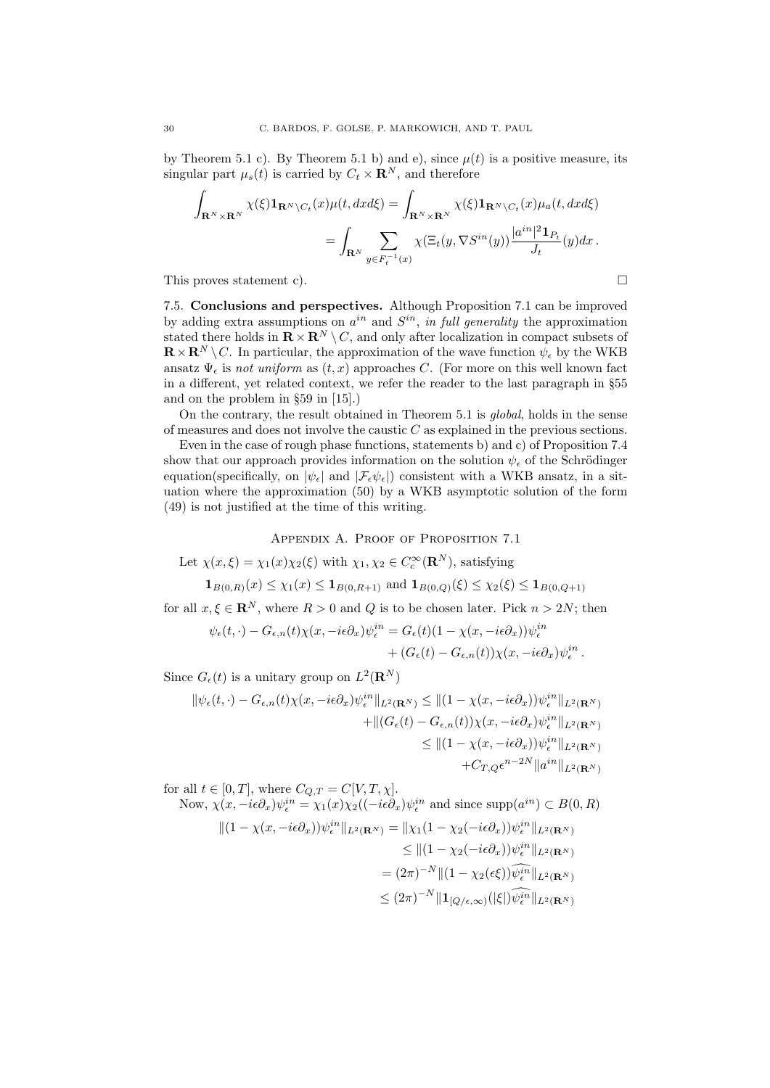by Theorem 5.1 c). By Theorem 5.1 b) and e), since  $\mu(t)$  is a positive measure, its singular part  $\mu_s(t)$  is carried by  $C_t \times \mathbf{R}^N$ , and therefore

$$
\int_{\mathbf{R}^N \times \mathbf{R}^N} \chi(\xi) \mathbf{1}_{\mathbf{R}^N \setminus C_t}(x) \mu(t, dx d\xi) = \int_{\mathbf{R}^N \times \mathbf{R}^N} \chi(\xi) \mathbf{1}_{\mathbf{R}^N \setminus C_t}(x) \mu_a(t, dx d\xi)
$$
\n
$$
= \int_{\mathbf{R}^N} \sum_{y \in F_t^{-1}(x)} \chi(\Xi_t(y, \nabla S^{in}(y)) \frac{|a^{in}|^2 \mathbf{1}_{P_t}}{J_t}(y) dx.
$$

This proves statement c).  $\Box$ 

7.5. Conclusions and perspectives. Although Proposition 7.1 can be improved by adding extra assumptions on  $a^{in}$  and  $S^{in}$ , *in full generality* the approximation stated there holds in  $\mathbf{R} \times \mathbf{R}^{N} \setminus C$ , and only after localization in compact subsets of  $\mathbf{R} \times \mathbf{R}^N \setminus C$ . In particular, the approximation of the wave function  $\psi_{\epsilon}$  by the WKB ansatz  $\Psi_{\epsilon}$  is *not uniform* as  $(t, x)$  approaches *C*. (For more on this well known fact in a different, yet related context, we refer the reader to the last paragraph in  $§55$ and on the problem in §59 in [15].)

On the contrary, the result obtained in Theorem 5.1 is *global*, holds in the sense of measures and does not involve the caustic *C* as explained in the previous sections.

Even in the case of rough phase functions, statements b) and c) of Proposition 7.4 show that our approach provides information on the solution  $\psi_{\epsilon}$  of the Schrödinger equation(specifically, on  $|\psi_{\epsilon}|$  and  $|\mathcal{F}_{\epsilon}\psi_{\epsilon}|$ ) consistent with a WKB ansatz, in a situation where the approximation (50) by a WKB asymptotic solution of the form (49) is not justified at the time of this writing.

Appendix A. Proof of Proposition 7.1

Let  $\chi(x,\xi) = \chi_1(x)\chi_2(\xi)$  with  $\chi_1, \chi_2 \in C_c^{\infty}(\mathbf{R}^N)$ , satisfying

 $\mathbf{1}_{B(0,R)}(x) \leq \chi_1(x) \leq \mathbf{1}_{B(0,R+1)}$  and  $\mathbf{1}_{B(0,Q)}(\xi) \leq \chi_2(\xi) \leq \mathbf{1}_{B(0,Q+1)}$ 

for all  $x, \xi \in \mathbb{R}^N$ , where  $R > 0$  and Q is to be chosen later. Pick  $n > 2N$ ; then

$$
\psi_{\epsilon}(t,\cdot) - G_{\epsilon,n}(t)\chi(x,-i\epsilon\partial_x)\psi_{\epsilon}^{in} = G_{\epsilon}(t)(1-\chi(x,-i\epsilon\partial_x))\psi_{\epsilon}^{in} + (G_{\epsilon}(t) - G_{\epsilon,n}(t))\chi(x,-i\epsilon\partial_x)\psi_{\epsilon}^{in}.
$$

Since  $G_{\epsilon}(t)$  is a unitary group on  $L^{2}(\mathbf{R}^{N})$ 

$$
\|\psi_{\epsilon}(t,\cdot)-G_{\epsilon,n}(t)\chi(x,-i\epsilon\partial_x)\psi_{\epsilon}^{in}\|_{L^2(\mathbf{R}^N)} \leq \|(1-\chi(x,-i\epsilon\partial_x))\psi_{\epsilon}^{in}\|_{L^2(\mathbf{R}^N)}
$$
  
 
$$
+\|(G_{\epsilon}(t)-G_{\epsilon,n}(t))\chi(x,-i\epsilon\partial_x)\psi_{\epsilon}^{in}\|_{L^2(\mathbf{R}^N)}
$$
  
 
$$
\leq \|(1-\chi(x,-i\epsilon\partial_x))\psi_{\epsilon}^{in}\|_{L^2(\mathbf{R}^N)}
$$
  
 
$$
+C_{T,Q}\epsilon^{n-2N}\|a^{in}\|_{L^2(\mathbf{R}^N)}
$$

for all  $t \in [0, T]$ , where  $C_{Q,T} = C[V, T, \chi]$ . Now,  $\chi(x, -i\epsilon\partial_x)\psi_{\epsilon}^{in} = \chi_1(x)\chi_2((-i\epsilon\partial_x)\psi_{\epsilon}^{in}$  and since  $\text{supp}(a^{in}) \subset B(0,R)$  $||(1 - \chi(x, -i\epsilon\partial_x))\psi_{\epsilon}^{in}||_{L^2(\mathbf{R}^N)} = ||\chi_1(1 - \chi_2(-i\epsilon\partial_x))\psi_{\epsilon}^{in}||_{L^2(\mathbf{R}^N)}$  $\leq$   $||(1 - \chi_2(-i\epsilon\partial_x))\psi_{\epsilon}^{in}||_{L^2(\mathbf{R}^N)}$  $= (2\pi)^{-N} \|(1 - \chi_2(\epsilon \xi)) \hat{\psi}_{\epsilon}^{i\bar{n}}\|_{L^2(\mathbf{R}^N)}$  $\leq (2\pi)^{-N} \|\mathbf{1}_{[Q/\epsilon,\infty)}(|\xi|) \widehat{\psi_{\epsilon}^{in}}\|_{L^2(\mathbf{R}^N)}$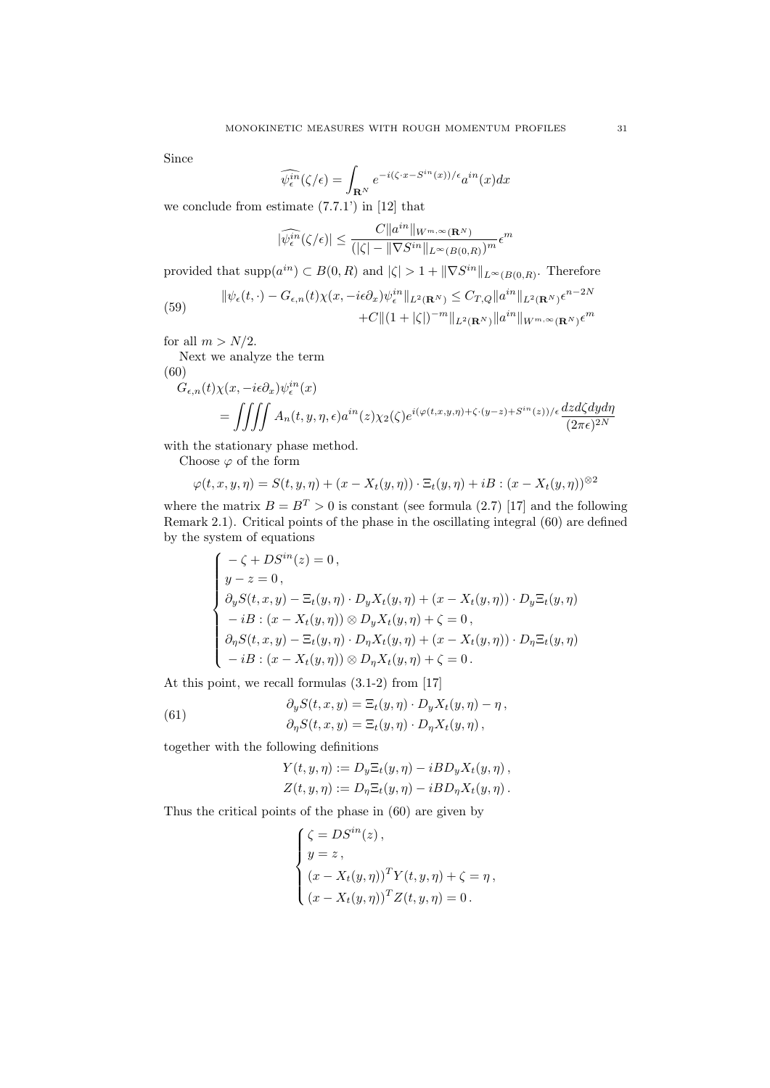Since

$$
\widehat{\psi_{\epsilon}^{in}}(\zeta/\epsilon) = \int_{\mathbf{R}^N} e^{-i(\zeta \cdot x - S^{in}(x))/\epsilon} a^{in}(x) dx
$$

we conclude from estimate  $(7.7.1')$  in  $[12]$  that

$$
|\widehat{\psi^{in}_\epsilon}(\zeta/\epsilon)| \leq \frac{C \|a^{in}\|_{W^{m,\infty}(\mathbf{R}^N)}}{(|\zeta|-\|\nabla S^{in}\|_{L^\infty(B(0,R)})^m}\epsilon^m
$$

provided that  $\text{supp}(a^{in}) \subset B(0,R)$  and  $|\zeta| > 1 + ||\nabla S^{in}||_{L^{\infty}(B(0,R)}$ . Therefore

(59) 
$$
\|\psi_{\epsilon}(t,\cdot)-G_{\epsilon,n}(t)\chi(x,-i\epsilon\partial_x)\psi_{\epsilon}^{in}\|_{L^2(\mathbf{R}^N)} \leq C_{T,Q}\|a^{in}\|_{L^2(\mathbf{R}^N)}\epsilon^{n-2N} + C\|(1+|\zeta|)^{-m}\|_{L^2(\mathbf{R}^N)}\|a^{in}\|_{W^{m,\infty}(\mathbf{R}^N)}\epsilon^m
$$

for all  $m > N/2$ .

Next we analyze the term

(60)

$$
G_{\epsilon,n}(t)\chi(x, -i\epsilon\partial_x)\psi_{\epsilon}^{in}(x)
$$
  
= 
$$
\iiint A_n(t, y, \eta, \epsilon)a^{in}(z)\chi_2(\zeta)e^{i(\varphi(t, x, y, \eta)+\zeta \cdot (y-z)+S^{in}(z))/\epsilon} \frac{dzd\zeta dyd\eta}{(2\pi\epsilon)^{2N}}
$$

with the stationary phase method.

Choose  $\varphi$  of the form

$$
\varphi(t, x, y, \eta) = S(t, y, \eta) + (x - X_t(y, \eta)) \cdot \Xi_t(y, \eta) + iB : (x - X_t(y, \eta))^{82}
$$

where the matrix  $B = B^T > 0$  is constant (see formula (2.7) [17] and the following Remark 2.1). Critical points of the phase in the oscillating integral (60) are defined by the system of equations

$$
\begin{cases}\n-\zeta + DS^{in}(z) = 0, \\
y - z = 0, \\
\partial_y S(t, x, y) - \Xi_t(y, \eta) \cdot D_y X_t(y, \eta) + (x - X_t(y, \eta)) \cdot D_y \Xi_t(y, \eta) \\
-iB : (x - X_t(y, \eta)) \otimes D_y X_t(y, \eta) + \zeta = 0, \\
\partial_{\eta} S(t, x, y) - \Xi_t(y, \eta) \cdot D_{\eta} X_t(y, \eta) + (x - X_t(y, \eta)) \cdot D_{\eta} \Xi_t(y, \eta) \\
-iB : (x - X_t(y, \eta)) \otimes D_{\eta} X_t(y, \eta) + \zeta = 0.\n\end{cases}
$$

At this point, we recall formulas (3.1-2) from [17]

(61) 
$$
\partial_y S(t, x, y) = \Xi_t(y, \eta) \cdot D_y X_t(y, \eta) - \eta,
$$

$$
\partial_\eta S(t, x, y) = \Xi_t(y, \eta) \cdot D_\eta X_t(y, \eta),
$$

together with the following definitions

$$
Y(t, y, \eta) := D_y \Xi_t(y, \eta) - iBD_y X_t(y, \eta) ,
$$
  

$$
Z(t, y, \eta) := D_\eta \Xi_t(y, \eta) - iBD_\eta X_t(y, \eta) .
$$

Thus the critical points of the phase in (60) are given by

$$
\begin{cases}\n\zeta = D S^{in}(z), \\
y = z, \\
(x - X_t(y, \eta))^T Y(t, y, \eta) + \zeta = \eta, \\
(x - X_t(y, \eta))^T Z(t, y, \eta) = 0.\n\end{cases}
$$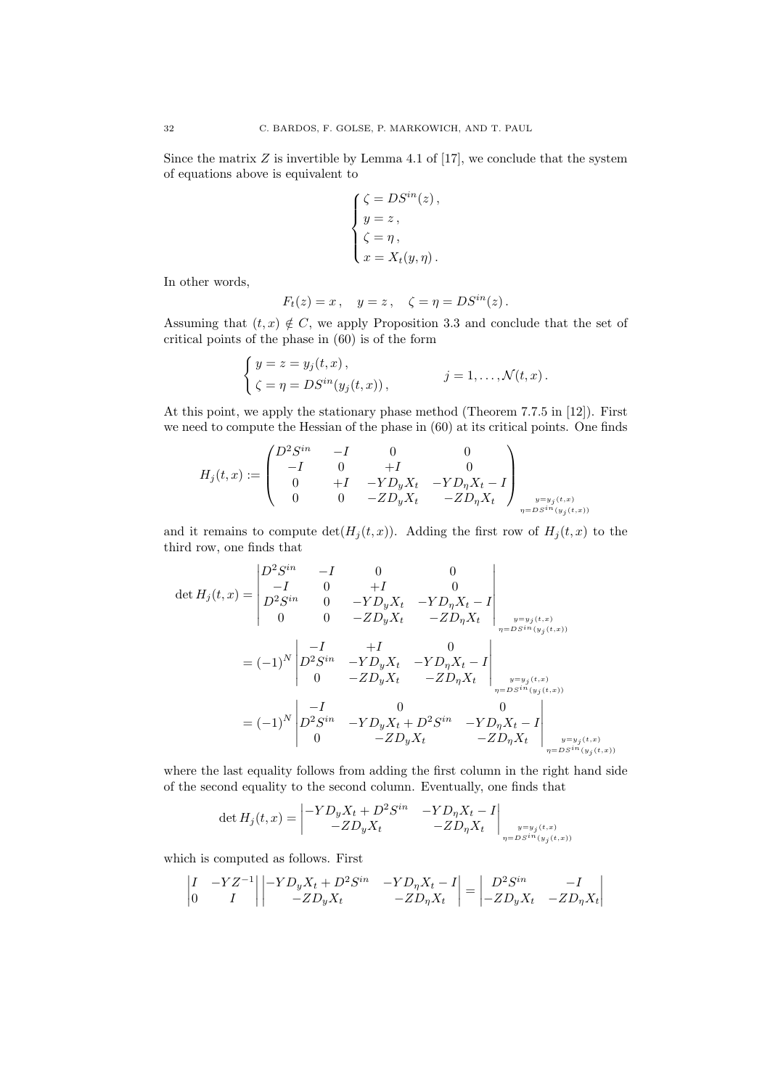Since the matrix  $Z$  is invertible by Lemma 4.1 of [17], we conclude that the system of equations above is equivalent to

$$
\left\{ \begin{aligned} &\zeta = DS^{in}(z)\,,\\ &y=z\,,\\ &\zeta = \eta\,,\\ &x=X_t(y,\eta)\,. \end{aligned} \right.
$$

In other words,

$$
F_t(z) = x \,, \quad y = z \,, \quad \zeta = \eta = D S^{in}(z) \,.
$$

Assuming that  $(t, x) \notin C$ , we apply Proposition 3.3 and conclude that the set of critical points of the phase in (60) is of the form

$$
\begin{cases}\ny = z = y_j(t, x), \\
\zeta = \eta = D S^{in}(y_j(t, x)),\n\end{cases}
$$
\n $j = 1, ..., \mathcal{N}(t, x).$ 

At this point, we apply the stationary phase method (Theorem 7.7.5 in [12]). First we need to compute the Hessian of the phase in (60) at its critical points. One finds

$$
H_j(t,x):= \begin{pmatrix} D^2S^{in} & -I & 0 & 0 \\ -I & 0 & +I & 0 \\ 0 & +I & -YD_yX_t & -YD_\eta X_t-I \\ 0 & 0 & -ZD_yX_t & -ZD_\eta X_t \end{pmatrix}_{\substack{y=y_j(t,x) \\ \eta=DS^{in}(y_j(t,x))}}
$$

and it remains to compute  $\det(H_j(t,x))$ . Adding the first row of  $H_j(t,x)$  to the third row, one finds that

$$
\det H_j(t,x) = \begin{vmatrix} D^2 S^{in} & -I & 0 & 0 \\ -I & 0 & +I & 0 \\ D^2 S^{in} & 0 & -Y D_y X_t & -Y D_\eta X_t - I \\ 0 & 0 & -Z D_y X_t & -Z D_\eta X_t \end{vmatrix}_{\substack{y=y_j(t,x) \\ \eta = D S^{in}(y_j(t,x))}} \newline = (-1)^N \begin{vmatrix} -I & +I & 0 \\ D^2 S^{in} & -Y D_y X_t & -Y D_\eta X_t - I \\ 0 & -Z D_y X_t & -Z D_\eta X_t \end{vmatrix}_{\substack{y=y_j(t,x) \\ \eta = D S^{in}(y_j(t,x))}} \newline = (-1)^N \begin{vmatrix} -I & 0 & 0 \\ D^2 S^{in} & -Y D_y X_t + D^2 S^{in} & -Y D_\eta X_t - I \\ 0 & -Z D_y X_t & -Z D_\eta X_t \end{vmatrix}_{\substack{y=y_j(t,x) \\ \eta = D S^{in}(y_j(t,x))}} \newline
$$

where the last equality follows from adding the first column in the right hand side of the second equality to the second column. Eventually, one finds that

$$
\det H_j(t, x) = \begin{vmatrix} -YD_y X_t + D^2 S^{in} & -YD_\eta X_t - I \\ -ZD_y X_t & -ZD_\eta X_t \end{vmatrix}_{\substack{y = y_j(t, x) \\ \eta = D S^{in}(y_j(t, x))}}
$$

which is computed as follows. First

$$
\begin{vmatrix} I & -YZ^{-1} \\ 0 & I \end{vmatrix} \begin{vmatrix} -YD_yX_t + D^2S^{in} & -YD_\eta X_t - I \\ -ZD_yX_t & -ZD_\eta X_t \end{vmatrix} = \begin{vmatrix} D^2S^{in} & -I \\ -ZD_yX_t & -ZD_\eta X_t \end{vmatrix}
$$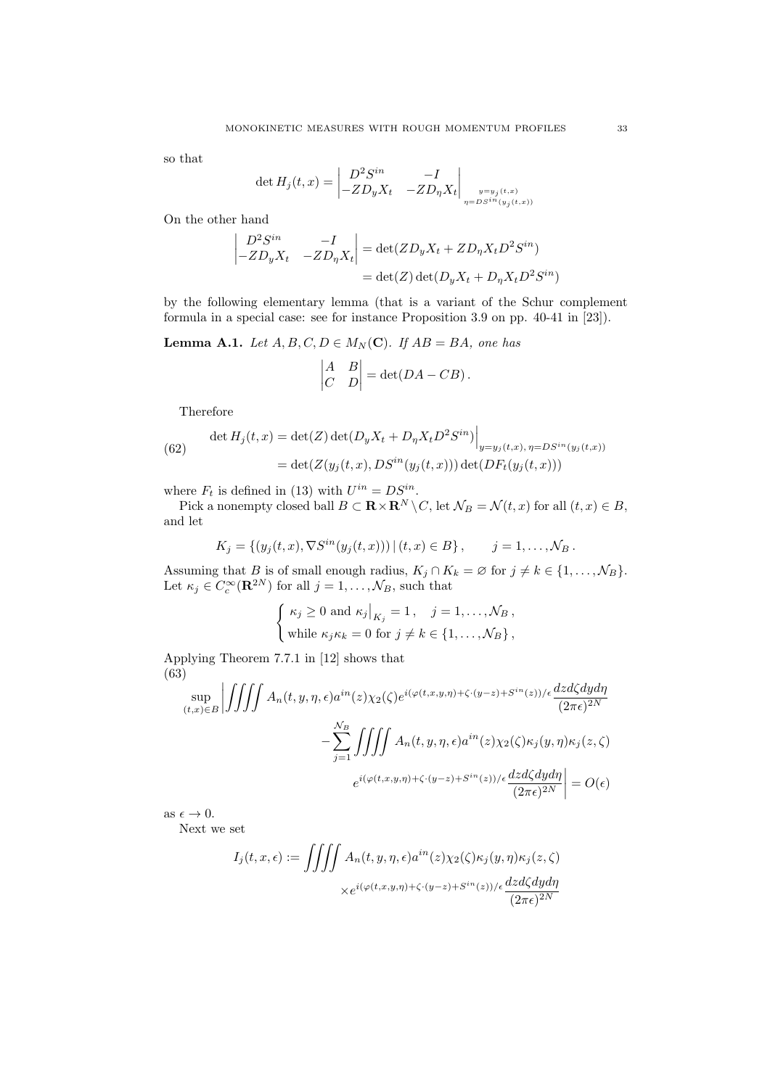so that

$$
\det H_j(t,x) = \begin{vmatrix} D^2 S^{in} & -I \\ -Z D_y X_t & -Z D_\eta X_t \end{vmatrix}_{\substack{y=y_j(t,x) \\ \eta = D S^{in}(y_j(t,x))}}
$$

On the other hand

$$
\begin{vmatrix} D^2 S^{in} & -I \\ -Z D_y X_t & -Z D_\eta X_t \end{vmatrix} = \det(Z D_y X_t + Z D_\eta X_t D^2 S^{in})
$$
  
= 
$$
\det(Z) \det(D_y X_t + D_\eta X_t D^2 S^{in})
$$

by the following elementary lemma (that is a variant of the Schur complement formula in a special case: see for instance Proposition 3.9 on pp. 40-41 in [23]).

**Lemma A.1.** *Let*  $A, B, C, D \in M_N(\mathbb{C})$ *. If*  $AB = BA$ *, one has* 

$$
\begin{vmatrix} A & B \\ C & D \end{vmatrix} = \det(DA - CB).
$$

Therefore

(62) 
$$
\det H_j(t, x) = \det(Z) \det(D_y X_t + D_\eta X_t D^2 S^{in}) \Big|_{y = y_j(t, x), \eta = D S^{in}(y_j(t, x))}
$$

$$
= \det(Z(y_j(t, x), D S^{in}(y_j(t, x))) \det(DF_t(y_j(t, x)))
$$

where  $F_t$  is defined in (13) with  $U^{in} = DS^{in}$ .

Pick a nonempty closed ball  $B \subset \mathbf{R} \times \mathbf{R}^N \setminus C$ , let  $\mathcal{N}_B = \mathcal{N}(t, x)$  for all  $(t, x) \in B$ , and let

$$
K_j = \{ (y_j(t, x), \nabla S^{in}(y_j(t, x))) | (t, x) \in B \}, \quad j = 1, ..., \mathcal{N}_B.
$$

Assuming that *B* is of small enough radius,  $K_j \cap K_k = \emptyset$  for  $j \neq k \in \{1, \ldots, \mathcal{N}_B\}$ . Let  $\kappa_j \in C_c^{\infty}(\mathbf{R}^{2N})$  for all  $j = 1, \ldots, \mathcal{N}_B$ , such that

$$
\begin{cases} \kappa_j \ge 0 \text{ and } \kappa_j|_{K_j} = 1, \quad j = 1, \dots, \mathcal{N}_B, \\ \text{while } \kappa_j \kappa_k = 0 \text{ for } j \neq k \in \{1, \dots, \mathcal{N}_B\}, \end{cases}
$$

Applying Theorem 7.7.1 in [12] shows that (63)

$$
\sup_{(t,x)\in B} \left| \iiint A_n(t,y,\eta,\epsilon) a^{in}(z) \chi_2(\zeta) e^{i(\varphi(t,x,y,\eta)+\zeta \cdot (y-z)+S^{in}(z))/\epsilon} \frac{dz d\zeta dy d\eta}{(2\pi\epsilon)^{2N}} - \sum_{j=1}^{N_B} \iiint A_n(t,y,\eta,\epsilon) a^{in}(z) \chi_2(\zeta) \kappa_j(y,\eta) \kappa_j(z,\zeta)
$$

$$
e^{i(\varphi(t,x,y,\eta)+\zeta \cdot (y-z)+S^{in}(z))/\epsilon} \frac{dz d\zeta dy d\eta}{(2\pi\epsilon)^{2N}} \right| = O(\epsilon)
$$

as  $\epsilon \to 0$ .

Next we set

$$
I_j(t, x, \epsilon) := \iiint A_n(t, y, \eta, \epsilon) a^{in}(z) \chi_2(\zeta) \kappa_j(y, \eta) \kappa_j(z, \zeta)
$$

$$
\times e^{i(\varphi(t, x, y, \eta) + \zeta \cdot (y - z) + S^{in}(z)) / \epsilon} \frac{dz d\zeta dy d\eta}{(2\pi\epsilon)^{2N}}
$$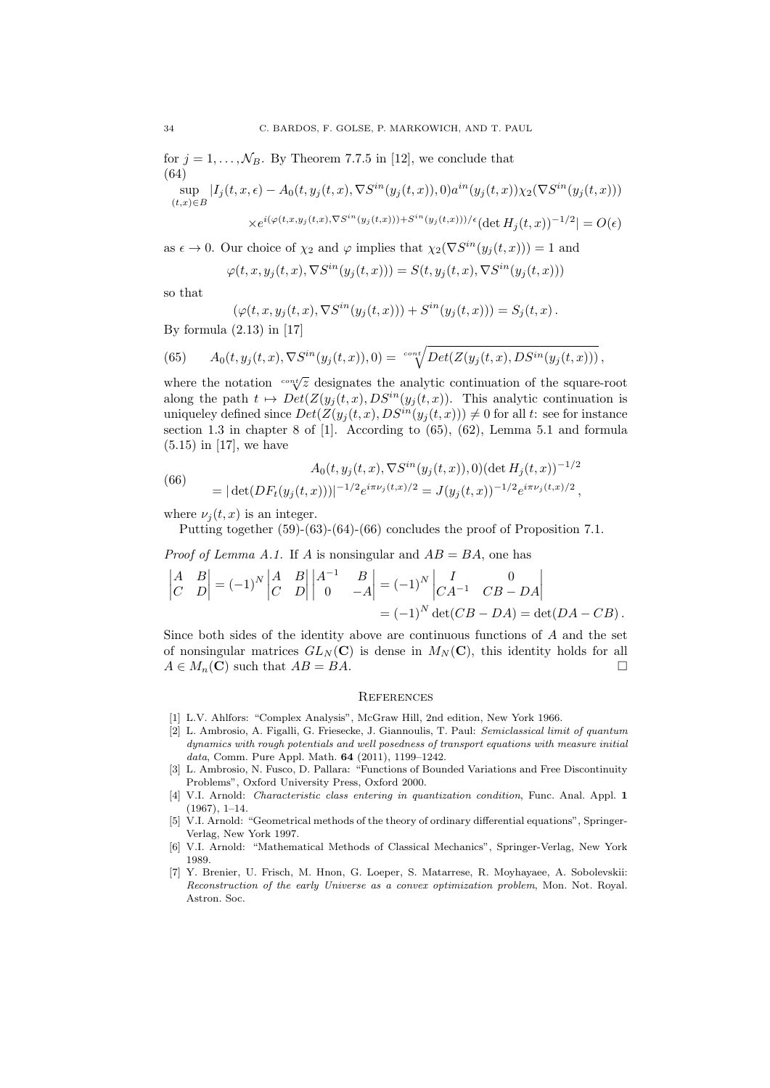for  $j = 1, \ldots, \mathcal{N}_B$ . By Theorem 7.7.5 in [12], we conclude that (64)  $\sup_{t>0} |I_j(t, x, \epsilon) - A_0(t, y_j(t, x), \nabla S^{in}(y_j(t, x)), 0) a^{in}(y_j(t, x)) \chi_2(\nabla S^{in}(y_j(t, x)))$  $(t,x) \in B$  $\times e^{i(\varphi(t,x,y_j(t,x),\nabla S^{in}(y_j(t,x))) + S^{in}(y_j(t,x)))/\epsilon} (\det H_j(t,x))^{-1/2} = O(\epsilon)$ 

as  $\epsilon \to 0$ . Our choice of  $\chi_2$  and  $\varphi$  implies that  $\chi_2(\nabla S^{in}(y_j(t,x))) = 1$  and

$$
\varphi(t, x, y_j(t, x), \nabla S^{in}(y_j(t, x))) = S(t, y_j(t, x), \nabla S^{in}(y_j(t, x)))
$$

so that

$$
(\varphi(t,x,y_j(t,x),\nabla S^{in}(y_j(t,x))) + S^{in}(y_j(t,x))) = S_j(t,x).
$$

By formula  $(2.13)$  in [17]

(65) 
$$
A_0(t, y_j(t,x), \nabla S^{in}(y_j(t,x)), 0) = \sqrt{\det(Z(y_j(t,x), DS^{in}(y_j(t,x))))},
$$

where the notation  $\frac{c\cdot n\sqrt{x}}{2}$  designates the analytic continuation of the square-root along the path  $t \mapsto Det(Z(y_j(t,x),DS^{in}(y_j(t,x)))$ . This analytic continuation is uniqueley defined since  $Det(Z(y_j(t, x), DS^{in}(y_j(t, x))) \neq 0$  for all *t*: see for instance section 1.3 in chapter 8 of [1]. According to (65), (62), Lemma 5.1 and formula (5.15) in [17], we have

(66) 
$$
A_0(t, y_j(t, x), \nabla S^{in}(y_j(t, x)), 0) (\det H_j(t, x))^{-1/2}
$$

$$
= |\det(DF_t(y_j(t, x)))|^{-1/2} e^{i\pi \nu_j(t, x)/2} = J(y_j(t, x))^{-1/2} e^{i\pi \nu_j(t, x)/2},
$$

where  $\nu_i(t, x)$  is an integer.

Putting together (59)-(63)-(64)-(66) concludes the proof of Proposition 7.1.

*Proof of Lemma A.1.* If *A* is nonsingular and  $AB = BA$ , one has

$$
\begin{vmatrix} A & B \\ C & D \end{vmatrix} = (-1)^N \begin{vmatrix} A & B \\ C & D \end{vmatrix} \begin{vmatrix} A^{-1} & B \\ 0 & -A \end{vmatrix} = (-1)^N \begin{vmatrix} I & 0 \\ CA^{-1} & CB - DA \end{vmatrix}
$$
  
= (-1)<sup>N</sup> det(CB – DA) = det(DA – CB).

Since both sides of the identity above are continuous functions of *A* and the set of nonsingular matrices  $GL_N(\mathbf{C})$  is dense in  $M_N(\mathbf{C})$ , this identity holds for all  $A \in M_n(\mathbf{C})$  such that  $AB = BA$ .

## **REFERENCES**

- [1] L.V. Ahlfors: "Complex Analysis", McGraw Hill, 2nd edition, New York 1966.
- [2] L. Ambrosio, A. Figalli, G. Friesecke, J. Giannoulis, T. Paul: *Semiclassical limit of quantum dynamics with rough potentials and well posedness of transport equations with measure initial data*, Comm. Pure Appl. Math. 64 (2011), 1199–1242.
- [3] L. Ambrosio, N. Fusco, D. Pallara: "Functions of Bounded Variations and Free Discontinuity Problems", Oxford University Press, Oxford 2000.
- [4] V.I. Arnold: *Characteristic class entering in quantization condition*, Func. Anal. Appl. 1 (1967), 1–14.
- [5] V.I. Arnold: "Geometrical methods of the theory of ordinary differential equations", Springer-Verlag, New York 1997.
- [6] V.I. Arnold: "Mathematical Methods of Classical Mechanics", Springer-Verlag, New York 1989.
- [7] Y. Brenier, U. Frisch, M. Hnon, G. Loeper, S. Matarrese, R. Moyhayaee, A. Sobolevskii: *Reconstruction of the early Universe as a convex optimization problem*, Mon. Not. Royal. Astron. Soc.